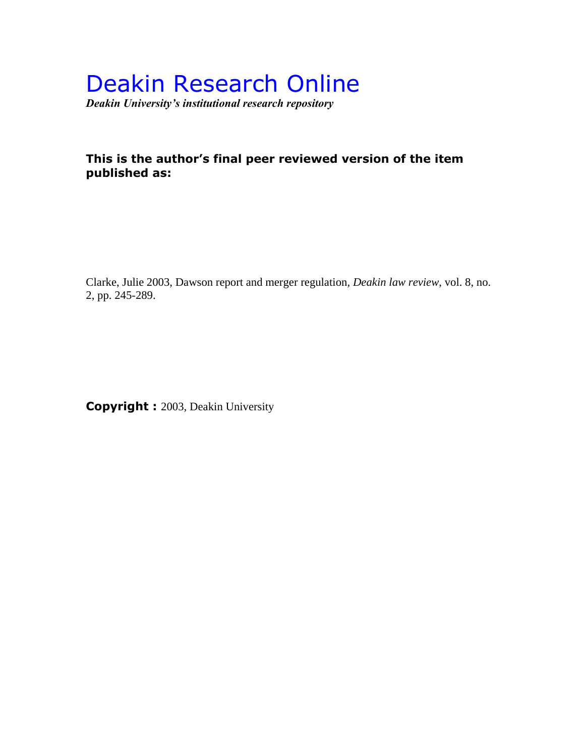# Deakin Research Online

*Deakin University's institutional research repository*

# **This is the author's final peer reviewed version of the item published as:**

Clarke, Julie 2003, Dawson report and merger regulation*, Deakin law review*, vol. 8, no. 2, pp. 245-289.

**Copyright :** 2003, Deakin University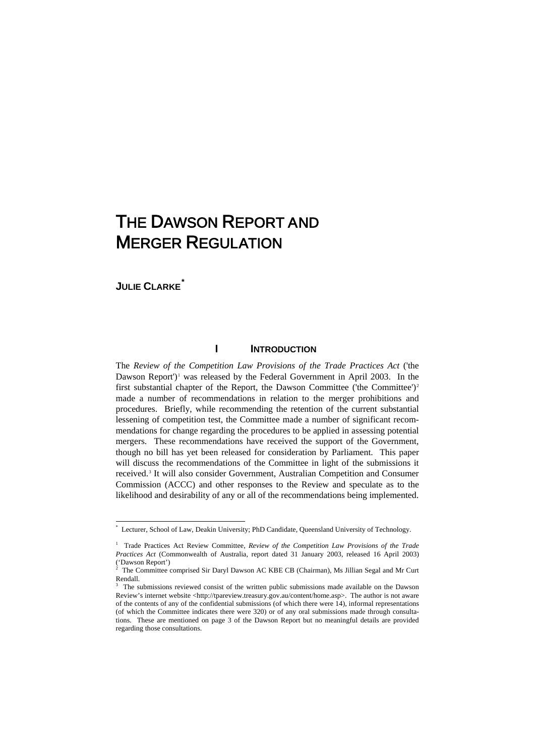# THE DAWSON REPORT AND MERGER REGULATION

# **JULIE CLARKE***[\\*](#page-1-0)*

#### **I INTRODUCTION**

The *Review of the Competition Law Provisions of the Trade Practices Act* ('the Dawson Report'<sup> $\mu$ </sup> was released by the Federal Government in April 2003. In the first substantial chapter of the Report, the Dawson Committee ('the Committee')<sup>[2](#page-1-2)</sup> made a number of recommendations in relation to the merger prohibitions and procedures. Briefly, while recommending the retention of the current substantial lessening of competition test, the Committee made a number of significant recommendations for change regarding the procedures to be applied in assessing potential mergers. These recommendations have received the support of the Government, though no bill has yet been released for consideration by Parliament. This paper will discuss the recommendations of the Committee in light of the submissions it received.[3](#page-1-3) It will also consider Government, Australian Competition and Consumer Commission (ACCC) and other responses to the Review and speculate as to the likelihood and desirability of any or all of the recommendations being implemented.

 <sup>\*</sup> Lecturer, School of Law, Deakin University; PhD Candidate, Queensland University of Technology.

<span id="page-1-1"></span><span id="page-1-0"></span><sup>&</sup>lt;sup>1</sup> Trade Practices Act Review Committee, *Review of the Competition Law Provisions of the Trade Practices Act* (Commonwealth of Australia, report dated 31 January 2003, released 16 April 2003) ('Dawson Report')<br> $2 \text{ The Commitian}$ 

<span id="page-1-2"></span>The Committee comprised Sir Daryl Dawson AC KBE CB (Chairman), Ms Jillian Segal and Mr Curt Rendall.

<span id="page-1-3"></span><sup>3</sup> The submissions reviewed consist of the written public submissions made available on the Dawson Review's internet website <http://tpareview.treasury.gov.au/content/home.asp>. The author is not aware of the contents of any of the confidential submissions (of which there were 14), informal representations (of which the Committee indicates there were 320) or of any oral submissions made through consultations. These are mentioned on page 3 of the Dawson Report but no meaningful details are provided regarding those consultations.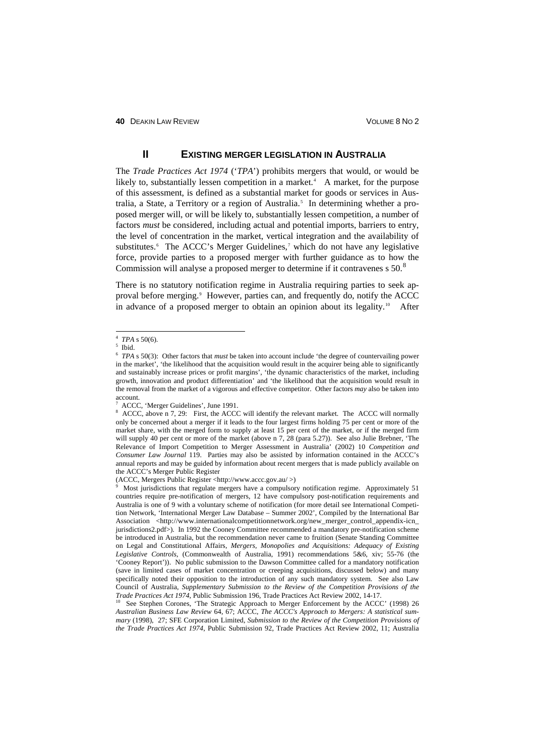# **II EXISTING MERGER LEGISLATION IN AUSTRALIA**

The *Trade Practices Act 1974* ('*TPA*') prohibits mergers that would, or would be likely to, substantially lessen competition in a market.<sup>[4](#page-2-0)</sup> A market, for the purpose of this assessment, is defined as a substantial market for goods or services in Aus-tralia, a State, a Territory or a region of Australia.<sup>[5](#page-2-1)</sup> In determining whether a proposed merger will, or will be likely to, substantially lessen competition, a number of factors *must* be considered, including actual and potential imports, barriers to entry, the level of concentration in the market, vertical integration and the availability of substitutes.<sup>[6](#page-2-2)</sup> The ACCC's Merger Guidelines,<sup>[7](#page-2-3)</sup> which do not have any legislative force, provide parties to a proposed merger with further guidance as to how the Commission will analyse a proposed merger to determine if it contravenes s 50.<sup>[8](#page-2-4)</sup>

There is no statutory notification regime in Australia requiring parties to seek approval before merging. [9](#page-2-5) However, parties can, and frequently do, notify the ACCC in advance of a proposed merger to obtain an opinion about its legality.<sup>[10](#page-2-6)</sup> After

(ACCC, Mergers Public Register <http://www.accc.gov.au/ >) 9

<span id="page-2-5"></span> Most jurisdictions that regulate mergers have a compulsory notification regime. Approximately 51 countries require pre-notification of mergers, 12 have compulsory post-notification requirements and Australia is one of 9 with a voluntary scheme of notification (for more detail see International Competition Network, 'International Merger Law Database – Summer 2002', Compiled by the International Bar Association <http://www.internationalcompetitionnetwork.org/new\_merger\_control\_appendix-icn\_ jurisdictions2.pdf>). In 1992 the Cooney Committee recommended a mandatory pre-notification scheme be introduced in Australia, but the recommendation never came to fruition (Senate Standing Committee on Legal and Constitutional Affairs, *Mergers, Monopolies and Acquisitions: Adequacy of Existing Legislative Controls*, (Commonwealth of Australia, 1991) recommendations 5&6, xiv; 55-76 (the 'Cooney Report')). No public submission to the Dawson Committee called for a mandatory notification (save in limited cases of market concentration or creeping acquisitions, discussed below) and many specifically noted their opposition to the introduction of any such mandatory system. See also Law Council of Australia, *Supplementary Submission to the Review of the Competition Provisions of the Trade Practices Act 1974*, Public Submission 196, Trade Practices Act Review 2002, 14-17.

<span id="page-2-6"></span><sup>10</sup> See Stephen Corones, 'The Strategic Approach to Merger Enforcement by the ACCC' (1998) 26 *Australian Business Law Review* 64, 67; ACCC, *The ACCC's Approach to Mergers: A statistical summary* (1998), 27; SFE Corporation Limited, *Submission to the Review of the Competition Provisions of the Trade Practices Act 1974*, Public Submission 92, Trade Practices Act Review 2002, 11; Australia

 <sup>4</sup>  $4$  *TPA* s 50(6).

<span id="page-2-1"></span><span id="page-2-0"></span> $5$  Ibid.

<span id="page-2-2"></span><sup>6</sup> *TPA* s 50(3): Other factors that *must* be taken into account include 'the degree of countervailing power in the market', 'the likelihood that the acquisition would result in the acquirer being able to significantly and sustainably increase prices or profit margins', 'the dynamic characteristics of the market, including growth, innovation and product differentiation' and 'the likelihood that the acquisition would result in the removal from the market of a vigorous and effective competitor. Other factors *may* also be taken into account.

<sup>7</sup>  $A<sup>7</sup>$  ACCC, 'Merger Guidelines', June 1991.

<span id="page-2-4"></span><span id="page-2-3"></span>ACCC, above n 7, 29: First, the ACCC will identify the relevant market. The ACCC will normally only be concerned about a merger if it leads to the four largest firms holding 75 per cent or more of the market share, with the merged form to supply at least 15 per cent of the market, or if the merged firm will supply 40 per cent or more of the market (above n 7, 28 (para 5.27)). See also Julie Brebner, 'The Relevance of Import Competition to Merger Assessment in Australia' (2002) 10 *Competition and Consumer Law Journal* 119. Parties may also be assisted by information contained in the ACCC's annual reports and may be guided by information about recent mergers that is made publicly available on the ACCC's Merger Public Register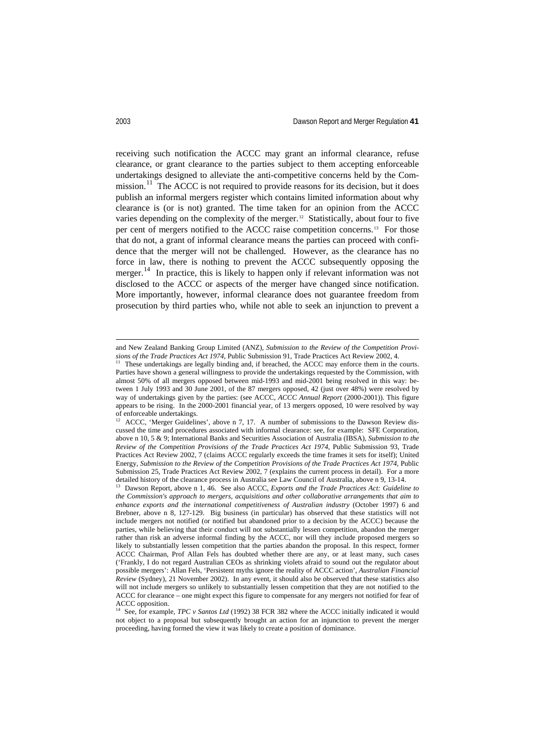receiving such notification the ACCC may grant an informal clearance, refuse clearance, or grant clearance to the parties subject to them accepting enforceable undertakings designed to alleviate the anti-competitive concerns held by the Com-mission.<sup>[11](#page-3-0)</sup> The ACCC is not required to provide reasons for its decision, but it does publish an informal mergers register which contains limited information about why clearance is (or is not) granted. The time taken for an opinion from the ACCC varies depending on the complexity of the merger.<sup>12</sup> Statistically, about four to five per cent of mergers notified to the ACCC raise competition concerns.[13](#page-3-2) For those that do not, a grant of informal clearance means the parties can proceed with confidence that the merger will not be challenged. However, as the clearance has no force in law, there is nothing to prevent the ACCC subsequently opposing the merger.<sup>[14](#page-3-3)</sup> In practice, this is likely to happen only if relevant information was not disclosed to the ACCC or aspects of the merger have changed since notification. More importantly, however, informal clearance does not guarantee freedom from prosecution by third parties who, while not able to seek an injunction to prevent a

and New Zealand Banking Group Limited (ANZ), *Submission to the Review of the Competition Provisions of the Trade Practices Act 1974*, Public Submission 91, Trade Practices Act Review 2002, 4.

<span id="page-3-0"></span><sup>11</sup> These undertakings are legally binding and, if breached, the ACCC may enforce them in the courts. Parties have shown a general willingness to provide the undertakings requested by the Commission, with almost 50% of all mergers opposed between mid-1993 and mid-2001 being resolved in this way: between 1 July 1993 and 30 June 2001, of the 87 mergers opposed, 42 (just over 48%) were resolved by way of undertakings given by the parties: (see ACCC, *ACCC Annual Report* (2000-2001)). This figure appears to be rising. In the 2000-2001 financial year, of 13 mergers opposed, 10 were resolved by way of enforceable undertakings.

<span id="page-3-1"></span>ACCC, 'Merger Guidelines', above n 7, 17. A number of submissions to the Dawson Review discussed the time and procedures associated with informal clearance: see, for example: SFE Corporation, above n 10, 5 & 9; International Banks and Securities Association of Australia (IBSA), *Submission to the Review of the Competition Provisions of the Trade Practices Act 1974*, Public Submission 93, Trade Practices Act Review 2002, 7 (claims ACCC regularly exceeds the time frames it sets for itself); United Energy, *Submission to the Review of the Competition Provisions of the Trade Practices Act 1974*, Public Submission 25, Trade Practices Act Review 2002, 7 (explains the current process in detail). For a more detailed history of the clearance process in Australia see Law Council of Australia, above n 9, 13-14.

<span id="page-3-2"></span><sup>&</sup>lt;sup>13</sup> Dawson Report, above n 1, 46. See also ACCC, *Exports and the Trade Practices Act: Guideline to the Commission's approach to mergers, acquisitions and other collaborative arrangements that aim to enhance exports and the international competitiveness of Australian industry* (October 1997) 6 and Brebner, above n 8, 127-129. Big business (in particular) has observed that these statistics will not include mergers not notified (or notified but abandoned prior to a decision by the ACCC) because the parties, while believing that their conduct will not substantially lessen competition, abandon the merger rather than risk an adverse informal finding by the ACCC, nor will they include proposed mergers so likely to substantially lessen competition that the parties abandon the proposal. In this respect, former ACCC Chairman, Prof Allan Fels has doubted whether there are any, or at least many, such cases ('Frankly, I do not regard Australian CEOs as shrinking violets afraid to sound out the regulator about possible mergers': Allan Fels, 'Persistent myths ignore the reality of ACCC action', *Australian Financial Review* (Sydney), 21 November 2002). In any event, it should also be observed that these statistics also will not include mergers so unlikely to substantially lessen competition that they are not notified to the ACCC for clearance – one might expect this figure to compensate for any mergers not notified for fear of ACCC opposition.

<span id="page-3-3"></span><sup>&</sup>lt;sup>14</sup> See, for example, *TPC v Santos Ltd* (1992) 38 FCR 382 where the ACCC initially indicated it would not object to a proposal but subsequently brought an action for an injunction to prevent the merger proceeding, having formed the view it was likely to create a position of dominance.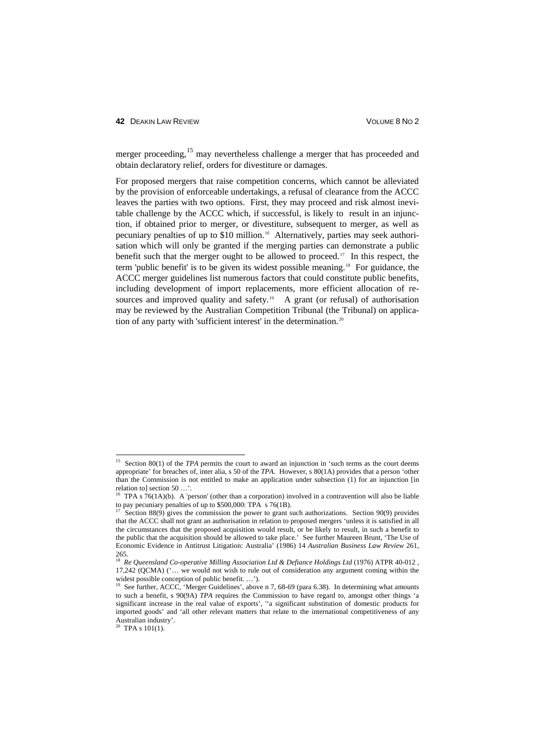#### **42 DEAKIN LAW REVIEW CONTROLLER SUBSET OF A SEXUAL SERVICE SUBSET OF A VOLUME 8 NO 2**

merger proceeding,<sup>[15](#page-4-0)</sup> may nevertheless challenge a merger that has proceeded and obtain declaratory relief, orders for divestiture or damages.

For proposed mergers that raise competition concerns, which cannot be alleviated by the provision of enforceable undertakings, a refusal of clearance from the ACCC leaves the parties with two options. First, they may proceed and risk almost inevitable challenge by the ACCC which, if successful, is likely to result in an injunction, if obtained prior to merger, or divestiture, subsequent to merger, as well as pecuniary penalties of up to \$10 million. [16](#page-4-1) Alternatively, parties may seek authorisation which will only be granted if the merging parties can demonstrate a public benefit such that the merger ought to be allowed to proceed.[17](#page-4-2) In this respect, the term 'public benefit' is to be given its widest possible meaning.[18](#page-4-3) For guidance, the ACCC merger guidelines list numerous factors that could constitute public benefits, including development of import replacements, more efficient allocation of re-sources and improved quality and safety.<sup>[19](#page-4-4)</sup> A grant (or refusal) of authorisation may be reviewed by the Australian Competition Tribunal (the Tribunal) on application of any party with 'sufficient interest' in the determination. [20](#page-4-5)

<span id="page-4-0"></span><sup>&</sup>lt;sup>15</sup> Section 80(1) of the *TPA* permits the court to award an injunction in 'such terms as the court deems appropriate' for breaches of, inter alia, s 50 of the *TPA*. However, s 80(1A) provides that a person 'other than the Commission is not entitled to make an application under subsection (1) for an injunction [in relation to] section 50 …'.

<span id="page-4-1"></span><sup>&</sup>lt;sup>16</sup> TPA s  $76(1A)(b)$ . A 'person' (other than a corporation) involved in a contravention will also be liable to pay pecuniary penalties of up to \$500,000: TPA s 76(1B).

<span id="page-4-2"></span>Section 88(9) gives the commission the power to grant such authorizations. Section 90(9) provides that the ACCC shall not grant an authorisation in relation to proposed mergers 'unless it is satisfied in all the circumstances that the proposed acquisition would result, or be likely to result, in such a benefit to the public that the acquisition should be allowed to take place.' See further Maureen Brunt, 'The Use of Economic Evidence in Antitrust Litigation: Australia' (1986) 14 *Australian Business Law Review* 261, 265.

<span id="page-4-3"></span><sup>18</sup> *Re Queensland Co-operative Milling Association Ltd & Defiance Holdings Ltd* (1976) ATPR 40-012 , 17,242 (QCMA) ('… we would not wish to rule out of consideration any argument coming within the widest possible conception of public benefit.  $\therefore$ 

<span id="page-4-4"></span><sup>&</sup>lt;sup>19</sup> See further, ACCC, 'Merger Guidelines', above n 7, 68-69 (para 6.38). In determining what amounts to such a benefit, s 90(9A) *TPA* requires the Commission to have regard to, amongst other things 'a significant increase in the real value of exports', ''a significant substitution of domestic products for imported goods' and 'all other relevant matters that relate to the international competitiveness of any Australian industry'.

<span id="page-4-5"></span> $20$  TPA s 101(1).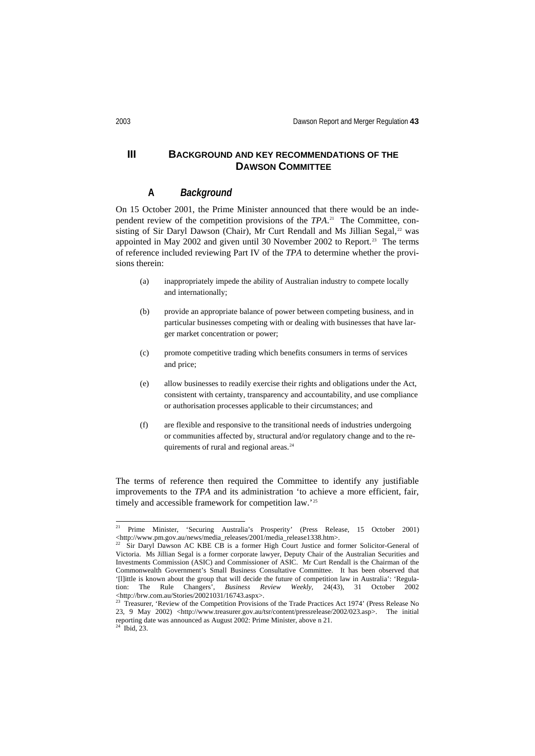# **III BACKGROUND AND KEY RECOMMENDATIONS OF THE DAWSON COMMITTEE**

# **A** *Background*

On 15 October 2001, the Prime Minister announced that there would be an independent review of the competition provisions of the *TPA*. [21](#page-5-0) The Committee, con-sisting of Sir Daryl Dawson (Chair), Mr Curt Rendall and Ms Jillian Segal,<sup>[22](#page-5-1)</sup> was appointed in May 2002 and given until 30 November 2002 to Report.<sup>[23](#page-5-2)</sup> The terms of reference included reviewing Part IV of the *TPA* to determine whether the provisions therein:

- (a) inappropriately impede the ability of Australian industry to compete locally and internationally;
- (b) provide an appropriate balance of power between competing business, and in particular businesses competing with or dealing with businesses that have larger market concentration or power;
- (c) promote competitive trading which benefits consumers in terms of services and price;
- (e) allow businesses to readily exercise their rights and obligations under the Act, consistent with certainty, transparency and accountability, and use compliance or authorisation processes applicable to their circumstances; and
- (f) are flexible and responsive to the transitional needs of industries undergoing or communities affected by, structural and/or regulatory change and to the re-quirements of rural and regional areas.<sup>[24](#page-5-3)</sup>

The terms of reference then required the Committee to identify any justifiable improvements to the *TPA* and its administration 'to achieve a more efficient, fair, timely and accessible framework for competition law.'<sup>[25](#page-5-4)</sup>

<span id="page-5-4"></span><span id="page-5-0"></span><sup>&</sup>lt;sup>21</sup> Prime Minister, 'Securing Australia's Prosperity' (Press Release, 15 October 2001) <http://www.pm.gov.au/news/media\_releases/2001/media\_release1338.htm>.

<span id="page-5-1"></span>Sir Daryl Dawson AC KBE CB is a former High Court Justice and former Solicitor-General of Victoria. Ms Jillian Segal is a former corporate lawyer, Deputy Chair of the Australian Securities and Investments Commission (ASIC) and Commissioner of ASIC. Mr Curt Rendall is the Chairman of the Commonwealth Government's Small Business Consultative Committee. It has been observed that '[l]ittle is known about the group that will decide the future of competition law in Australia': 'Regulation: The Rule Changers', *Business Review Weekly*, 24(43), 31 October 2002 <http://brw.com.au/Stories/20021031/16743.aspx>.

<span id="page-5-3"></span><span id="page-5-2"></span><sup>&</sup>lt;sup>23</sup> Treasurer, 'Review of the Competition Provisions of the Trade Practices Act 1974' (Press Release No 23, 9 May 2002) <http://www.treasurer.gov.au/tsr/content/pressrelease/2002/023.asp>. The initial reporting date was announced as August 2002: Prime Minister, above n 21.<br><sup>24</sup> Ibid 22.  $\overline{2}$  Ibid,  $\overline{2}$ 3.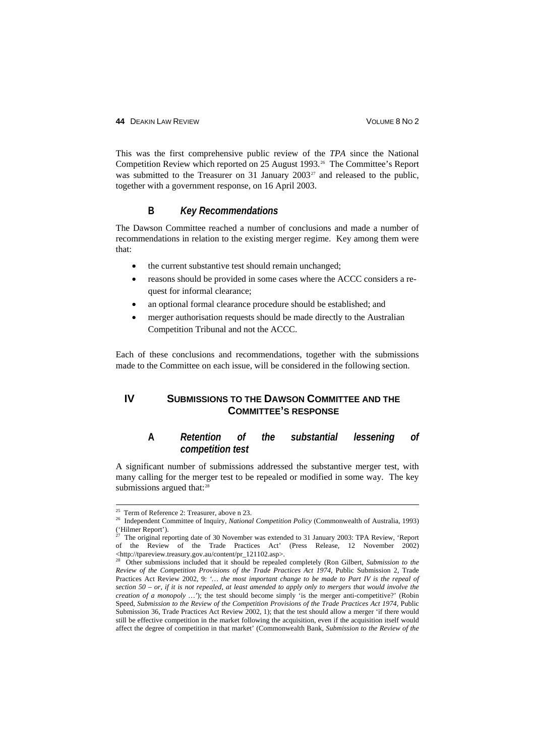This was the first comprehensive public review of the *TPA* since the National Competition Review which reported on 25 August 1993.[26](#page-6-0) The Committee's Report was submitted to the Treasurer on 31 January  $2003^{27}$  $2003^{27}$  $2003^{27}$  and released to the public, together with a government response, on 16 April 2003.

#### **B** *Key Recommendations*

The Dawson Committee reached a number of conclusions and made a number of recommendations in relation to the existing merger regime. Key among them were that:

- the current substantive test should remain unchanged;
- reasons should be provided in some cases where the ACCC considers a request for informal clearance;
- an optional formal clearance procedure should be established; and
- merger authorisation requests should be made directly to the Australian Competition Tribunal and not the ACCC.

Each of these conclusions and recommendations, together with the submissions made to the Committee on each issue, will be considered in the following section.

# **IV SUBMISSIONS TO THE DAWSON COMMITTEE AND THE COMMITTEE'S RESPONSE**

# **A** *Retention of the substantial lessening of competition test*

A significant number of submissions addressed the substantive merger test, with many calling for the merger test to be repealed or modified in some way. The key submissions argued that:<sup>[28](#page-6-2)</sup>

<span id="page-6-0"></span> <sup>25</sup> Term of Reference 2: Treasurer, above n 23. 26 Independent Committee of Inquiry, *National Competition Policy* (Commonwealth of Australia, 1993) ('Hilmer Report').

<span id="page-6-1"></span> $27$  The original reporting date of 30 November was extended to 31 January 2003: TPA Review, 'Report of the Review of the Trade Practices Act' (Press Release, 12 November 2002) <http://tpareview.treasury.gov.au/content/pr\_121102.asp>.

<span id="page-6-2"></span><sup>28</sup> Other submissions included that it should be repealed completely (Ron Gilbert, *Submission to the Review of the Competition Provisions of the Trade Practices Act 1974*, Public Submission 2, Trade Practices Act Review 2002, 9: *'… the most important change to be made to Part IV is the repeal of section 50 – or, if it is not repealed, at least amended to apply only to mergers that would involve the creation of a monopoly …'*); the test should become simply 'is the merger anti-competitive?' (Robin Speed, *Submission to the Review of the Competition Provisions of the Trade Practices Act 1974*, Public Submission 36, Trade Practices Act Review 2002, 1); that the test should allow a merger 'if there would still be effective competition in the market following the acquisition, even if the acquisition itself would affect the degree of competition in that market' (Commonwealth Bank, *Submission to the Review of the*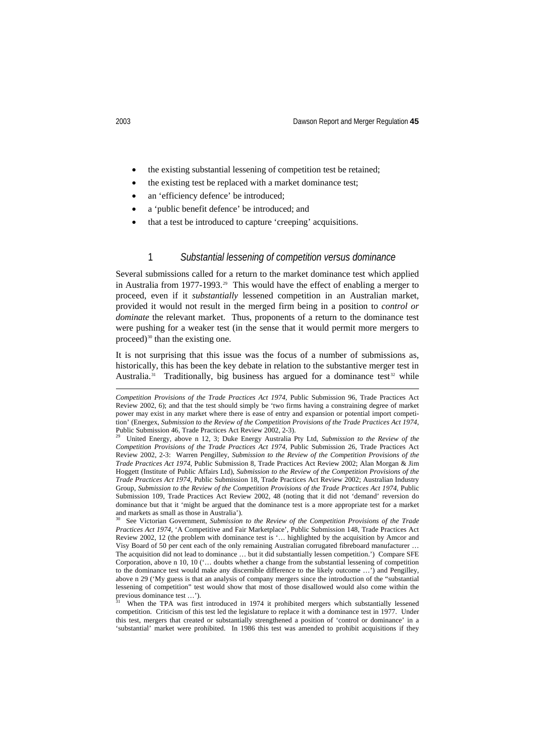- the existing substantial lessening of competition test be retained;
- the existing test be replaced with a market dominance test;
- an 'efficiency defence' be introduced;
- a 'public benefit defence' be introduced; and
- that a test be introduced to capture 'creeping' acquisitions.

#### 1 *Substantial lessening of competition versus dominance*

Several submissions called for a return to the market dominance test which applied in Australia from 1977-1993.<sup>[29](#page-7-0)</sup> This would have the effect of enabling a merger to proceed, even if it *substantially* lessened competition in an Australian market, provided it would not result in the merged firm being in a position to *control or dominate* the relevant market. Thus, proponents of a return to the dominance test were pushing for a weaker test (in the sense that it would permit more mergers to proceed)<sup>[30](#page-7-1)</sup> than the existing one.

It is not surprising that this issue was the focus of a number of submissions as, historically, this has been the key debate in relation to the substantive merger test in Australia.<sup>31</sup> Traditionally, big business has argued for a dominance test<sup>[32](#page-7-3)</sup> while

-

*Competition Provisions of the Trade Practices Act 1974*, Public Submission 96, Trade Practices Act Review 2002, 6); and that the test should simply be 'two firms having a constraining degree of market power may exist in any market where there is ease of entry and expansion or potential import competition' (Energex, *Submission to the Review of the Competition Provisions of the Trade Practices Act 1974*, Public Submission 46, Trade Practices Act Review 2002, 2-3).<br><sup>29</sup> Heited Fraggat, above a 12, 2) Duby Fraggat, Actua

<span id="page-7-3"></span><span id="page-7-0"></span>United Energy, above n 12, 3; Duke Energy Australia Pty Ltd, *Submission to the Review of the Competition Provisions of the Trade Practices Act 1974*, Public Submission 26, Trade Practices Act Review 2002, 2-3: Warren Pengilley, *Submission to the Review of the Competition Provisions of the Trade Practices Act 1974*, Public Submission 8, Trade Practices Act Review 2002; Alan Morgan & Jim Hoggett (Institute of Public Affairs Ltd), *Submission to the Review of the Competition Provisions of the Trade Practices Act 1974*, Public Submission 18, Trade Practices Act Review 2002; Australian Industry Group, *Submission to the Review of the Competition Provisions of the Trade Practices Act 1974*, Public Submission 109, Trade Practices Act Review 2002, 48 (noting that it did not 'demand' reversion do dominance but that it 'might be argued that the dominance test is a more appropriate test for a market and markets as small as those in Australia').

<span id="page-7-1"></span><sup>30</sup> See Victorian Government, *Submission to the Review of the Competition Provisions of the Trade Practices Act 1974*, 'A Competitive and Fair Marketplace', Public Submission 148, Trade Practices Act Review 2002, 12 (the problem with dominance test is '… highlighted by the acquisition by Amcor and Visy Board of 50 per cent each of the only remaining Australian corrugated fibreboard manufacturer … The acquisition did not lead to dominance … but it did substantially lessen competition.') Compare SFE Corporation, above n 10, 10 ('… doubts whether a change from the substantial lessening of competition to the dominance test would make any discernible difference to the likely outcome …') and Pengilley, above n 29 ('My guess is that an analysis of company mergers since the introduction of the "substantial lessening of competition" test would show that most of those disallowed would also come within the previous dominance test ...').

<span id="page-7-2"></span><sup>31</sup> When the TPA was first introduced in 1974 it prohibited mergers which substantially lessened competition. Criticism of this test led the legislature to replace it with a dominance test in 1977. Under this test, mergers that created or substantially strengthened a position of 'control or dominance' in a 'substantial' market were prohibited. In 1986 this test was amended to prohibit acquisitions if they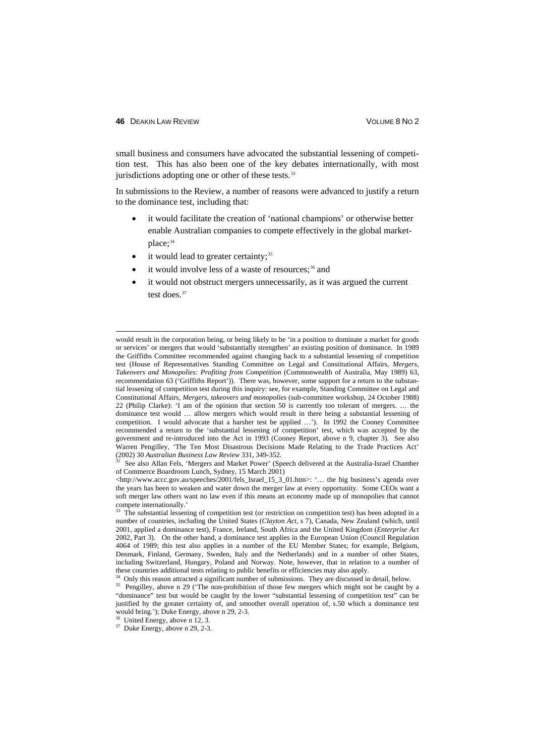small business and consumers have advocated the substantial lessening of competition test. This has also been one of the key debates internationally, with most jurisdictions adopting one or other of these tests. $33$ 

In submissions to the Review, a number of reasons were advanced to justify a return to the dominance test, including that:

- it would facilitate the creation of 'national champions' or otherwise better enable Australian companies to compete effectively in the global marketplace; [34](#page-8-1)
- it would lead to greater certainty;<sup>[35](#page-8-2)</sup>
- it would involve less of a waste of resources;<sup>[36](#page-8-3)</sup> and
- it would not obstruct mergers unnecessarily, as it was argued the current test does. [37](#page-8-4)

32 See also Allan Fels, 'Mergers and Market Power' (Speech delivered at the Australia-Israel Chamber of Commerce Boardroom Lunch, Sydney, 15 March 2001)

<http://www.accc.gov.au/speeches/2001/fels\_Israel\_15\_3\_01.htm>: '... the big business's agenda over the years has been to weaken and water down the merger law at every opportunity. Some CEOs want a soft merger law others want no law even if this means an economy made up of monopolies that cannot compete internationally.'

would result in the corporation being, or being likely to be 'in a position to dominate a market for goods or services' or mergers that would 'substantially strengthen' an existing position of dominance. In 1989 the Griffiths Committee recommended against changing back to a substantial lessening of competition test (House of Representatives Standing Committee on Legal and Constitutional Affairs, *Mergers, Takeovers and Monopolies: Profiting from Competition* (Commonwealth of Australia, May 1989) 63, recommendation 63 ('Griffiths Report')). There was, however, some support for a return to the substantial lessening of competition test during this inquiry: see, for example, Standing Committee on Legal and Constitutional Affairs, *Mergers, takeovers and monopolies* (sub-committee workshop, 24 October 1988) 22 (Philip Clarke): 'I am of the opinion that section 50 is currently too tolerant of mergers. … the dominance test would … allow mergers which would result in there being a substantial lessening of competition. I would advocate that a harsher test be applied …'). In 1992 the Cooney Committee recommended a return to the 'substantial lessening of competition' test, which was accepted by the government and re-introduced into the Act in 1993 (Cooney Report, above n 9, chapter 3). See also Warren Pengilley, 'The Ten Most Disastrous Decisions Made Relating to the Trade Practices Act' (2002) 30 *Australian Business Law Review* 331, 349-352.

<span id="page-8-0"></span><sup>&</sup>lt;sup>33</sup> The substantial lessening of competition test (or restriction on competition test) has been adopted in a number of countries, including the United States (*Clayton Act*, s 7), Canada, New Zealand (which, until 2001, applied a dominance test), France, Ireland, South Africa and the United Kingdom (*Enterprise Act*  2002, Part 3). On the other hand, a dominance test applies in the European Union (Council Regulation 4064 of 1989; this test also applies in a number of the EU Member States; for example, Belgium, Denmark, Finland, Germany, Sweden, Italy and the Netherlands) and in a number of other States, including Switzerland, Hungary, Poland and Norway. Note, however, that in relation to a number of these countries additional tests relating to public benefits or efficiencies may also apply.

<sup>34</sup> Only this reason attracted a significant number of submissions. They are discussed in detail, below.

<span id="page-8-2"></span><span id="page-8-1"></span><sup>&</sup>lt;sup>35</sup> Pengilley, above n 29 ('The non-prohibition of those few mergers which might not be caught by a "dominance" test but would be caught by the lower "substantial lessening of competition test" can be justified by the greater certainty of, and smoother overall operation of, s.50 which a dominance test would bring.'); Duke Energy, above n 29, 2-3.

United Energy, above n 12, 3.

<span id="page-8-4"></span><span id="page-8-3"></span> $37$  Duke Energy, above n 29, 2-3.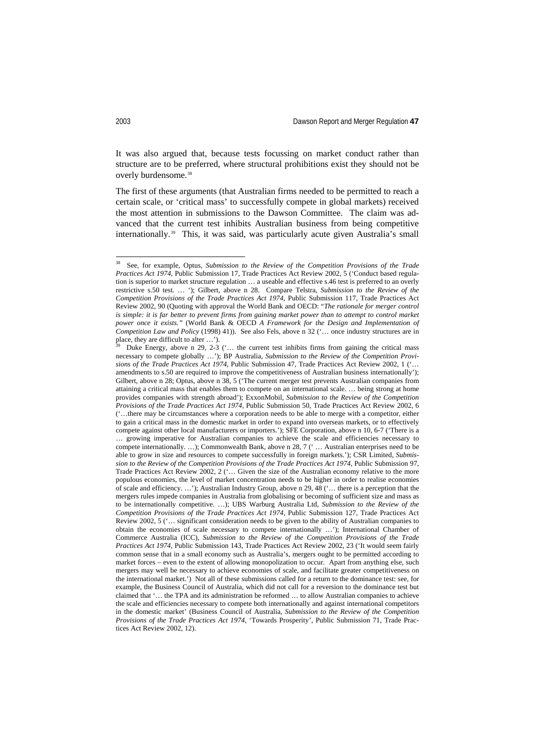It was also argued that, because tests focussing on market conduct rather than structure are to be preferred, where structural prohibitions exist they should not be overly burdensome.<sup>[38](#page-9-0)</sup>

The first of these arguments (that Australian firms needed to be permitted to reach a certain scale, or 'critical mass' to successfully compete in global markets) received the most attention in submissions to the Dawson Committee. The claim was advanced that the current test inhibits Australian business from being competitive internationally.[39](#page-9-1) This, it was said, was particularly acute given Australia's small

<span id="page-9-0"></span> <sup>38</sup> See, for example, Optus, *Submission to the Review of the Competition Provisions of the Trade Practices Act 1974*, Public Submission 17, Trade Practices Act Review 2002, 5 ('Conduct based regulation is superior to market structure regulation … a useable and effective s.46 test is preferred to an overly restrictive s.50 test. … '); Gilbert, above n 28. Compare Telstra, *Submission to the Review of the Competition Provisions of the Trade Practices Act 1974*, Public Submission 117, Trade Practices Act Review 2002, 90 (Quoting with approval the World Bank and OECD: "*The rationale for merger control is simple: it is far better to prevent firms from gaining market power than to attempt to control market power once it exists."* (World Bank & OECD *A Framework for the Design and Implementation of Competition Law and Policy* (1998) 41)). See also Fels, above n 32 ('… once industry structures are in place, they are difficult to alter …').

<span id="page-9-1"></span>Duke Energy, above n 29, 2-3 ( $\ldots$  the current test inhibits firms from gaining the critical mass necessary to compete globally …'); BP Australia, *Submission to the Review of the Competition Provisions of the Trade Practices Act 1974*, Public Submission 47, Trade Practices Act Review 2002, 1 ('… amendments to s.50 are required to improve the competitiveness of Australian business internationally'); Gilbert, above n 28; Optus, above n 38, 5 ('The current merger test prevents Australian companies from attaining a critical mass that enables them to compete on an international scale. … being strong at home provides companies with strength abroad'); ExxonMobil, *Submission to the Review of the Competition Provisions of the Trade Practices Act 1974*, Public Submission 50, Trade Practices Act Review 2002, 6 ('…there may be circumstances where a corporation needs to be able to merge with a competitor, either to gain a critical mass in the domestic market in order to expand into overseas markets, or to effectively compete against other local manufacturers or importers.'); SFE Corporation, above n 10, 6-7 ('There is a … growing imperative for Australian companies to achieve the scale and efficiencies necessary to compete internationally. ...); Commonwealth Bank, above n 28, 7 (' ... Australian enterprises need to be able to grow in size and resources to compete successfully in foreign markets.'); CSR Limited, *Submission to the Review of the Competition Provisions of the Trade Practices Act 1974*, Public Submission 97, Trade Practices Act Review 2002, 2 ('… Given the size of the Australian economy relative to the more populous economies, the level of market concentration needs to be higher in order to realise economies of scale and efficiency. …'); Australian Industry Group, above n 29, 48 ('… there is a perception that the mergers rules impede companies in Australia from globalising or becoming of sufficient size and mass as to be internationally competitive. …); UBS Warburg Australia Ltd, *Submission to the Review of the Competition Provisions of the Trade Practices Act 1974*, Public Submission 127, Trade Practices Act Review 2002, 5 ('… significant consideration needs to be given to the ability of Australian companies to obtain the economies of scale necessary to compete internationally …'); International Chamber of Commerce Australia (ICC), *Submission to the Review of the Competition Provisions of the Trade Practices Act 1974*, Public Submission 143, Trade Practices Act Review 2002, 23 ('It would seem fairly common sense that in a small economy such as Australia's, mergers ought to be permitted according to market forces – even to the extent of allowing monopolization to occur. Apart from anything else, such mergers may well be necessary to achieve economies of scale, and facilitate greater competitiveness on the international market.') Not all of these submissions called for a return to the dominance test: see, for example, the Business Council of Australia, which did not call for a reversion to the dominance test but claimed that '… the TPA and its administration be reformed … to allow Australian companies to achieve the scale and efficiencies necessary to compete both internationally and against international competitors in the domestic market' (Business Council of Australia, *Submission to the Review of the Competition Provisions of the Trade Practices Act 1974*, 'Towards Prosperity', Public Submission 71, Trade Practices Act Review 2002, 12).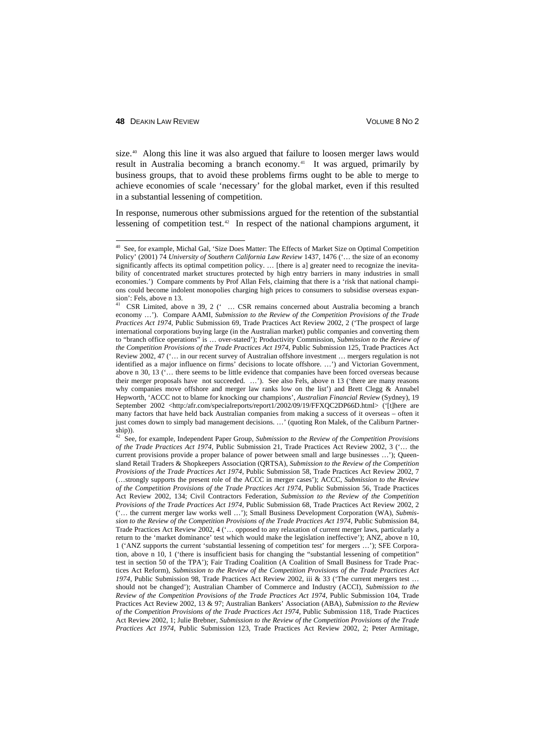size.<sup>[40](#page-10-0)</sup> Along this line it was also argued that failure to loosen merger laws would result in Australia becoming a branch economy.<sup>[41](#page-10-1)</sup> It was argued, primarily by business groups, that to avoid these problems firms ought to be able to merge to achieve economies of scale 'necessary' for the global market, even if this resulted in a substantial lessening of competition.

In response, numerous other submissions argued for the retention of the substantial lessening of competition test. [42](#page-10-2) In respect of the national champions argument, it

<span id="page-10-0"></span> <sup>40</sup> See, for example, Michal Gal, 'Size Does Matter: The Effects of Market Size on Optimal Competition Policy' (2001) 74 *University of Southern California Law Review* 1437, 1476 ('… the size of an economy significantly affects its optimal competition policy. ... [there is a] greater need to recognize the inevitability of concentrated market structures protected by high entry barriers in many industries in small economies.') Compare comments by Prof Allan Fels, claiming that there is a 'risk that national champions could become indolent monopolies charging high prices to consumers to subsidise overseas expansion': Fels, above n 13.

<span id="page-10-1"></span>CSR Limited, above n 39, 2 (' ... CSR remains concerned about Australia becoming a branch economy …'). Compare AAMI, *Submission to the Review of the Competition Provisions of the Trade Practices Act 1974*, Public Submission 69, Trade Practices Act Review 2002, 2 ('The prospect of large international corporations buying large (in the Australian market) public companies and converting them to "branch office operations" is … over-stated'); Productivity Commission, *Submission to the Review of the Competition Provisions of the Trade Practices Act 1974*, Public Submission 125, Trade Practices Act Review 2002, 47 ('… in our recent survey of Australian offshore investment … mergers regulation is not identified as a major influence on firms' decisions to locate offshore. …') and Victorian Government, above n 30, 13 ('… there seems to be little evidence that companies have been forced overseas because their merger proposals have not succeeded. …'). See also Fels, above n 13 ('there are many reasons why companies move offshore and merger law ranks low on the list') and Brett Clegg & Annabel Hepworth, 'ACCC not to blame for knocking our champions', *Australian Financial Review* (Sydney), 19 September 2002 <http:/afr.com/specialreports/report1/2002/09/19/FFXQC2DP66D.html> ('[t]here are many factors that have held back Australian companies from making a success of it overseas – often it just comes down to simply bad management decisions. …' (quoting Ron Malek, of the Caliburn Partnership)).

<span id="page-10-2"></span><sup>42</sup> See, for example, Independent Paper Group, *Submission to the Review of the Competition Provisions of the Trade Practices Act 1974*, Public Submission 21, Trade Practices Act Review 2002, 3 ('… the current provisions provide a proper balance of power between small and large businesses …'); Queensland Retail Traders & Shopkeepers Association (QRTSA), *Submission to the Review of the Competition Provisions of the Trade Practices Act 1974*, Public Submission 58, Trade Practices Act Review 2002, 7 (…strongly supports the present role of the ACCC in merger cases'); ACCC, *Submission to the Review of the Competition Provisions of the Trade Practices Act 1974*, Public Submission 56, Trade Practices Act Review 2002, 134; Civil Contractors Federation, *Submission to the Review of the Competition Provisions of the Trade Practices Act 1974*, Public Submission 68, Trade Practices Act Review 2002, 2 ('… the current merger law works well …'); Small Business Development Corporation (WA), *Submission to the Review of the Competition Provisions of the Trade Practices Act 1974*, Public Submission 84, Trade Practices Act Review 2002, 4 ('… opposed to any relaxation of current merger laws, particularly a return to the 'market dominance' test which would make the legislation ineffective'); ANZ, above n 10, 1 ('ANZ supports the current 'substantial lessening of competition test' for mergers …'); SFE Corporation, above n 10, 1 ('there is insufficient basis for changing the "substantial lessening of competition" test in section 50 of the TPA'); Fair Trading Coalition (A Coalition of Small Business for Trade Practices Act Reform), *Submission to the Review of the Competition Provisions of the Trade Practices Act 1974*, Public Submission 98, Trade Practices Act Review 2002, iii & 33 ('The current mergers test … should not be changed'); Australian Chamber of Commerce and Industry (ACCI), *Submission to the Review of the Competition Provisions of the Trade Practices Act 1974*, Public Submission 104, Trade Practices Act Review 2002, 13 & 97; Australian Bankers' Association (ABA), *Submission to the Review of the Competition Provisions of the Trade Practices Act 1974*, Public Submission 118, Trade Practices Act Review 2002, 1; Julie Brebner, *Submission to the Review of the Competition Provisions of the Trade Practices Act 1974*, Public Submission 123, Trade Practices Act Review 2002, 2; Peter Armitage,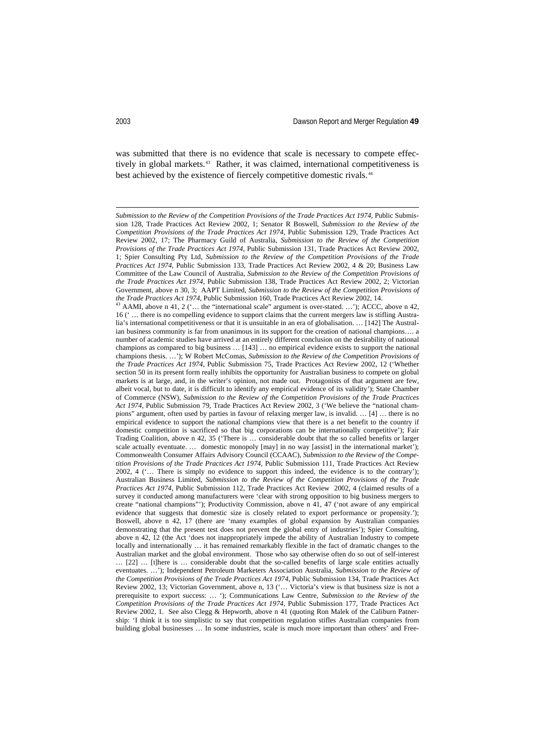was submitted that there is no evidence that scale is necessary to compete effec-tively in global markets.<sup>[43](#page-11-0)</sup> Rather, it was claimed, international competitiveness is best achieved by the existence of fiercely competitive domestic rivals.<sup>[44](#page-11-1)</sup>

j

<span id="page-11-0"></span>*Submission to the Review of the Competition Provisions of the Trade Practices Act 1974*, Public Submission 128, Trade Practices Act Review 2002, 1; Senator R Boswell, *Submission to the Review of the Competition Provisions of the Trade Practices Act 1974*, Public Submission 129, Trade Practices Act Review 2002, 17; The Pharmacy Guild of Australia, *Submission to the Review of the Competition Provisions of the Trade Practices Act 1974*, Public Submission 131, Trade Practices Act Review 2002, 1; Spier Consulting Pty Ltd, *Submission to the Review of the Competition Provisions of the Trade Practices Act 1974*, Public Submission 133, Trade Practices Act Review 2002, 4 & 20; Business Law Committee of the Law Council of Australia, *Submission to the Review of the Competition Provisions of the Trade Practices Act 1974*, Public Submission 138, Trade Practices Act Review 2002, 2; Victorian Government, above n 30, 3; AAPT Limited, *Submission to the Review of the Competition Provisions of the Trade Practices Act 1974*, Public Submission 160, Trade Practices Act Review 2002, 14.

<span id="page-11-1"></span><sup>43</sup> AAMI, above n 41, 2 ('… the "international scale" argument is over-stated. …'); ACCC, above n 42, 16 (' … there is no compelling evidence to support claims that the current mergers law is stifling Australia's international competitiveness or that it is unsuitable in an era of globalisation. … [142] The Australian business community is far from unanimous in its support for the creation of national champions…. a number of academic studies have arrived at an entirely different conclusion on the desirability of national champions as compared to big business … [143] … no empirical evidence exists to support the national champions thesis. …'); W Robert McComas, *Submission to the Review of the Competition Provisions of the Trade Practices Act 1974*, Public Submission 75, Trade Practices Act Review 2002, 12 ('Whether section 50 in its present form really inhibits the opportunity for Australian business to compete on global markets is at large, and, in the writer's opinion, not made out. Protagonists of that argument are few, albeit vocal, but to date, it is difficult to identify any empirical evidence of its validity'); State Chamber of Commerce (NSW), *Submission to the Review of the Competition Provisions of the Trade Practices Act 1974*, Public Submission 79, Trade Practices Act Review 2002, 3 ('We believe the "national champions" argument, often used by parties in favour of relaxing merger law, is invalid. … [4] … there is no empirical evidence to support the national champions view that there is a net benefit to the country if domestic competition is sacrificed so that big corporations can be internationally competitive'); Fair Trading Coalition, above n 42, 35 ('There is … considerable doubt that the so called benefits or larger scale actually eventuate. ... domestic monopoly [may] in no way [assist] in the international market'); Commonwealth Consumer Affairs Advisory Council (CCAAC), *Submission to the Review of the Competition Provisions of the Trade Practices Act 1974*, Public Submission 111, Trade Practices Act Review 2002, 4 ('… There is simply no evidence to support this indeed, the evidence is to the contrary'); Australian Business Limited, *Submission to the Review of the Competition Provisions of the Trade Practices Act 1974*, Public Submission 112, Trade Practices Act Review 2002, 4 (claimed results of a survey it conducted among manufacturers were 'clear with strong opposition to big business mergers to create "national champions"'); Productivity Commission, above n 41, 47 ('not aware of any empirical evidence that suggests that domestic size is closely related to export performance or propensity.'): Boswell, above n 42, 17 (there are 'many examples of global expansion by Australian companies demonstrating that the present test does not prevent the global entry of industries'); Spier Consulting, above n 42, 12 (the Act 'does not inappropriately impede the ability of Australian Industry to compete locally and internationally ... it has remained remarkably flexible in the fact of dramatic changes to the Australian market and the global environment. Those who say otherwise often do so out of self-interest … [22] … [t]here is … considerable doubt that the so-called benefits of large scale entities actually eventuates. …'); Independent Petroleum Marketers Association Australia, *Submission to the Review of the Competition Provisions of the Trade Practices Act 1974*, Public Submission 134, Trade Practices Act Review 2002, 13; Victorian Government, above n, 13 ('… Victoria's view is that business size is not a prerequisite to export success: … '); Communications Law Centre, *Submission to the Review of the Competition Provisions of the Trade Practices Act 1974*, Public Submission 177, Trade Practices Act Review 2002, 1. See also Clegg & Hepworth, above n 41 (quoting Ron Malek of the Caliburn Patnership: 'I think it is too simplistic to say that competition regulation stifles Australian companies from building global businesses … In some industries, scale is much more important than others' and Free-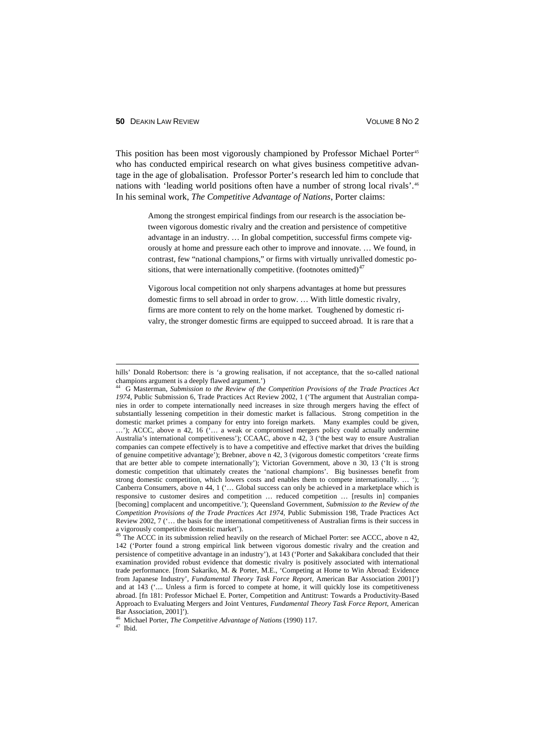This position has been most vigorously championed by Professor Michael Porter<sup>[45](#page-12-0)</sup> who has conducted empirical research on what gives business competitive advantage in the age of globalisation. Professor Porter's research led him to conclude that nations with 'leading world positions often have a number of strong local rivals'.<sup>[46](#page-12-1)</sup> In his seminal work, *The Competitive Advantage of Nations*, Porter claims:

> Among the strongest empirical findings from our research is the association between vigorous domestic rivalry and the creation and persistence of competitive advantage in an industry. … In global competition, successful firms compete vigorously at home and pressure each other to improve and innovate. … We found, in contrast, few "national champions," or firms with virtually unrivalled domestic po-sitions, that were internationally competitive. (footnotes omitted)<sup>[47](#page-12-2)</sup>

> Vigorous local competition not only sharpens advantages at home but pressures domestic firms to sell abroad in order to grow. … With little domestic rivalry, firms are more content to rely on the home market. Toughened by domestic rivalry, the stronger domestic firms are equipped to succeed abroad. It is rare that a

<span id="page-12-2"></span>

hills' Donald Robertson: there is 'a growing realisation, if not acceptance, that the so-called national champions argument is a deeply flawed argument.')

<sup>44</sup> G Masterman, *Submission to the Review of the Competition Provisions of the Trade Practices Act 1974*, Public Submission 6, Trade Practices Act Review 2002, 1 ('The argument that Australian companies in order to compete internationally need increases in size through mergers having the effect of substantially lessening competition in their domestic market is fallacious. Strong competition in the domestic market primes a company for entry into foreign markets. Many examples could be given, …'); ACCC, above n 42, 16 ('… a weak or compromised mergers policy could actually undermine Australia's international competitiveness'); CCAAC, above n 42, 3 ('the best way to ensure Australian companies can compete effectively is to have a competitive and effective market that drives the building of genuine competitive advantage'); Brebner, above n 42, 3 (vigorous domestic competitors 'create firms that are better able to compete internationally'); Victorian Government, above n 30, 13 ('It is strong domestic competition that ultimately creates the 'national champions'. Big businesses benefit from strong domestic competition, which lowers costs and enables them to compete internationally. … '); Canberra Consumers, above n 44, 1 ('… Global success can only be achieved in a marketplace which is responsive to customer desires and competition … reduced competition … [results in] companies [becoming] complacent and uncompetitive.'); Queensland Government, *Submission to the Review of the Competition Provisions of the Trade Practices Act 1974*, Public Submission 198, Trade Practices Act Review 2002, 7 ('… the basis for the international competitiveness of Australian firms is their success in

<span id="page-12-0"></span>a vigorously competitive domestic market').<br><sup>45</sup> The ACCC in its submission relied heavily on the research of Michael Porter: see ACCC, above n 42, 142 ('Porter found a strong empirical link between vigorous domestic rivalry and the creation and persistence of competitive advantage in an industry'), at 143 ('Porter and Sakakibara concluded that their examination provided robust evidence that domestic rivalry is positively associated with international trade performance. [from Sakariko, M. & Porter, M.E., 'Competing at Home to Win Abroad: Evidence from Japanese Industry', *Fundamental Theory Task Force Report*, American Bar Association 2001]') and at 143 ('.... Unless a firm is forced to compete at home, it will quickly lose its competitiveness abroad. [fn 181: Professor Michael E. Porter, Competition and Antitrust: Towards a Productivity-Based Approach to Evaluating Mergers and Joint Ventures, *Fundamental Theory Task Force Report*, American Bar Association, 2001]'). <sup>46</sup> Michael Porter, *The Competitive Advantage of Nations* (1990) 117.<br><sup>47</sup> Ibid.

<span id="page-12-1"></span>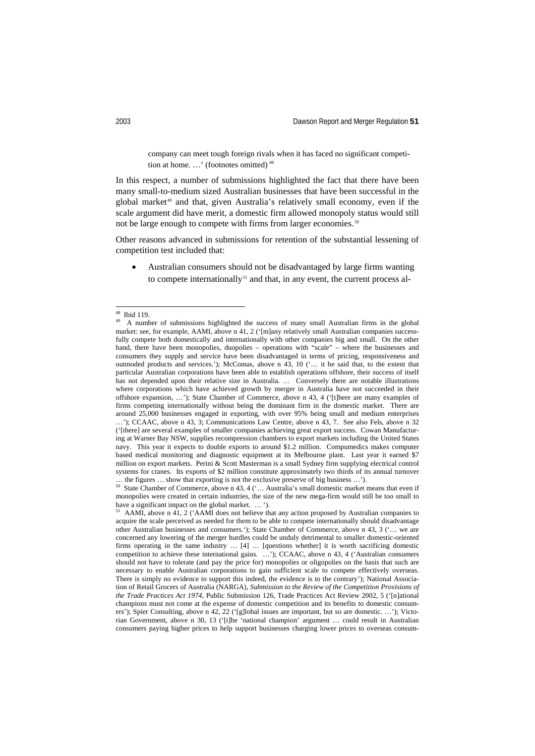company can meet tough foreign rivals when it has faced no significant competition at home. …' (footnotes omitted) [48](#page-13-0)

In this respect, a number of submissions highlighted the fact that there have been many small-to-medium sized Australian businesses that have been successful in the global market<sup>[49](#page-13-1)</sup> and that, given Australia's relatively small economy, even if the scale argument did have merit, a domestic firm allowed monopoly status would still not be large enough to compete with firms from larger economies.<sup>[50](#page-13-2)</sup>

Other reasons advanced in submissions for retention of the substantial lessening of competition test included that:

• Australian consumers should not be disadvantaged by large firms wanting to compete internationally<sup>[51](#page-13-3)</sup> and that, in any event, the current process al-

<span id="page-13-2"></span>… the figures … show that exporting is not the exclusive preserve of big business …').  $50$  State Chamber of Commerce, above n 43, 4 ('… Australia's small domestic market means that even if monopolies were created in certain industries, the size of the new mega-firm would still be too small to have a significant impact on the global market. … ').

<span id="page-13-1"></span><span id="page-13-0"></span><sup>&</sup>lt;sup>48</sup> Ibid 119.<br><sup>49</sup> A number of submissions highlighted the success of many small Australian firms in the global market: see, for example, AAMI, above n 41, 2 ('[m]any relatively small Australian companies successfully compete both domestically and internationally with other companies big and small. On the other hand, there have been monopolies, duopolies – operations with "scale" – where the businesses and consumers they supply and service have been disadvantaged in terms of pricing, responsiveness and outmoded products and services.'); McComas, above n 43, 10 ('… it be said that, to the extent that particular Australian corporations have been able to establish operations offshore, their success of itself has not depended upon their relative size in Australia. … Conversely there are notable illustrations where corporations which have achieved growth by merger in Australia have not succeeded in their offshore expansion, …'); State Chamber of Commerce, above n 43, 4 ('[t]here are many examples of firms competing internationally without being the dominant firm in the domestic market. There are around 25,000 businesses engaged in exporting, with over 95% being small and medium enterprises …'); CCAAC, above n 43, 3; Communications Law Centre, above n 43, 7. See also Fels, above n 32 ('[there] are several examples of smaller companies achieving great export success. Cowan Manufacturing at Warner Bay NSW, supplies recompression chambers to export markets including the United States navy. This year it expects to double exports to around \$1.2 million. Compumedics makes computer based medical monitoring and diagnostic equipment at its Melbourne plant. Last year it earned \$7 million on export markets. Perini & Scott Masterman is a small Sydney firm supplying electrical control systems for cranes. Its exports of \$2 million constitute approximately two thirds of its annual turnover

<span id="page-13-3"></span> $^{51}$  AAMI, above n 41, 2 ('AAMI does not believe that any action proposed by Australian companies to acquire the scale perceived as needed for them to be able to compete internationally should disadvantage other Australian businesses and consumers.'); State Chamber of Commerce, above n 43, 3 ('… we are concerned any lowering of the merger hurdles could be unduly detrimental to smaller domestic-oriented firms operating in the same industry … [4] … [questions whether] it is worth sacrificing domestic competition to achieve these international gains. …'); CCAAC, above n 43, 4 ('Australian consumers should not have to tolerate (and pay the price for) monopolies or oligopolies on the basis that such are necessary to enable Australian corporations to gain sufficient scale to compete effectively overseas. There is simply no evidence to support this indeed, the evidence is to the contrary'); National Association of Retail Grocers of Australia (NARGA), *Submission to the Review of the Competition Provisions of the Trade Practices Act 1974*, Public Submission 126, Trade Practices Act Review 2002, 5 ('[n]ational champions must not come at the expense of domestic competition and its benefits to domestic consumers'); Spier Consulting, above n 42, 22 ('[g]lobal issues are important, but so are domestic. ...'); Victorian Government, above n 30, 13 ('[t]he 'national champion' argument … could result in Australian consumers paying higher prices to help support businesses charging lower prices to overseas consum-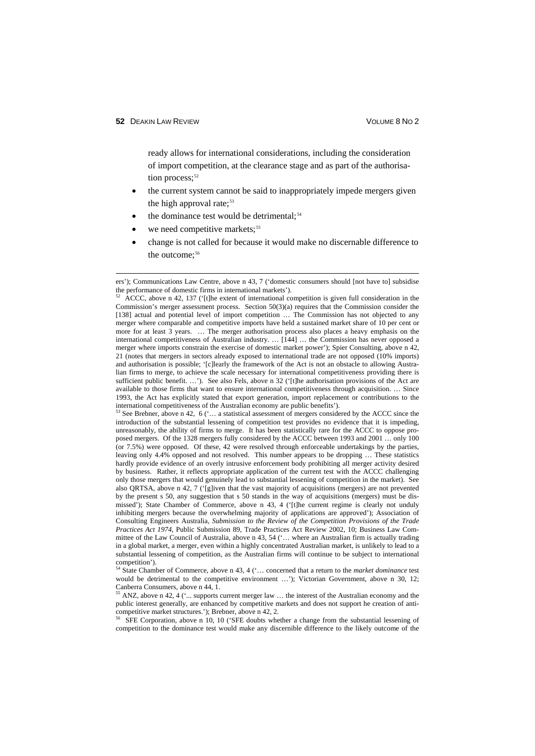ready allows for international considerations, including the consideration of import competition, at the clearance stage and as part of the authorisa-tion process;<sup>[52](#page-14-0)</sup>

- the current system cannot be said to inappropriately impede mergers given the high approval rate: $53$
- the dominance test would be detrimental;<sup>[54](#page-14-2)</sup>
- we need competitive markets;<sup>[55](#page-14-3)</sup>
- change is not called for because it would make no discernable difference to the outcome: $56$

ers'); Communications Law Centre, above n 43, 7 ('domestic consumers should [not have to] subsidise the performance of domestic firms in international markets').

<span id="page-14-0"></span><sup>52</sup> ACCC, above n 42, 137 ('[t]he extent of international competition is given full consideration in the Commission's merger assessment process. Section 50(3)(a) requires that the Commission consider the [138] actual and potential level of import competition ... The Commission has not objected to any merger where comparable and competitive imports have held a sustained market share of 10 per cent or more for at least 3 years. … The merger authorisation process also places a heavy emphasis on the international competitiveness of Australian industry. … [144] … the Commission has never opposed a merger where imports constrain the exercise of domestic market power'); Spier Consulting, above n 42, 21 (notes that mergers in sectors already exposed to international trade are not opposed (10% imports) and authorisation is possible; '[c]learly the framework of the Act is not an obstacle to allowing Australian firms to merge, to achieve the scale necessary for international competitiveness providing there is sufficient public benefit. ...'). See also Fels, above n 32 ('[t]he authorisation provisions of the Act are available to those firms that want to ensure international competitiveness through acquisition. … Since 1993, the Act has explicitly stated that export generation, import replacement or contributions to the international competitiveness of the Australian economy are public benefits').

<span id="page-14-1"></span><sup>&</sup>lt;sup>53</sup> See Brebner, above n 42, 6 ( $\ldots$  a statistical assessment of mergers considered by the ACCC since the introduction of the substantial lessening of competition test provides no evidence that it is impeding, unreasonably, the ability of firms to merge. It has been statistically rare for the ACCC to oppose proposed mergers. Of the 1328 mergers fully considered by the ACCC between 1993 and 2001 … only 100 (or 7.5%) were opposed. Of these, 42 were resolved through enforceable undertakings by the parties, leaving only 4.4% opposed and not resolved. This number appears to be dropping … These statistics hardly provide evidence of an overly intrusive enforcement body prohibiting all merger activity desired by business. Rather, it reflects appropriate application of the current test with the ACCC challenging only those mergers that would genuinely lead to substantial lessening of competition in the market). See also QRTSA, above n 42, 7 ('[g]iven that the vast majority of acquisitions (mergers) are not prevented by the present s 50, any suggestion that s 50 stands in the way of acquisitions (mergers) must be dismissed'); State Chamber of Commerce, above n 43, 4 ('[t]he current regime is clearly not unduly inhibiting mergers because the overwhelming majority of applications are approved'); Association of Consulting Engineers Australia, *Submission to the Review of the Competition Provisions of the Trade Practices Act 1974*, Public Submission 89, Trade Practices Act Review 2002, 10; Business Law Committee of the Law Council of Australia, above n 43, 54 ('… where an Australian firm is actually trading in a global market, a merger, even within a highly concentrated Australian market, is unlikely to lead to a substantial lessening of competition, as the Australian firms will continue to be subject to international competition').

<span id="page-14-2"></span><sup>54</sup> State Chamber of Commerce, above n 43, 4 ('… concerned that a return to the *market dominance* test would be detrimental to the competitive environment ...'); Victorian Government, above n 30, 12; Canberra Consumers, above n 44, 1.

<span id="page-14-3"></span><sup>55</sup> ANZ, above n 42, 4 ('... supports current merger law … the interest of the Australian economy and the public interest generally, are enhanced by competitive markets and does not support he creation of anticompetitive market structures.'); Brebner, above n 42, 2.

<span id="page-14-4"></span>SFE Corporation, above n 10, 10 ('SFE doubts whether a change from the substantial lessening of competition to the dominance test would make any discernible difference to the likely outcome of the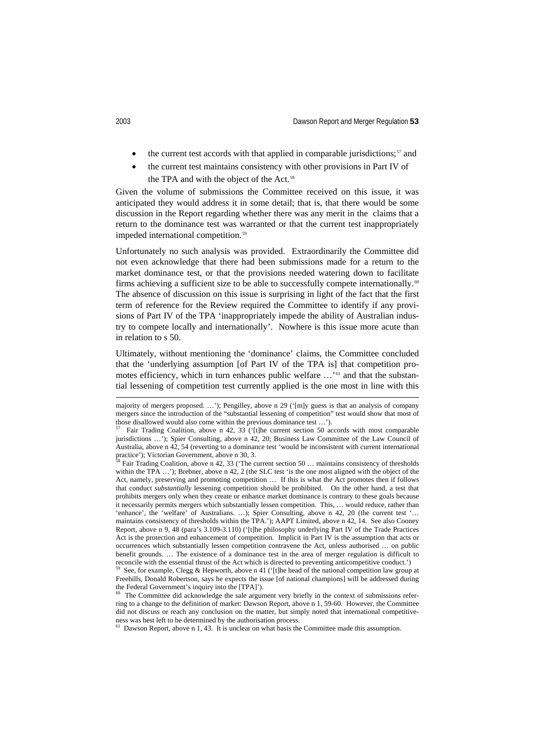- the current test accords with that applied in comparable jurisdictions;<sup>[57](#page-15-0)</sup> and
- the current test maintains consistency with other provisions in Part IV of the TPA and with the object of the Act.<sup>[58](#page-15-1)</sup>

Given the volume of submissions the Committee received on this issue, it was anticipated they would address it in some detail; that is, that there would be some discussion in the Report regarding whether there was any merit in the claims that a return to the dominance test was warranted or that the current test inappropriately impeded international competition.<sup>[59](#page-15-2)</sup>

Unfortunately no such analysis was provided. Extraordinarily the Committee did not even acknowledge that there had been submissions made for a return to the market dominance test, or that the provisions needed watering down to facilitate firms achieving a sufficient size to be able to successfully compete internationally.<sup>[60](#page-15-3)</sup> The absence of discussion on this issue is surprising in light of the fact that the first term of reference for the Review required the Committee to identify if any provisions of Part IV of the TPA 'inappropriately impede the ability of Australian industry to compete locally and internationally'. Nowhere is this issue more acute than in relation to s 50.

Ultimately, without mentioning the 'dominance' claims, the Committee concluded that the 'underlying assumption [of Part IV of the TPA is] that competition promotes efficiency, which in turn enhances public welfare …' [61](#page-15-4) and that the substantial lessening of competition test currently applied is the one most in line with this

<span id="page-15-1"></span>Fair Trading Coalition, above n 42, 33 ('The current section 50 ... maintains consistency of thresholds within the TPA ...'); Brebner, above n 42, 2 (the SLC test 'is the one most aligned with the object of the Act, namely, preserving and promoting competition … If this is what the Act promotes then if follows that conduct *substantially* lessening competition should be prohibited. On the other hand, a test that prohibits mergers only when they create or enhance market dominance is contrary to these goals because it necessarily permits mergers which substantially lessen competition. This, … would reduce, rather than 'enhance', the 'welfare' of Australians. …); Spier Consulting, above n 42, 20 (the current test '… maintains consistency of thresholds within the TPA.'); AAPT Limited, above n 42, 14. See also Cooney Report, above n 9, 48 (para's 3.109-3.110) ('[t]he philosophy underlying Part IV of the Trade Practices Act is the protection and enhancement of competition. Implicit in Part IV is the assumption that acts or occurrences which substantially lessen competition contravene the Act, unless authorised … on public benefit grounds. … The existence of a dominance test in the area of merger regulation is difficult to reconcile with the essential thrust of the Act which is directed to preventing anticompetitive conduct.')

<span id="page-15-2"></span>See, for example, Clegg & Hepworth, above n 41 ('[t]he head of the national competition law group at Freehills, Donald Robertson, says he expects the issue [of national champions] will be addressed during the Federal Government's inquiry into the [TPA]').

majority of mergers proposed. ...'); Pengilley, above n 29 ('[m]y guess is that an analysis of company mergers since the introduction of the "substantial lessening of competition" test would show that most of those disallowed would also come within the previous dominance test …').

<span id="page-15-0"></span>Fair Trading Coalition, above n 42, 33 ('[t]he current section 50 accords with most comparable jurisdictions …'); Spier Consulting, above n 42, 20; Business Law Committee of the Law Council of Australia, above n 42, 54 (reverting to a dominance test 'would be inconsistent with current international practice'); Victorian Government, above n 30, 3.<br><sup>58</sup> Faith Tradistic Carlier of the 32 (TL

<span id="page-15-3"></span>The Committee did acknowledge the sale argument very briefly in the context of submissions referring to a change to the definition of market: Dawson Report, above n 1, 59-60. However, the Committee did not discuss or reach any conclusion on the matter, but simply noted that international competitiveness was best left to be determined by the authorisation process.<br><sup>61</sup> Dawson Penert alternation process.

<span id="page-15-4"></span>Dawson Report, above n 1, 43. It is unclear on what basis the Committee made this assumption.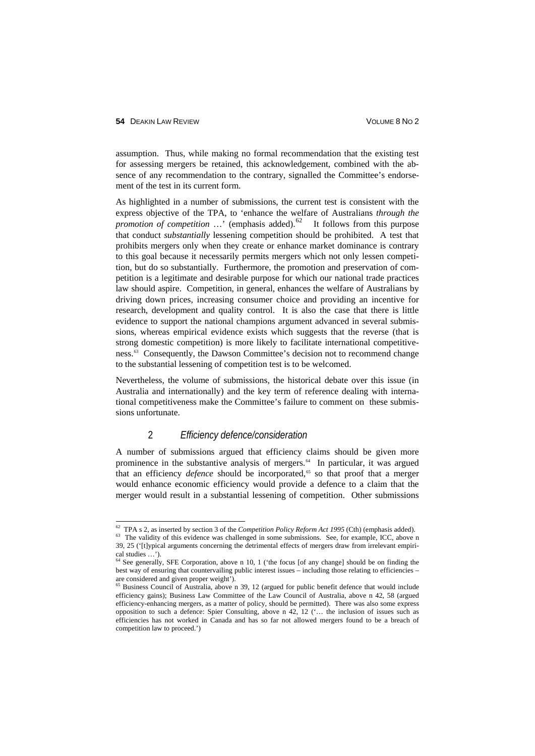assumption. Thus, while making no formal recommendation that the existing test for assessing mergers be retained, this acknowledgement, combined with the absence of any recommendation to the contrary, signalled the Committee's endorsement of the test in its current form.

As highlighted in a number of submissions, the current test is consistent with the express objective of the TPA, to 'enhance the welfare of Australians *through the promotion of competition*  $\ldots$  (emphasis added).<sup>[62](#page-16-0)</sup> It follows from this purpose that conduct *substantially* lessening competition should be prohibited. A test that prohibits mergers only when they create or enhance market dominance is contrary to this goal because it necessarily permits mergers which not only lessen competition, but do so substantially. Furthermore, the promotion and preservation of competition is a legitimate and desirable purpose for which our national trade practices law should aspire. Competition, in general, enhances the welfare of Australians by driving down prices, increasing consumer choice and providing an incentive for research, development and quality control. It is also the case that there is little evidence to support the national champions argument advanced in several submissions, whereas empirical evidence exists which suggests that the reverse (that is strong domestic competition) is more likely to facilitate international competitiveness.[63](#page-16-1) Consequently, the Dawson Committee's decision not to recommend change to the substantial lessening of competition test is to be welcomed.

Nevertheless, the volume of submissions, the historical debate over this issue (in Australia and internationally) and the key term of reference dealing with international competitiveness make the Committee's failure to comment on these submissions unfortunate.

#### 2 *Efficiency defence/consideration*

A number of submissions argued that efficiency claims should be given more prominence in the substantive analysis of mergers.<sup>[64](#page-16-2)</sup> In particular, it was argued that an efficiency *defence* should be incorporated,<sup>[65](#page-16-3)</sup> so that proof that a merger would enhance economic efficiency would provide a defence to a claim that the merger would result in a substantial lessening of competition. Other submissions

<span id="page-16-0"></span> <sup>62</sup> TPA s 2, as inserted by section 3 of the *Competition Policy Reform Act 1995* (Cth) (emphasis added).

<span id="page-16-1"></span><sup>&</sup>lt;sup>63</sup> The validity of this evidence was challenged in some submissions. See, for example, ICC, above n 39, 25 ('[t]ypical arguments concerning the detrimental effects of mergers draw from irrelevant empirical studies …').

<span id="page-16-2"></span><sup>64</sup> See generally, SFE Corporation, above n 10, 1 ('the focus [of any change] should be on finding the best way of ensuring that countervailing public interest issues – including those relating to efficiencies – are considered and given proper weight').

<span id="page-16-3"></span><sup>65</sup> Business Council of Australia, above n 39, 12 (argued for public benefit defence that would include efficiency gains); Business Law Committee of the Law Council of Australia, above n 42, 58 (argued efficiency-enhancing mergers, as a matter of policy, should be permitted). There was also some express opposition to such a defence: Spier Consulting, above n 42, 12 ('… the inclusion of issues such as efficiencies has not worked in Canada and has so far not allowed mergers found to be a breach of competition law to proceed.')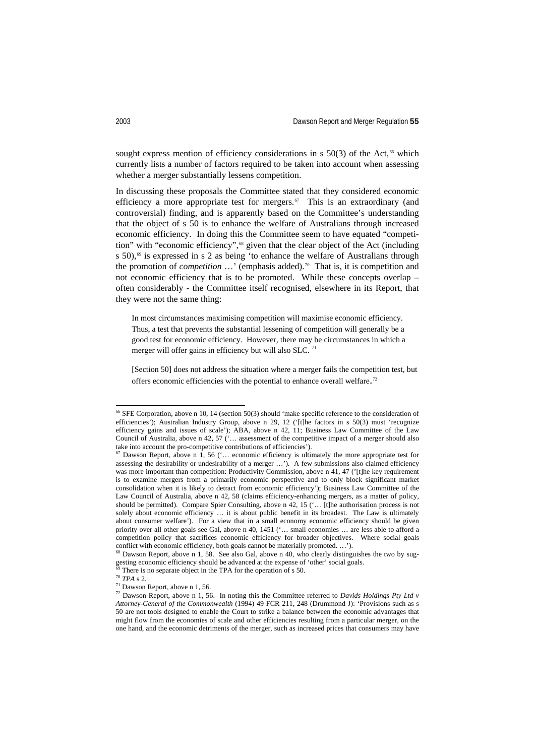sought express mention of efficiency considerations in  $s$  50(3) of the Act,<sup> $66$ </sup> which currently lists a number of factors required to be taken into account when assessing whether a merger substantially lessens competition.

In discussing these proposals the Committee stated that they considered economic efficiency a more appropriate test for mergers.<sup>[67](#page-17-1)</sup> This is an extraordinary (and controversial) finding, and is apparently based on the Committee's understanding that the object of s 50 is to enhance the welfare of Australians through increased economic efficiency. In doing this the Committee seem to have equated "competi-tion" with "economic efficiency",<sup>[68](#page-17-2)</sup> given that the clear object of the Act (including s 50), $\omega$  is expressed in s 2 as being 'to enhance the welfare of Australians through the promotion of *competition* ...' (emphasis added).<sup>[70](#page-17-4)</sup> That is, it is competition and not economic efficiency that is to be promoted. While these concepts overlap – often considerably - the Committee itself recognised, elsewhere in its Report, that they were not the same thing:

In most circumstances maximising competition will maximise economic efficiency. Thus, a test that prevents the substantial lessening of competition will generally be a good test for economic efficiency. However, there may be circumstances in which a merger will offer gains in efficiency but will also SLC.<sup>[71](#page-17-5)</sup>

[Section 50] does not address the situation where a merger fails the competition test, but offers economic efficiencies with the potential to enhance overall welfare.<sup>[72](#page-17-6)</sup>

<span id="page-17-0"></span> $^{66}$  SFE Corporation, above n 10, 14 (section 50(3) should 'make specific reference to the consideration of efficiencies'); Australian Industry Group, above n 29, 12 ('[t]he factors in s 50(3) must 'recognize efficiency gains and issues of scale'); ABA, above n 42, 11; Business Law Committee of the Law Council of Australia, above n 42, 57 ('… assessment of the competitive impact of a merger should also take into account the pro-competitive contributions of efficiencies').

<span id="page-17-1"></span> $67$  Dawson Report, above n 1, 56 ('... economic efficiency is ultimately the more appropriate test for assessing the desirability or undesirability of a merger …'). A few submissions also claimed efficiency was more important than competition: Productivity Commission, above n 41, 47 ('[t]he key requirement is to examine mergers from a primarily economic perspective and to only block significant market consolidation when it is likely to detract from economic efficiency'); Business Law Committee of the Law Council of Australia, above n 42, 58 (claims efficiency-enhancing mergers, as a matter of policy, should be permitted). Compare Spier Consulting, above n 42, 15 ('… [t]he authorisation process is not solely about economic efficiency ... it is about public benefit in its broadest. The Law is ultimately about consumer welfare'). For a view that in a small economy economic efficiency should be given priority over all other goals see Gal, above n 40, 1451 ('… small economies … are less able to afford a competition policy that sacrifices economic efficiency for broader objectives. Where social goals conflict with economic efficiency, both goals cannot be materially promoted. …').

<span id="page-17-2"></span><sup>&</sup>lt;sup>68</sup> Dawson Report, above n 1, 58. See also Gal, above n 40, who clearly distinguishes the two by suggesting economic efficiency should be advanced at the expense of 'other' social goals.

There is no separate object in the TPA for the operation of s 50.

<span id="page-17-4"></span><span id="page-17-3"></span><sup>70</sup> *TPA* s 2.

<span id="page-17-5"></span> $71$  Dawson Report, above n 1, 56.

<span id="page-17-6"></span><sup>72</sup> Dawson Report, above n 1, 56. In noting this the Committee referred to *Davids Holdings Pty Ltd v Attorney-General of the Commonwealth* (1994) 49 FCR 211, 248 (Drummond J): 'Provisions such as s 50 are not tools designed to enable the Court to strike a balance between the economic advantages that might flow from the economies of scale and other efficiencies resulting from a particular merger, on the one hand, and the economic detriments of the merger, such as increased prices that consumers may have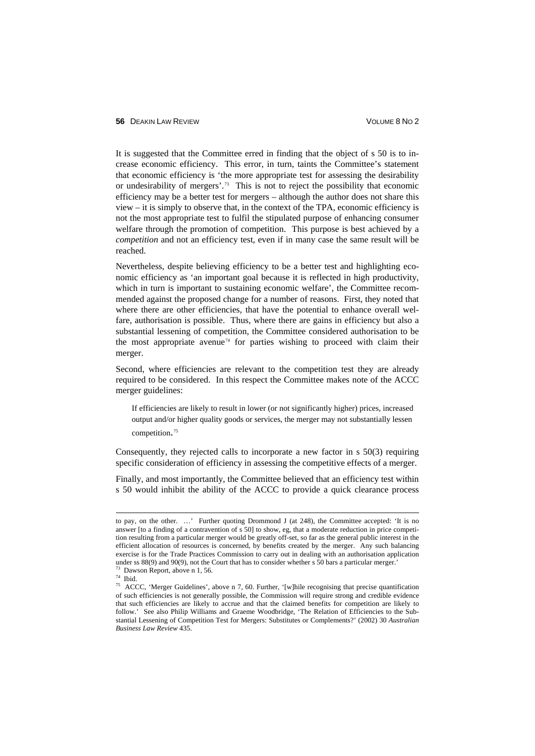It is suggested that the Committee erred in finding that the object of s 50 is to increase economic efficiency. This error, in turn, taints the Committee's statement that economic efficiency is 'the more appropriate test for assessing the desirability or undesirability of mergers'.[73](#page-18-0) This is not to reject the possibility that economic efficiency may be a better test for mergers – although the author does not share this view – it is simply to observe that, in the context of the TPA, economic efficiency is not the most appropriate test to fulfil the stipulated purpose of enhancing consumer welfare through the promotion of competition. This purpose is best achieved by a *competition* and not an efficiency test, even if in many case the same result will be reached.

Nevertheless, despite believing efficiency to be a better test and highlighting economic efficiency as 'an important goal because it is reflected in high productivity, which in turn is important to sustaining economic welfare', the Committee recommended against the proposed change for a number of reasons. First, they noted that where there are other efficiencies, that have the potential to enhance overall welfare, authorisation is possible. Thus, where there are gains in efficiency but also a substantial lessening of competition, the Committee considered authorisation to be the most appropriate avenue<sup> $74$ </sup> for parties wishing to proceed with claim their merger.

Second, where efficiencies are relevant to the competition test they are already required to be considered. In this respect the Committee makes note of the ACCC merger guidelines:

If efficiencies are likely to result in lower (or not significantly higher) prices, increased output and/or higher quality goods or services, the merger may not substantially lessen competition. [75](#page-18-2)

Consequently, they rejected calls to incorporate a new factor in s 50(3) requiring specific consideration of efficiency in assessing the competitive effects of a merger.

Finally, and most importantly, the Committee believed that an efficiency test within s 50 would inhibit the ability of the ACCC to provide a quick clearance process

to pay, on the other. …' Further quoting Drommond J (at 248), the Committee accepted: 'It is no answer [to a finding of a contravention of s 50] to show, eg, that a moderate reduction in price competition resulting from a particular merger would be greatly off-set, so far as the general public interest in the efficient allocation of resources is concerned, by benefits created by the merger. Any such balancing exercise is for the Trade Practices Commission to carry out in dealing with an authorisation application under ss 88(9) and 90(9), not the Court that has to consider whether s 50 bars a particular merger.<sup>73</sup> Dawson Report, above n 1, 56.

<span id="page-18-0"></span> $74$  Ibid.

<span id="page-18-2"></span><span id="page-18-1"></span><sup>&</sup>lt;sup>75</sup> ACCC, 'Merger Guidelines', above n 7, 60. Further, '[w]hile recognising that precise quantification of such efficiencies is not generally possible, the Commission will require strong and credible evidence that such efficiencies are likely to accrue and that the claimed benefits for competition are likely to follow.' See also Philip Williams and Graeme Woodbridge, 'The Relation of Efficiencies to the Substantial Lessening of Competition Test for Mergers: Substitutes or Complements?' (2002) 30 *Australian Business Law Review* 435.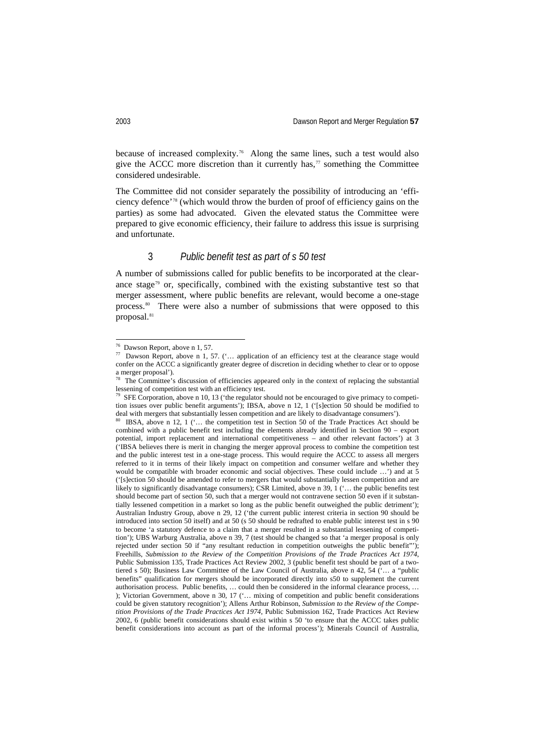because of increased complexity.[76](#page-19-0) Along the same lines, such a test would also give the ACCC more discretion than it currently has, $\eta$  something the Committee considered undesirable.

The Committee did not consider separately the possibility of introducing an 'efficiency defence' [78](#page-19-2) (which would throw the burden of proof of efficiency gains on the parties) as some had advocated. Given the elevated status the Committee were prepared to give economic efficiency, their failure to address this issue is surprising and unfortunate.

#### 3 *Public benefit test as part of s 50 test*

A number of submissions called for public benefits to be incorporated at the clear-ance stage<sup>[79](#page-19-3)</sup> or, specifically, combined with the existing substantive test so that merger assessment, where public benefits are relevant, would become a one-stage process.<sup>80</sup> There were also a number of submissions that were opposed to this proposal.<sup>[81](#page-19-5)</sup>

 <sup>76</sup> Dawson Report, above n 1, 57.

<span id="page-19-1"></span><span id="page-19-0"></span><sup>&</sup>lt;sup>77</sup> Dawson Report, above n 1, 57. ('... application of an efficiency test at the clearance stage would confer on the ACCC a significantly greater degree of discretion in deciding whether to clear or to oppose a merger proposal').

<span id="page-19-2"></span> $78$  The Committee's discussion of efficiencies appeared only in the context of replacing the substantial lessening of competition test with an efficiency test.<br> $^{79}$  SEE Competition shares a 10–12 (the manifolds)

<span id="page-19-5"></span><span id="page-19-3"></span>SFE Corporation, above n 10, 13 ('the regulator should not be encouraged to give primacy to competition issues over public benefit arguments'); IBSA, above n 12, 1 ('[s]ection 50 should be modified to deal with mergers that substantially lessen competition and are likely to disadvantage consumers').

<span id="page-19-4"></span><sup>80</sup> IBSA, above n 12, 1 ('... the competition test in Section 50 of the Trade Practices Act should be combined with a public benefit test including the elements already identified in Section 90 – export potential, import replacement and international competitiveness – and other relevant factors') at 3 ('IBSA believes there is merit in changing the merger approval process to combine the competition test and the public interest test in a one-stage process. This would require the ACCC to assess all mergers referred to it in terms of their likely impact on competition and consumer welfare and whether they would be compatible with broader economic and social objectives. These could include ...') and at  $\overline{5}$ ('[s]ection 50 should be amended to refer to mergers that would substantially lessen competition and are likely to significantly disadvantage consumers); CSR Limited, above n 39, 1 ('… the public benefits test should become part of section 50, such that a merger would not contravene section 50 even if it substantially lessened competition in a market so long as the public benefit outweighed the public detriment'); Australian Industry Group, above n 29, 12 ('the current public interest criteria in section 90 should be introduced into section 50 itself) and at 50 (s 50 should be redrafted to enable public interest test in s 90 to become 'a statutory defence to a claim that a merger resulted in a substantial lessening of competition'); UBS Warburg Australia, above n 39, 7 (test should be changed so that 'a merger proposal is only rejected under section 50 if "any resultant reduction in competition outweighs the public benefit"'); Freehills, *Submission to the Review of the Competition Provisions of the Trade Practices Act 1974*, Public Submission 135, Trade Practices Act Review 2002, 3 (public benefit test should be part of a twotiered s 50); Business Law Committee of the Law Council of Australia, above n 42, 54 ('… a "public benefits" qualification for mergers should be incorporated directly into s50 to supplement the current authorisation process. Public benefits, … could then be considered in the informal clearance process, … ); Victorian Government, above n 30, 17 ('… mixing of competition and public benefit considerations could be given statutory recognition'); Allens Arthur Robinson, *Submission to the Review of the Competition Provisions of the Trade Practices Act 1974*, Public Submission 162, Trade Practices Act Review 2002, 6 (public benefit considerations should exist within s 50 'to ensure that the ACCC takes public benefit considerations into account as part of the informal process'); Minerals Council of Australia,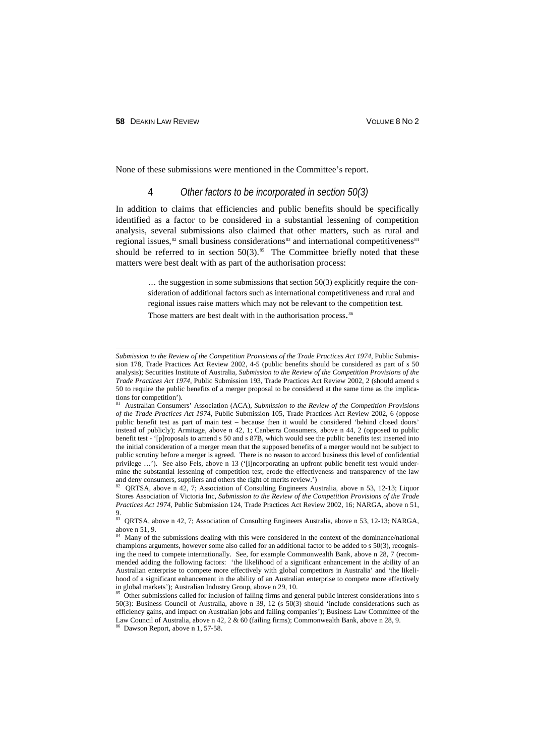-

None of these submissions were mentioned in the Committee's report.

#### 4 *Other factors to be incorporated in section 50(3)*

In addition to claims that efficiencies and public benefits should be specifically identified as a factor to be considered in a substantial lessening of competition analysis, several submissions also claimed that other matters, such as rural and regional issues, $82$  small business considerations $83$  and international competitiveness  $84$ should be referred to in section  $50(3)$ .<sup>[85](#page-20-3)</sup> The Committee briefly noted that these matters were best dealt with as part of the authorisation process:

> … the suggestion in some submissions that section 50(3) explicitly require the consideration of additional factors such as international competitiveness and rural and regional issues raise matters which may not be relevant to the competition test. Those matters are best dealt with in the authorisation process.<sup>[86](#page-20-4)</sup>

<span id="page-20-0"></span><sup>82</sup> QRTSA, above n 42, 7; Association of Consulting Engineers Australia, above n 53, 12-13; Liquor Stores Association of Victoria Inc, *Submission to the Review of the Competition Provisions of the Trade Practices Act 1974*, Public Submission 124, Trade Practices Act Review 2002, 16; NARGA, above n 51, 9.

*Submission to the Review of the Competition Provisions of the Trade Practices Act 1974*, Public Submission 178, Trade Practices Act Review 2002, 4-5 (public benefits should be considered as part of s 50 analysis); Securities Institute of Australia, *Submission to the Review of the Competition Provisions of the Trade Practices Act 1974*, Public Submission 193, Trade Practices Act Review 2002, 2 (should amend s 50 to require the public benefits of a merger proposal to be considered at the same time as the implications for competition').

<sup>81</sup> Australian Consumers' Association (ACA), *Submission to the Review of the Competition Provisions of the Trade Practices Act 1974*, Public Submission 105, Trade Practices Act Review 2002, 6 (oppose public benefit test as part of main test – because then it would be considered 'behind closed doors' instead of publicly); Armitage, above n 42, 1; Canberra Consumers, above n 44, 2 (opposed to public benefit test - '[p]roposals to amend s 50 and s 87B, which would see the public benefits test inserted into the initial consideration of a merger mean that the supposed benefits of a merger would not be subject to public scrutiny before a merger is agreed. There is no reason to accord business this level of confidential privilege ...'). See also Fels, above n 13 ('[i]ncorporating an upfront public benefit test would undermine the substantial lessening of competition test, erode the effectiveness and transparency of the law and deny consumers, suppliers and others the right of merits review.')

<span id="page-20-1"></span>QRTSA, above n 42, 7; Association of Consulting Engineers Australia, above n 53, 12-13; NARGA, above n 51, 9.

<span id="page-20-2"></span><sup>&</sup>lt;sup>84</sup> Many of the submissions dealing with this were considered in the context of the dominance/national champions arguments, however some also called for an additional factor to be added to s 50(3), recognising the need to compete internationally. See, for example Commonwealth Bank, above n 28, 7 (recommended adding the following factors: 'the likelihood of a significant enhancement in the ability of an Australian enterprise to compete more effectively with global competitors in Australia' and 'the likelihood of a significant enhancement in the ability of an Australian enterprise to compete more effectively in global markets'); Australian Industry Group, above n 29, 10.

<span id="page-20-3"></span>Other submissions called for inclusion of failing firms and general public interest considerations into s 50(3): Business Council of Australia, above n 39, 12 (s 50(3) should 'include considerations such as efficiency gains, and impact on Australian jobs and failing companies'); Business Law Committee of the Law Council of Australia, above n 42, 2 & 60 (failing firms); Commonwealth Bank, above n 28, 9.<br><sup>86</sup> Dawson Bancti above n 1.57.50

<span id="page-20-4"></span>Dawson Report, above n 1, 57-58.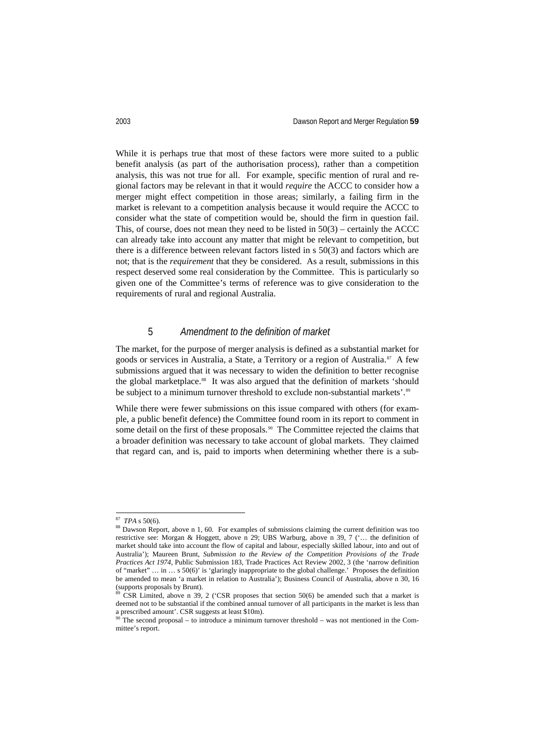While it is perhaps true that most of these factors were more suited to a public benefit analysis (as part of the authorisation process), rather than a competition analysis, this was not true for all. For example, specific mention of rural and regional factors may be relevant in that it would *require* the ACCC to consider how a merger might effect competition in those areas; similarly, a failing firm in the market is relevant to a competition analysis because it would require the ACCC to consider what the state of competition would be, should the firm in question fail. This, of course, does not mean they need to be listed in  $50(3)$  – certainly the ACCC can already take into account any matter that might be relevant to competition, but there is a difference between relevant factors listed in s 50(3) and factors which are not; that is the *requirement* that they be considered. As a result, submissions in this respect deserved some real consideration by the Committee. This is particularly so given one of the Committee's terms of reference was to give consideration to the requirements of rural and regional Australia.

# 5 *Amendment to the definition of market*

The market, for the purpose of merger analysis is defined as a substantial market for goods or services in Australia, a State, a Territory or a region of Australia. [87](#page-21-0) A few submissions argued that it was necessary to widen the definition to better recognise the global marketplace.<sup>88</sup> It was also argued that the definition of markets 'should be subject to a minimum turnover threshold to exclude non-substantial markets'.<sup>[89](#page-21-2)</sup>

While there were fewer submissions on this issue compared with others (for example, a public benefit defence) the Committee found room in its report to comment in some detail on the first of these proposals.<sup>[90](#page-21-3)</sup> The Committee rejected the claims that a broader definition was necessary to take account of global markets. They claimed that regard can, and is, paid to imports when determining whether there is a sub-

 <sup>87</sup> *TPA* s 50(6).

<span id="page-21-1"></span><span id="page-21-0"></span><sup>&</sup>lt;sup>88</sup> Dawson Report, above n 1, 60. For examples of submissions claiming the current definition was too restrictive see: Morgan & Hoggett, above n 29; UBS Warburg, above n 39, 7 ('… the definition of market should take into account the flow of capital and labour, especially skilled labour, into and out of Australia'); Maureen Brunt, *Submission to the Review of the Competition Provisions of the Trade Practices Act 1974*, Public Submission 183, Trade Practices Act Review 2002, 3 (the 'narrow definition of "market" … in … s 50(6)' is 'glaringly inappropriate to the global challenge.' Proposes the definition be amended to mean 'a market in relation to Australia'); Business Council of Australia, above n 30, 16 (supports proposals by Brunt).

<span id="page-21-2"></span> $\overline{CSR}$  Limited, above n 39, 2 ('CSR proposes that section 50(6) be amended such that a market is deemed not to be substantial if the combined annual turnover of all participants in the market is less than a prescribed amount'. CSR suggests at least \$10m).

<span id="page-21-3"></span>The second proposal – to introduce a minimum turnover threshold – was not mentioned in the Committee's report.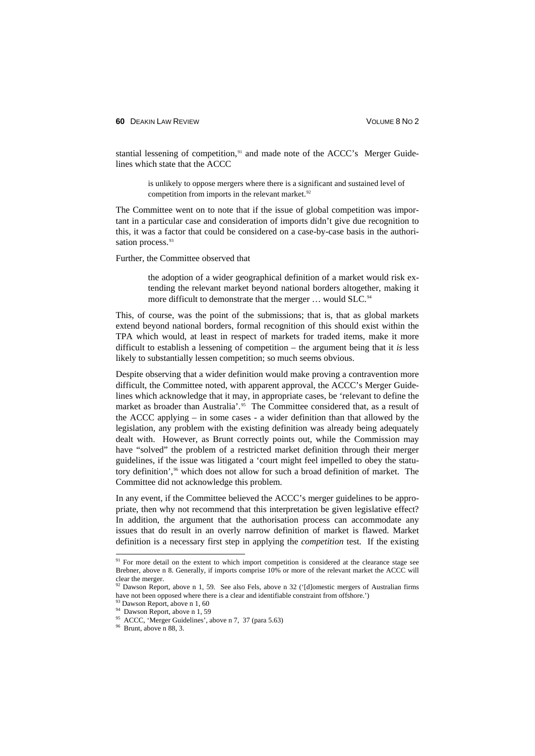stantial lessening of competition,<sup>[91](#page-22-0)</sup> and made note of the ACCC's Merger Guidelines which state that the ACCC

> is unlikely to oppose mergers where there is a significant and sustained level of competition from imports in the relevant market.<sup>[92](#page-22-1)</sup>

The Committee went on to note that if the issue of global competition was important in a particular case and consideration of imports didn't give due recognition to this, it was a factor that could be considered on a case-by-case basis in the authori-sation process.<sup>[93](#page-22-2)</sup>

Further, the Committee observed that

the adoption of a wider geographical definition of a market would risk extending the relevant market beyond national borders altogether, making it more difficult to demonstrate that the merger ... would SLC.<sup>[94](#page-22-3)</sup>

This, of course, was the point of the submissions; that is, that as global markets extend beyond national borders, formal recognition of this should exist within the TPA which would, at least in respect of markets for traded items, make it more difficult to establish a lessening of competition – the argument being that it *is* less likely to substantially lessen competition; so much seems obvious.

Despite observing that a wider definition would make proving a contravention more difficult, the Committee noted, with apparent approval, the ACCC's Merger Guidelines which acknowledge that it may, in appropriate cases, be 'relevant to define the market as broader than Australia'.<sup>95</sup> The Committee considered that, as a result of the ACCC applying – in some cases - a wider definition than that allowed by the legislation, any problem with the existing definition was already being adequately dealt with. However, as Brunt correctly points out, while the Commission may have "solved" the problem of a restricted market definition through their merger guidelines, if the issue was litigated a 'court might feel impelled to obey the statu-tory definition',<sup>[96](#page-22-5)</sup> which does not allow for such a broad definition of market. The Committee did not acknowledge this problem.

In any event, if the Committee believed the ACCC's merger guidelines to be appropriate, then why not recommend that this interpretation be given legislative effect? In addition, the argument that the authorisation process can accommodate any issues that do result in an overly narrow definition of market is flawed. Market definition is a necessary first step in applying the *competition* test. If the existing

<span id="page-22-0"></span><sup>&</sup>lt;sup>91</sup> For more detail on the extent to which import competition is considered at the clearance stage see Brebner, above n 8. Generally, if imports comprise 10% or more of the relevant market the ACCC will clear the merger.

<span id="page-22-1"></span> $92$  Dawson Report, above n 1, 59. See also Fels, above n 32 ('[d]omestic mergers of Australian firms have not been opposed where there is a clear and identifiable constraint from offshore.')

 $\frac{93}{93}$  Dawson Report, above n 1, 60

<span id="page-22-3"></span><span id="page-22-2"></span><sup>&</sup>lt;sup>94</sup> Dawson Report, above n 1, 59

<sup>&</sup>lt;sup>95</sup> ACCC, 'Merger Guidelines', above n 7, 37 (para 5.63)

<span id="page-22-5"></span><span id="page-22-4"></span> $96$  Brunt, above n 88, 3.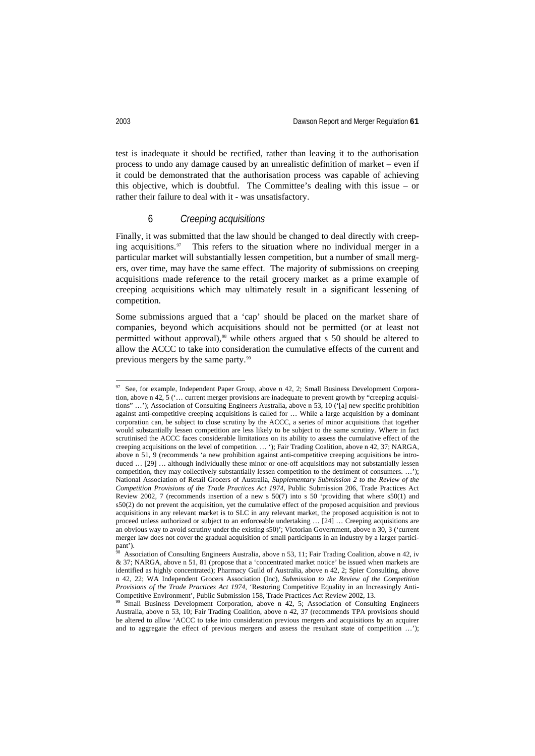test is inadequate it should be rectified, rather than leaving it to the authorisation process to undo any damage caused by an unrealistic definition of market – even if it could be demonstrated that the authorisation process was capable of achieving this objective, which is doubtful. The Committee's dealing with this issue – or rather their failure to deal with it - was unsatisfactory.

#### 6 *Creeping acquisitions*

Finally, it was submitted that the law should be changed to deal directly with creep-ing acquisitions.<sup>[97](#page-23-0)</sup> This refers to the situation where no individual merger in a particular market will substantially lessen competition, but a number of small mergers, over time, may have the same effect. The majority of submissions on creeping acquisitions made reference to the retail grocery market as a prime example of creeping acquisitions which may ultimately result in a significant lessening of competition.

Some submissions argued that a 'cap' should be placed on the market share of companies, beyond which acquisitions should not be permitted (or at least not permitted without approval), [98](#page-23-1) while others argued that s 50 should be altered to allow the ACCC to take into consideration the cumulative effects of the current and previous mergers by the same party.[99](#page-23-2)

<span id="page-23-0"></span>See, for example, Independent Paper Group, above n 42, 2; Small Business Development Corporation, above n 42,  $\overline{5}$  ( $\ldots$  current merger provisions are inadequate to prevent growth by "creeping acquisitions" …'); Association of Consulting Engineers Australia, above n 53, 10 ('[a] new specific prohibition against anti-competitive creeping acquisitions is called for … While a large acquisition by a dominant corporation can, be subject to close scrutiny by the ACCC, a series of minor acquisitions that together would substantially lessen competition are less likely to be subject to the same scrutiny. Where in fact scrutinised the ACCC faces considerable limitations on its ability to assess the cumulative effect of the creeping acquisitions on the level of competition. … '); Fair Trading Coalition, above n 42, 37; NARGA, above n 51, 9 (recommends 'a new prohibition against anti-competitive creeping acquisitions be introduced ... [29] ... although individually these minor or one-off acquisitions may not substantially lessen competition, they may collectively substantially lessen competition to the detriment of consumers. ...'); National Association of Retail Grocers of Australia, *Supplementary Submission 2 to the Review of the Competition Provisions of the Trade Practices Act 1974*, Public Submission 206, Trade Practices Act Review 2002, 7 (recommends insertion of a new s 50(7) into s 50 'providing that where s50(1) and s50(2) do not prevent the acquisition, yet the cumulative effect of the proposed acquisition and previous acquisitions in any relevant market is to SLC in any relevant market, the proposed acquisition is not to proceed unless authorized or subject to an enforceable undertaking … [24] … Creeping acquisitions are an obvious way to avoid scrutiny under the existing s50)'; Victorian Government, above n 30, 3 ('current merger law does not cover the gradual acquisition of small participants in an industry by a larger participant').

<span id="page-23-1"></span><sup>98</sup> Association of Consulting Engineers Australia, above n 53, 11; Fair Trading Coalition, above n 42, iv & 37; NARGA, above n 51, 81 (propose that a 'concentrated market notice' be issued when markets are identified as highly concentrated); Pharmacy Guild of Australia, above n 42, 2; Spier Consulting, above n 42, 22; WA Independent Grocers Association (Inc), *Submission to the Review of the Competition Provisions of the Trade Practices Act 1974*, 'Restoring Competitive Equality in an Increasingly Anti-Competitive Environment', Public Submission 158, Trade Practices Act Review 2002, 13.

<span id="page-23-2"></span>Small Business Development Corporation, above n 42, 5; Association of Consulting Engineers Australia, above n 53, 10; Fair Trading Coalition, above n 42, 37 (recommends TPA provisions should be altered to allow 'ACCC to take into consideration previous mergers and acquisitions by an acquirer and to aggregate the effect of previous mergers and assess the resultant state of competition …');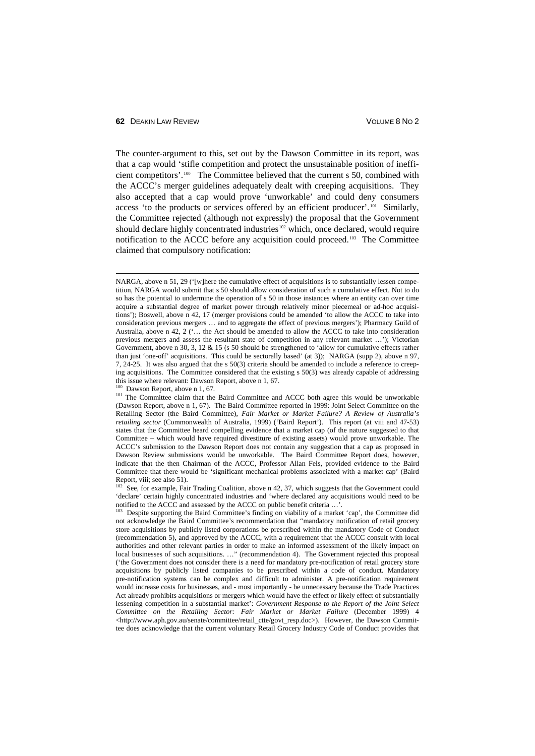The counter-argument to this, set out by the Dawson Committee in its report, was that a cap would 'stifle competition and protect the unsustainable position of inefficient competitors'.[100](#page-24-0) The Committee believed that the current s 50, combined with the ACCC's merger guidelines adequately dealt with creeping acquisitions. They also accepted that a cap would prove 'unworkable' and could deny consumers access 'to the products or services offered by an efficient producer'*.* [101](#page-24-1) Similarly, the Committee rejected (although not expressly) the proposal that the Government should declare highly concentrated industries<sup>[102](#page-24-2)</sup> which, once declared, would require notification to the ACCC before any acquisition could proceed.<sup>[103](#page-24-3)</sup> The Committee claimed that compulsory notification:

<span id="page-24-2"></span><sup>102</sup> See, for example, Fair Trading Coalition, above n 42, 37, which suggests that the Government could 'declare' certain highly concentrated industries and 'where declared any acquisitions would need to be notified to the ACCC and assessed by the ACCC on public benefit criteria ...'

NARGA, above n 51, 29 ('[w]here the cumulative effect of acquisitions is to substantially lessen competition, NARGA would submit that s 50 should allow consideration of such a cumulative effect. Not to do so has the potential to undermine the operation of s 50 in those instances where an entity can over time acquire a substantial degree of market power through relatively minor piecemeal or ad-hoc acquisitions'); Boswell, above n 42, 17 (merger provisions could be amended 'to allow the ACCC to take into consideration previous mergers … and to aggregate the effect of previous mergers'); Pharmacy Guild of Australia, above n 42, 2 ('… the Act should be amended to allow the ACCC to take into consideration previous mergers and assess the resultant state of competition in any relevant market …'); Victorian Government, above n 30, 3, 12 & 15 (s 50 should be strengthened to 'allow for cumulative effects rather than just 'one-off' acquisitions. This could be sectorally based' (at 3)); NARGA (supp 2), above n 97, 7, 24-25. It was also argued that the s 50(3) criteria should be amended to include a reference to creeping acquisitions. The Committee considered that the existing s 50(3) was already capable of addressing this issue where relevant: Dawson Report, above n 1, 67.

<sup>100</sup> Dawson Report, above n 1, 67*.*

<span id="page-24-1"></span><span id="page-24-0"></span><sup>&</sup>lt;sup>101</sup> The Committee claim that the Baird Committee and ACCC both agree this would be unworkable (Dawson Report, above n 1, 67). The Baird Committee reported in 1999: Joint Select Committee on the Retailing Sector (the Baird Committee), *Fair Market or Market Failure? A Review of Australia's retailing sector* (Commonwealth of Australia, 1999) ('Baird Report'). This report (at viii and 47-53) states that the Committee heard compelling evidence that a market cap (of the nature suggested to that Committee – which would have required divestiture of existing assets) would prove unworkable. The ACCC's submission to the Dawson Report does not contain any suggestion that a cap as proposed in Dawson Review submissions would be unworkable. The Baird Committee Report does, however, indicate that the then Chairman of the ACCC, Professor Allan Fels, provided evidence to the Baird Committee that there would be 'significant mechanical problems associated with a market cap' (Baird Report, viii; see also 51).

<span id="page-24-3"></span><sup>&</sup>lt;sup>103</sup> Despite supporting the Baird Committee's finding on viability of a market 'cap', the Committee did not acknowledge the Baird Committee's recommendation that "mandatory notification of retail grocery store acquisitions by publicly listed corporations be prescribed within the mandatory Code of Conduct (recommendation 5), and approved by the ACCC, with a requirement that the ACCC consult with local authorities and other relevant parties in order to make an informed assessment of the likely impact on local businesses of such acquisitions. …" (recommendation 4). The Government rejected this proposal ('the Government does not consider there is a need for mandatory pre-notification of retail grocery store acquisitions by publicly listed companies to be prescribed within a code of conduct. Mandatory pre-notification systems can be complex and difficult to administer. A pre-notification requirement would increase costs for businesses, and - most importantly - be unnecessary because the Trade Practices Act already prohibits acquisitions or mergers which would have the effect or likely effect of substantially lessening competition in a substantial market': *Government Response to the Report of the Joint Select Committee on the Retailing Sector: Fair Market or Market Failure* (December 1999) 4 <http://www.aph.gov.au/senate/committee/retail\_ctte/govt\_resp.doc>). However, the Dawson Committee does acknowledge that the current voluntary Retail Grocery Industry Code of Conduct provides that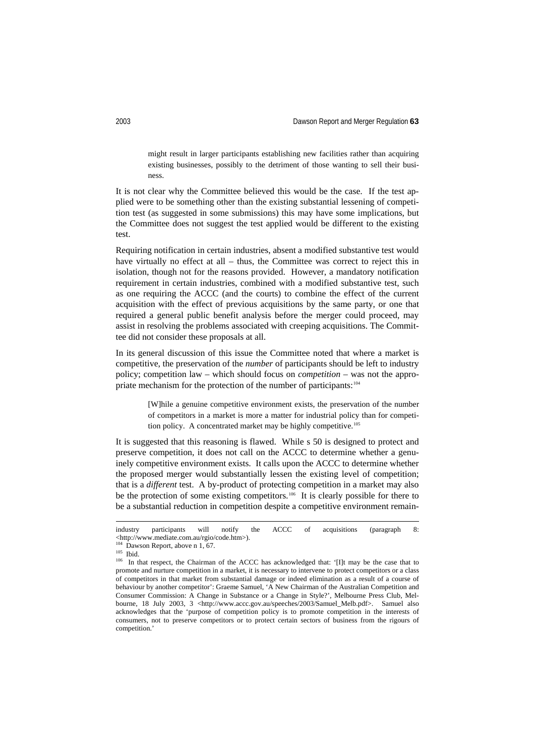might result in larger participants establishing new facilities rather than acquiring existing businesses, possibly to the detriment of those wanting to sell their business.

It is not clear why the Committee believed this would be the case. If the test applied were to be something other than the existing substantial lessening of competition test (as suggested in some submissions) this may have some implications, but the Committee does not suggest the test applied would be different to the existing test.

Requiring notification in certain industries, absent a modified substantive test would have virtually no effect at all – thus, the Committee was correct to reject this in isolation, though not for the reasons provided. However, a mandatory notification requirement in certain industries, combined with a modified substantive test, such as one requiring the ACCC (and the courts) to combine the effect of the current acquisition with the effect of previous acquisitions by the same party, or one that required a general public benefit analysis before the merger could proceed, may assist in resolving the problems associated with creeping acquisitions. The Committee did not consider these proposals at all.

In its general discussion of this issue the Committee noted that where a market is competitive, the preservation of the *number* of participants should be left to industry policy; competition law – which should focus on *competition* – was not the appro-priate mechanism for the protection of the number of participants:<sup>[104](#page-25-0)</sup>

> [W]hile a genuine competitive environment exists, the preservation of the number of competitors in a market is more a matter for industrial policy than for competition policy. A concentrated market may be highly competitive. [105](#page-25-1)

It is suggested that this reasoning is flawed. While s 50 is designed to protect and preserve competition, it does not call on the ACCC to determine whether a genuinely competitive environment exists. It calls upon the ACCC to determine whether the proposed merger would substantially lessen the existing level of competition; that is a *different* test. A by-product of protecting competition in a market may also be the protection of some existing competitors.<sup>[106](#page-25-2)</sup> It is clearly possible for there to be a substantial reduction in competition despite a competitive environment remain-

industry participants will notify the ACCC of acquisitions (paragraph 8: <http://www.mediate.com.au/rgio/code.htm>).

<sup>&</sup>lt;sup>104</sup> Dawson Report, above n 1, 67.

<span id="page-25-1"></span><span id="page-25-0"></span><sup>105</sup> Ibid.

<span id="page-25-2"></span><sup>&</sup>lt;sup>106</sup> In that respect, the Chairman of the ACCC has acknowledged that: '[I]t may be the case that to promote and nurture competition in a market, it is necessary to intervene to protect competitors or a class of competitors in that market from substantial damage or indeed elimination as a result of a course of behaviour by another competitor': Graeme Samuel, 'A New Chairman of the Australian Competition and Consumer Commission: A Change in Substance or a Change in Style?', Melbourne Press Club, Melbourne, 18 July 2003, 3 <http://www.accc.gov.au/speeches/2003/Samuel\_Melb.pdf>. Samuel also acknowledges that the 'purpose of competition policy is to promote competition in the interests of consumers, not to preserve competitors or to protect certain sectors of business from the rigours of competition.'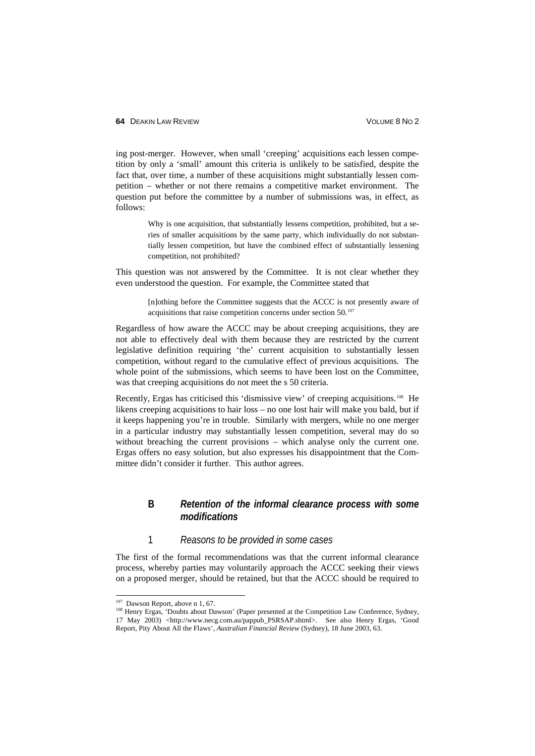ing post-merger. However, when small 'creeping' acquisitions each lessen competition by only a 'small' amount this criteria is unlikely to be satisfied, despite the fact that, over time, a number of these acquisitions might substantially lessen competition – whether or not there remains a competitive market environment. The question put before the committee by a number of submissions was, in effect, as follows:

> Why is one acquisition, that substantially lessens competition, prohibited, but a series of smaller acquisitions by the same party, which individually do not substantially lessen competition, but have the combined effect of substantially lessening competition, not prohibited?

This question was not answered by the Committee. It is not clear whether they even understood the question. For example, the Committee stated that

> [n]othing before the Committee suggests that the ACCC is not presently aware of acquisitions that raise competition concerns under section 50.<sup>[107](#page-26-0)</sup>

Regardless of how aware the ACCC may be about creeping acquisitions, they are not able to effectively deal with them because they are restricted by the current legislative definition requiring 'the' current acquisition to substantially lessen competition, without regard to the cumulative effect of previous acquisitions. The whole point of the submissions, which seems to have been lost on the Committee, was that creeping acquisitions do not meet the s 50 criteria.

Recently, Ergas has criticised this 'dismissive view' of creeping acquisitions.<sup>[108](#page-26-1)</sup> He likens creeping acquisitions to hair loss – no one lost hair will make you bald, but if it keeps happening you're in trouble. Similarly with mergers, while no one merger in a particular industry may substantially lessen competition, several may do so without breaching the current provisions – which analyse only the current one. Ergas offers no easy solution, but also expresses his disappointment that the Committee didn't consider it further. This author agrees.

#### **B** *Retention of the informal clearance process with some modifications*

#### 1 *Reasons to be provided in some cases*

The first of the formal recommendations was that the current informal clearance process, whereby parties may voluntarily approach the ACCC seeking their views on a proposed merger, should be retained, but that the ACCC should be required to

<span id="page-26-0"></span><sup>&</sup>lt;sup>107</sup> Dawson Report, above n 1, 67.

<span id="page-26-1"></span><sup>108</sup> Henry Ergas, 'Doubts about Dawson' (Paper presented at the Competition Law Conference, Sydney, 17 May 2003) <http://www.necg.com.au/pappub\_PSRSAP.shtml>. See also Henry Ergas, 'Good Report, Pity About All the Flaws', *Australian Financial Review* (Sydney), 18 June 2003, 63.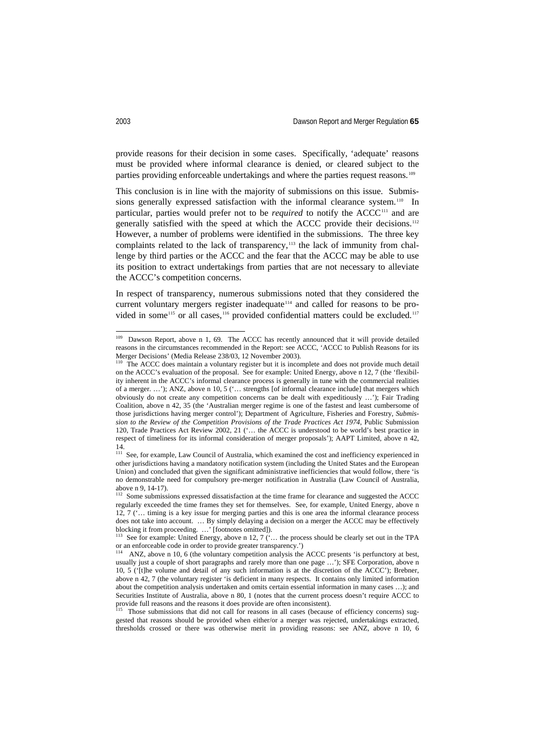provide reasons for their decision in some cases. Specifically, 'adequate' reasons must be provided where informal clearance is denied, or cleared subject to the parties providing enforceable undertakings and where the parties request reasons.<sup>[109](#page-27-0)</sup>

This conclusion is in line with the majority of submissions on this issue. Submissions generally expressed satisfaction with the informal clearance system.<sup>110</sup> In particular, parties would prefer not to be *required* to notify the ACCC<sup>[111](#page-27-2)</sup> and are generally satisfied with the speed at which the ACCC provide their decisions.[112](#page-27-3) However, a number of problems were identified in the submissions. The three key complaints related to the lack of transparency,<sup>[113](#page-27-4)</sup> the lack of immunity from challenge by third parties or the ACCC and the fear that the ACCC may be able to use its position to extract undertakings from parties that are not necessary to alleviate the ACCC's competition concerns.

In respect of transparency, numerous submissions noted that they considered the current voluntary mergers register inadequate [114](#page-27-5) and called for reasons to be pro-vided in some<sup>[115](#page-27-6)</sup> or all cases,<sup>[116](#page-27-7)</sup> provided confidential matters could be excluded.<sup>[117](#page-27-8)</sup>

<span id="page-27-0"></span><sup>&</sup>lt;sup>109</sup> Dawson Report, above n 1, 69. The ACCC has recently announced that it will provide detailed reasons in the circumstances recommended in the Report: see ACCC, 'ACCC to Publish Reasons for its Merger Decisions' (Media Release 238/03, 12 November 2003).

<span id="page-27-7"></span><span id="page-27-1"></span>The ACCC does maintain a voluntary register but it is incomplete and does not provide much detail on the ACCC's evaluation of the proposal. See for example: United Energy, above n 12, 7 (the 'flexibility inherent in the ACCC's informal clearance process is generally in tune with the commercial realities of a merger. …'); ANZ, above n 10, 5 ('… strengths [of informal clearance include] that mergers which obviously do not create any competition concerns can be dealt with expeditiously …'); Fair Trading Coalition, above n 42, 35 (the 'Australian merger regime is one of the fastest and least cumbersome of those jurisdictions having merger control'); Department of Agriculture, Fisheries and Forestry, *Submission to the Review of the Competition Provisions of the Trade Practices Act 1974*, Public Submission 120, Trade Practices Act Review 2002, 21 ('… the ACCC is understood to be world's best practice in respect of timeliness for its informal consideration of merger proposals'); AAPT Limited, above n 42, 14.

<span id="page-27-8"></span><span id="page-27-2"></span><sup>&</sup>lt;sup>111</sup> See, for example, Law Council of Australia, which examined the cost and inefficiency experienced in other jurisdictions having a mandatory notification system (including the United States and the European Union) and concluded that given the significant administrative inefficiencies that would follow, there 'is no demonstrable need for compulsory pre-merger notification in Australia (Law Council of Australia,

<span id="page-27-3"></span>above n 9, 14-17).<br><sup>112</sup> Some submissions expressed dissatisfaction at the time frame for clearance and suggested the ACCC regularly exceeded the time frames they set for themselves. See, for example, United Energy, above n 12, 7 ('… timing is a key issue for merging parties and this is one area the informal clearance process does not take into account. … By simply delaying a decision on a merger the ACCC may be effectively blocking it from proceeding. …' [footnotes omitted]).

<span id="page-27-4"></span><sup>&</sup>lt;sup>113</sup> See for example: United Energy, above n 12, 7 ( $\cdot$  ... the process should be clearly set out in the TPA or an enforceable code in order to provide greater transparency.')

<span id="page-27-5"></span>ANZ, above n 10, 6 (the voluntary competition analysis the ACCC presents 'is perfunctory at best, usually just a couple of short paragraphs and rarely more than one page …'); SFE Corporation, above n 10, 5 ('[t]he volume and detail of any such information is at the discretion of the ACCC'); Brebner, above n 42, 7 (the voluntary register 'is deficient in many respects. It contains only limited information about the competition analysis undertaken and omits certain essential information in many cases …); and Securities Institute of Australia, above n 80, 1 (notes that the current process doesn't require ACCC to provide full reasons and the reasons it does provide are often inconsistent).<br><sup>115</sup> Those submissions that it is a many consistent.

<span id="page-27-6"></span>Those submissions that did not call for reasons in all cases (because of efficiency concerns) suggested that reasons should be provided when either/or a merger was rejected, undertakings extracted, thresholds crossed or there was otherwise merit in providing reasons: see ANZ, above n 10, 6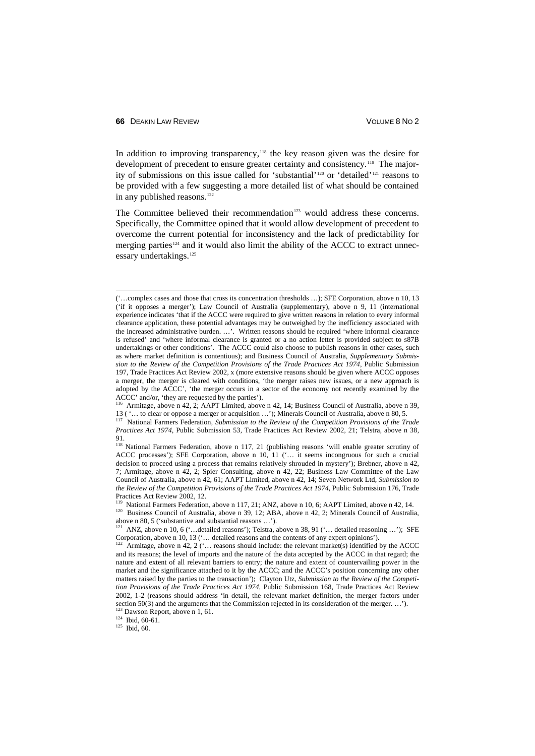In addition to improving transparency,<sup> $118$ </sup> the key reason given was the desire for development of precedent to ensure greater certainty and consistency. [119](#page-28-1) The majority of submissions on this issue called for 'substantial' [120](#page-28-2) or 'detailed'[121](#page-28-3) reasons to be provided with a few suggesting a more detailed list of what should be contained in any published reasons.<sup>[122](#page-28-4)</sup>

The Committee believed their recommendation<sup>[123](#page-28-5)</sup> would address these concerns. Specifically, the Committee opined that it would allow development of precedent to overcome the current potential for inconsistency and the lack of predictability for merging parties<sup>[124](#page-28-6)</sup> and it would also limit the ability of the ACCC to extract unnec-essary undertakings.<sup>[125](#page-28-7)</sup>

 <sup>(&#</sup>x27;…complex cases and those that cross its concentration thresholds …); SFE Corporation, above n 10, 13 ('if it opposes a merger'); Law Council of Australia (supplementary), above n 9, 11 (international experience indicates 'that if the ACCC were required to give written reasons in relation to every informal clearance application, these potential advantages may be outweighed by the inefficiency associated with the increased administrative burden. …'. Written reasons should be required 'where informal clearance is refused' and 'where informal clearance is granted or a no action letter is provided subject to s87B undertakings or other conditions'. The ACCC could also choose to publish reasons in other cases, such as where market definition is contentious); and Business Council of Australia, *Supplementary Submission to the Review of the Competition Provisions of the Trade Practices Act 1974*, Public Submission 197, Trade Practices Act Review 2002, x (more extensive reasons should be given where ACCC opposes a merger, the merger is cleared with conditions, 'the merger raises new issues, or a new approach is adopted by the ACCC', 'the merger occurs in a sector of the economy not recently examined by the ACCC' and/or, 'they are requested by the parties').

Armitage, above n 42, 2; AAPT Limited, above n 42, 14; Business Council of Australia, above n 39, 13 ( '… to clear or oppose a merger or acquisition …'); Minerals Council of Australia, above n 80, 5.

<sup>117</sup> National Farmers Federation, *Submission to the Review of the Competition Provisions of the Trade Practices Act 1974*, Public Submission 53, Trade Practices Act Review 2002, 21; Telstra, above n 38, 91.

<span id="page-28-0"></span><sup>118</sup> National Farmers Federation, above n 117, 21 (publishing reasons 'will enable greater scrutiny of ACCC processes'); SFE Corporation, above n 10, 11 ('… it seems incongruous for such a crucial decision to proceed using a process that remains relatively shrouded in mystery'); Brebner, above n 42, 7; Armitage, above n 42, 2; Spier Consulting, above n 42, 22; Business Law Committee of the Law Council of Australia, above n 42, 61; AAPT Limited, above n 42, 14; Seven Network Ltd, *Submission to the Review of the Competition Provisions of the Trade Practices Act 1974*, Public Submission 176, Trade

National Farmers Federation, above n 117, 21; ANZ, above n 10, 6; AAPT Limited, above n 42, 14.

<span id="page-28-2"></span><span id="page-28-1"></span><sup>&</sup>lt;sup>120</sup> Business Council of Australia, above n 39, 12; ABA, above n 42, 2; Minerals Council of Australia, above n 80, 5 ('substantive and substantial reasons ...').

<span id="page-28-3"></span>ANZ, above n 10, 6 ('... detailed reasons'); Telstra, above n 38, 91 ('... detailed reasoning ...'); SFE Corporation, above n 10, 13 ('… detailed reasons and the contents of any expert opinions').

<span id="page-28-4"></span> $122$  Armitage, above n 42, 2 ('... reasons should include: the relevant market(s) identified by the ACCC and its reasons; the level of imports and the nature of the data accepted by the ACCC in that regard; the nature and extent of all relevant barriers to entry; the nature and extent of countervailing power in the market and the significance attached to it by the ACCC; and the ACCC's position concerning any other matters raised by the parties to the transaction'); Clayton Utz, *Submission to the Review of the Competition Provisions of the Trade Practices Act 1974*, Public Submission 168, Trade Practices Act Review 2002, 1-2 (reasons should address 'in detail, the relevant market definition, the merger factors under section 50(3) and the arguments that the Commission rejected in its consideration of the merger. ...').

<span id="page-28-5"></span><sup>&</sup>lt;sup>123</sup> Dawson Report, above n 1, 61.

<span id="page-28-6"></span> $124$  Ibid, 60-61.

<span id="page-28-7"></span> $125$  Ibid, 60.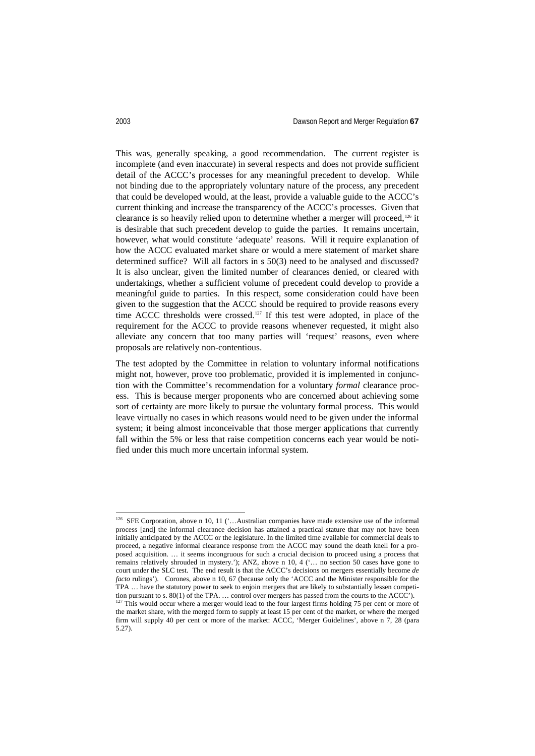This was, generally speaking, a good recommendation. The current register is incomplete (and even inaccurate) in several respects and does not provide sufficient detail of the ACCC's processes for any meaningful precedent to develop. While not binding due to the appropriately voluntary nature of the process, any precedent that could be developed would, at the least, provide a valuable guide to the ACCC's current thinking and increase the transparency of the ACCC's processes. Given that clearance is so heavily relied upon to determine whether a merger will proceed,[126](#page-29-0) it is desirable that such precedent develop to guide the parties. It remains uncertain, however, what would constitute 'adequate' reasons. Will it require explanation of how the ACCC evaluated market share or would a mere statement of market share determined suffice? Will all factors in s 50(3) need to be analysed and discussed? It is also unclear, given the limited number of clearances denied, or cleared with undertakings, whether a sufficient volume of precedent could develop to provide a meaningful guide to parties. In this respect, some consideration could have been given to the suggestion that the ACCC should be required to provide reasons every time ACCC thresholds were crossed.<sup>[127](#page-29-1)</sup> If this test were adopted, in place of the requirement for the ACCC to provide reasons whenever requested, it might also alleviate any concern that too many parties will 'request' reasons, even where proposals are relatively non-contentious.

The test adopted by the Committee in relation to voluntary informal notifications might not, however, prove too problematic, provided it is implemented in conjunction with the Committee's recommendation for a voluntary *formal* clearance process. This is because merger proponents who are concerned about achieving some sort of certainty are more likely to pursue the voluntary formal process. This would leave virtually no cases in which reasons would need to be given under the informal system; it being almost inconceivable that those merger applications that currently fall within the 5% or less that raise competition concerns each year would be notified under this much more uncertain informal system.

<span id="page-29-1"></span>5.27).

<span id="page-29-0"></span><sup>&</sup>lt;sup>126</sup> SFE Corporation, above n 10, 11 ('...Australian companies have made extensive use of the informal process [and] the informal clearance decision has attained a practical stature that may not have been initially anticipated by the ACCC or the legislature. In the limited time available for commercial deals to proceed, a negative informal clearance response from the ACCC may sound the death knell for a proposed acquisition. … it seems incongruous for such a crucial decision to proceed using a process that remains relatively shrouded in mystery.'); ANZ, above n 10, 4 ('… no section 50 cases have gone to court under the SLC test. The end result is that the ACCC's decisions on mergers essentially become *de facto* rulings'). Corones, above n 10, 67 (because only the 'ACCC and the Minister responsible for the TPA … have the statutory power to seek to enjoin mergers that are likely to substantially lessen competition pursuant to s. 80(1) of the TPA. … control over mergers has passed from the courts to the ACCC'). <sup>127</sup> This would occur where a merger would lead to the four largest firms holding 75 per cent or more of the market share, with the merged form to supply at least 15 per cent of the market, or where the merged firm will supply 40 per cent or more of the market: ACCC, 'Merger Guidelines', above n 7, 28 (para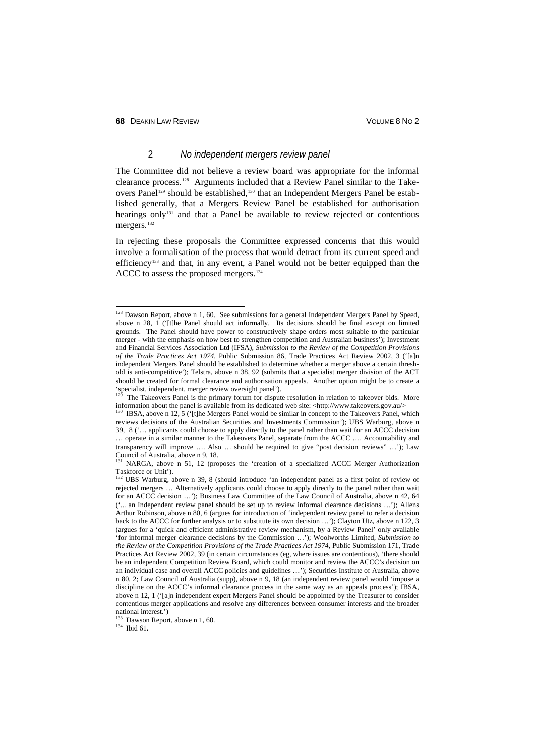# 2 *No independent mergers review panel*

The Committee did not believe a review board was appropriate for the informal clearance process.[128](#page-30-0) Arguments included that a Review Panel similar to the Take-overs Panel<sup>[129](#page-30-1)</sup> should be established,<sup>[130](#page-30-2)</sup> that an Independent Mergers Panel be established generally, that a Mergers Review Panel be established for authorisation hearings only[131](#page-30-3) and that a Panel be available to review rejected or contentious mergers.<sup>[132](#page-30-4)</sup>

In rejecting these proposals the Committee expressed concerns that this would involve a formalisation of the process that would detract from its current speed and efficiency [133](#page-30-5) and that, in any event, a Panel would not be better equipped than the ACCC to assess the proposed mergers.<sup>[134](#page-30-6)</sup>

<span id="page-30-6"></span> $134$  Ibid 61.

<span id="page-30-0"></span><sup>&</sup>lt;sup>128</sup> Dawson Report, above n 1, 60. See submissions for a general Independent Mergers Panel by Speed, above n 28,  $1$  ('ftlhe Panel should act informally. Its decisions should be final except on limited grounds. The Panel should have power to constructively shape orders most suitable to the particular merger - with the emphasis on how best to strengthen competition and Australian business'); Investment and Financial Services Association Ltd (IFSA), *Submission to the Review of the Competition Provisions of the Trade Practices Act 1974*, Public Submission 86, Trade Practices Act Review 2002, 3 ('[a]n independent Mergers Panel should be established to determine whether a merger above a certain threshold is anti-competitive'); Telstra, above n 38, 92 (submits that a specialist merger division of the ACT should be created for formal clearance and authorisation appeals. Another option might be to create a 'specialist, independent, merger review oversight panel').

<span id="page-30-1"></span>The Takeovers Panel is the primary forum for dispute resolution in relation to takeover bids. More information about the panel is available from its dedicated web site: <http://www.takeovers.gov.au/>

<span id="page-30-2"></span>IBSA, above n  $12.5$  ('[t]he Mergers Panel would be similar in concept to the Takeovers Panel, which reviews decisions of the Australian Securities and Investments Commission'); UBS Warburg, above n 39, 8 ('… applicants could choose to apply directly to the panel rather than wait for an ACCC decision … operate in a similar manner to the Takeovers Panel, separate from the ACCC …. Accountability and transparency will improve …. Also … should be required to give "post decision reviews" …'); Law Council of Australia, above n 9, 18.

<span id="page-30-3"></span>NARGA, above n 51, 12 (proposes the 'creation of a specialized ACCC Merger Authorization Taskforce or Unit').

<span id="page-30-4"></span><sup>&</sup>lt;sup>132</sup> UBS Warburg, above n 39, 8 (should introduce 'an independent panel as a first point of review of rejected mergers … Alternatively applicants could choose to apply directly to the panel rather than wait for an ACCC decision …'); Business Law Committee of the Law Council of Australia, above n 42, 64 ('... an Independent review panel should be set up to review informal clearance decisions …'); Allens Arthur Robinson, above n 80, 6 (argues for introduction of 'independent review panel to refer a decision back to the ACCC for further analysis or to substitute its own decision …'); Clayton Utz, above n 122, 3 (argues for a 'quick and efficient administrative review mechanism, by a Review Panel' only available 'for informal merger clearance decisions by the Commission …'); Woolworths Limited, *Submission to the Review of the Competition Provisions of the Trade Practices Act 1974*, Public Submission 171, Trade Practices Act Review 2002, 39 (in certain circumstances (eg, where issues are contentious), 'there should be an independent Competition Review Board, which could monitor and review the ACCC's decision on an individual case and overall ACCC policies and guidelines …'); Securities Institute of Australia, above n 80, 2; Law Council of Australia (supp), above n 9, 18 (an independent review panel would 'impose a discipline on the ACCC's informal clearance process in the same way as an appeals process'); IBSA, above n 12, 1 ('[a]n independent expert Mergers Panel should be appointed by the Treasurer to consider contentious merger applications and resolve any differences between consumer interests and the broader national interest.')

<span id="page-30-5"></span><sup>&</sup>lt;sup>133</sup> Dawson Report, above n 1, 60.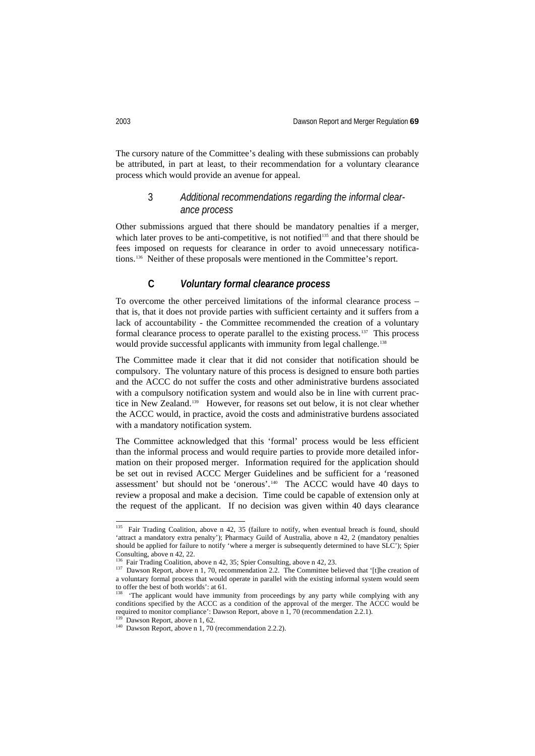The cursory nature of the Committee's dealing with these submissions can probably be attributed, in part at least, to their recommendation for a voluntary clearance process which would provide an avenue for appeal.

# 3 *Additional recommendations regarding the informal clearance process*

Other submissions argued that there should be mandatory penalties if a merger, which later proves to be anti-competitive, is not notified<sup>[135](#page-31-0)</sup> and that there should be fees imposed on requests for clearance in order to avoid unnecessary notifications.[136](#page-31-1) Neither of these proposals were mentioned in the Committee's report.

#### **C** *Voluntary formal clearance process*

To overcome the other perceived limitations of the informal clearance process – that is, that it does not provide parties with sufficient certainty and it suffers from a lack of accountability - the Committee recommended the creation of a voluntary formal clearance process to operate parallel to the existing process.<sup>137</sup> This process would provide successful applicants with immunity from legal challenge.<sup>[138](#page-31-3)</sup>

The Committee made it clear that it did not consider that notification should be compulsory. The voluntary nature of this process is designed to ensure both parties and the ACCC do not suffer the costs and other administrative burdens associated with a compulsory notification system and would also be in line with current practice in New Zealand. [139](#page-31-4) However, for reasons set out below, it is not clear whether the ACCC would, in practice, avoid the costs and administrative burdens associated with a mandatory notification system.

The Committee acknowledged that this 'formal' process would be less efficient than the informal process and would require parties to provide more detailed information on their proposed merger. Information required for the application should be set out in revised ACCC Merger Guidelines and be sufficient for a 'reasoned assessment' but should not be 'onerous'. [140](#page-31-5) The ACCC would have 40 days to review a proposal and make a decision. Time could be capable of extension only at the request of the applicant. If no decision was given within 40 days clearance

<span id="page-31-0"></span><sup>&</sup>lt;sup>135</sup> Fair Trading Coalition, above n 42, 35 (failure to notify, when eventual breach is found, should 'attract a mandatory extra penalty'); Pharmacy Guild of Australia, above n 42, 2 (mandatory penalties should be applied for failure to notify 'where a merger is subsequently determined to have SLC'); Spier Consulting, above n 42, 22.<br><sup>136</sup> Fair Trading Coalition, above n 42, 35; Spier Consulting, above n 42, 23.

<span id="page-31-2"></span><span id="page-31-1"></span> $137$  Dawson Report, above n 1, 70, recommendation 2.2. The Committee believed that '[t]he creation of a voluntary formal process that would operate in parallel with the existing informal system would seem to offer the best of both worlds': at 61.

<span id="page-31-3"></span>The applicant would have immunity from proceedings by any party while complying with any conditions specified by the ACCC as a condition of the approval of the merger. The ACCC would be required to monitor compliance': Dawson Report, above n  $\hat{1}$ , 70 (recommendation 2.2.1). <sup>139</sup> Dawson Report, above n 1, 62.

<span id="page-31-5"></span><span id="page-31-4"></span> $140$  Dawson Report, above n 1, 70 (recommendation 2.2.2).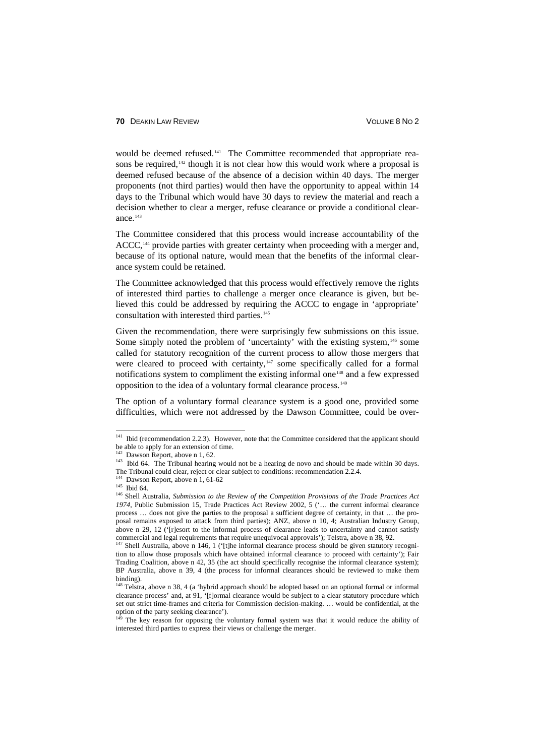would be deemed refused.<sup>[141](#page-32-0)</sup> The Committee recommended that appropriate rea-sons be required,<sup>[142](#page-32-1)</sup> though it is not clear how this would work where a proposal is deemed refused because of the absence of a decision within 40 days. The merger proponents (not third parties) would then have the opportunity to appeal within 14 days to the Tribunal which would have 30 days to review the material and reach a decision whether to clear a merger, refuse clearance or provide a conditional clearance. $^{143}$  $^{143}$  $^{143}$ 

The Committee considered that this process would increase accountability of the ACCC,<sup>[144](#page-32-3)</sup> provide parties with greater certainty when proceeding with a merger and, because of its optional nature, would mean that the benefits of the informal clearance system could be retained.

The Committee acknowledged that this process would effectively remove the rights of interested third parties to challenge a merger once clearance is given, but believed this could be addressed by requiring the ACCC to engage in 'appropriate' consultation with interested third parties. [145](#page-32-4)

Given the recommendation, there were surprisingly few submissions on this issue. Some simply noted the problem of 'uncertainty' with the existing system,<sup>[146](#page-32-5)</sup> some called for statutory recognition of the current process to allow those mergers that were cleared to proceed with certainty,<sup>[147](#page-32-6)</sup> some specifically called for a formal notifications system to compliment the existing informal one<sup>[148](#page-32-7)</sup> and a few expressed opposition to the idea of a voluntary formal clearance process. [149](#page-32-8)

The option of a voluntary formal clearance system is a good one, provided some difficulties, which were not addressed by the Dawson Committee, could be over-

<span id="page-32-0"></span><sup>&</sup>lt;sup>141</sup> Ibid (recommendation 2.2.3). However, note that the Committee considered that the applicant should be able to apply for an extension of time.

Dawson Report, above n 1, 62.

<span id="page-32-2"></span><span id="page-32-1"></span><sup>143</sup> Ibid 64. The Tribunal hearing would not be a hearing de novo and should be made within 30 days. The Tribunal could clear, reject or clear subject to conditions: recommendation 2.2.4.

 $144$  Dawson Report, above n 1, 61-62

<span id="page-32-4"></span><span id="page-32-3"></span><sup>&</sup>lt;sup>145</sup> Ibid 64.

<span id="page-32-5"></span><sup>146</sup> Shell Australia, *Submission to the Review of the Competition Provisions of the Trade Practices Act 1974*, Public Submission 15, Trade Practices Act Review 2002, 5 ('… the current informal clearance process … does not give the parties to the proposal a sufficient degree of certainty, in that … the proposal remains exposed to attack from third parties); ANZ, above n 10, 4; Australian Industry Group, above n 29, 12 ('[r]esort to the informal process of clearance leads to uncertainty and cannot satisfy commercial and legal requirements that require unequivocal approvals'); Telstra, above n 38, 92.

<span id="page-32-6"></span><sup>&</sup>lt;sup>147</sup> Shell Australia, above n 146, 1 ('[t]he informal clearance process should be given statutory recognition to allow those proposals which have obtained informal clearance to proceed with certainty'); Fair Trading Coalition, above n 42, 35 (the act should specifically recognise the informal clearance system); BP Australia, above n 39, 4 (the process for informal clearances should be reviewed to make them binding).

<span id="page-32-7"></span><sup>&</sup>lt;sup>148</sup> Telstra, above n 38, 4 (a 'hybrid approach should be adopted based on an optional formal or informal clearance process' and, at 91, '[f]ormal clearance would be subject to a clear statutory procedure which set out strict time-frames and criteria for Commission decision-making. … would be confidential, at the option of the party seeking clearance').

<span id="page-32-8"></span>The key reason for opposing the voluntary formal system was that it would reduce the ability of interested third parties to express their views or challenge the merger.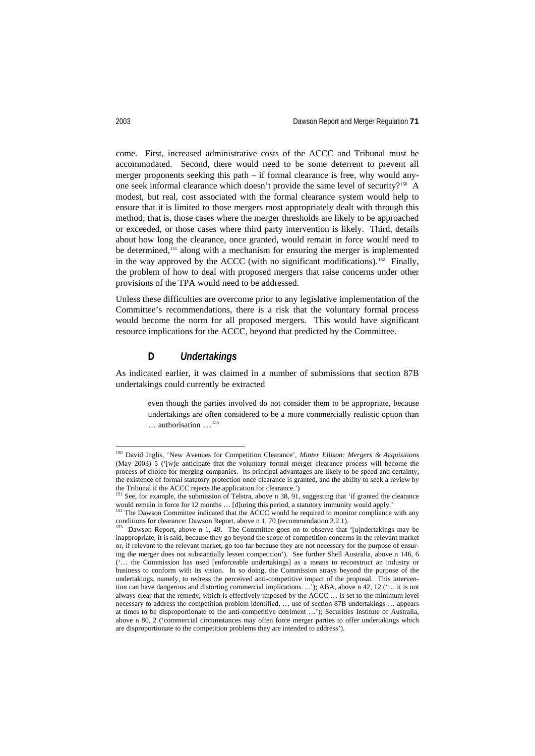come. First, increased administrative costs of the ACCC and Tribunal must be accommodated. Second, there would need to be some deterrent to prevent all merger proponents seeking this path – if formal clearance is free, why would anyone seek informal clearance which doesn't provide the same level of security?<sup>150</sup> A modest, but real, cost associated with the formal clearance system would help to ensure that it is limited to those mergers most appropriately dealt with through this method; that is, those cases where the merger thresholds are likely to be approached or exceeded, or those cases where third party intervention is likely. Third, details about how long the clearance, once granted, would remain in force would need to be determined,<sup>[151](#page-33-1)</sup> along with a mechanism for ensuring the merger is implemented in the way approved by the ACCC (with no significant modifications).<sup>[152](#page-33-2)</sup> Finally, the problem of how to deal with proposed mergers that raise concerns under other provisions of the TPA would need to be addressed.

Unless these difficulties are overcome prior to any legislative implementation of the Committee's recommendations, there is a risk that the voluntary formal process would become the norm for all proposed mergers. This would have significant resource implications for the ACCC, beyond that predicted by the Committee.

#### **D** *Undertakings*

As indicated earlier, it was claimed in a number of submissions that section 87B undertakings could currently be extracted

even though the parties involved do not consider them to be appropriate, because undertakings are often considered to be a more commercially realistic option than … authorisation …[153](#page-33-3)

<span id="page-33-0"></span> <sup>150</sup> David Inglis, 'New Avenues for Competition Clearance', *Minter Ellison: Mergers & Acquisitions* (May 2003) 5 ('[w]e anticipate that the voluntary formal merger clearance process will become the process of choice for merging companies. Its principal advantages are likely to be speed and certainty, the existence of formal statutory protection once clearance is granted, and the ability to seek a review by the Tribunal if the ACCC rejects the application for clearance.')

<span id="page-33-1"></span> $151$  See, for example, the submission of Telstra, above n 38, 91, suggesting that 'if granted the clearance would remain in force for 12 months … [d]uring this period, a statutory immunity would apply.'

<span id="page-33-2"></span><sup>&</sup>lt;sup>152</sup> The Dawson Committee indicated that the ACCC would be required to monitor compliance with any conditions for clearance: Dawson Report, above n 1, 70 (recommendation 2.2.1).

<span id="page-33-3"></span>Dawson Report, above n 1, 49. The Committee goes on to observe that '[u]ndertakings may be inappropriate, it is said, because they go beyond the scope of competition concerns in the relevant market or, if relevant to the relevant market, go too far because they are not necessary for the purpose of ensuring the merger does not substantially lessen competition'). See further Shell Australia, above n 146, 6 ('… the Commission has used [enforceable undertakings] as a means to reconstruct an industry or business to conform with its vision. In so doing, the Commission strays beyond the purpose of the undertakings, namely, to redress the perceived anti-competitive impact of the proposal. This intervention can have dangerous and distorting commercial implications. ...'); ABA, above n 42, 12 ('… it is not always clear that the remedy, which is effectively imposed by the ACCC … is set to the minimum level necessary to address the competition problem identified. … use of section 87B undertakings … appears at times to be disproportionate to the anti-competitive detriment …'); Securities Institute of Australia, above n 80, 2 ('commercial circumstances may often force merger parties to offer undertakings which are disproportionate to the competition problems they are intended to address').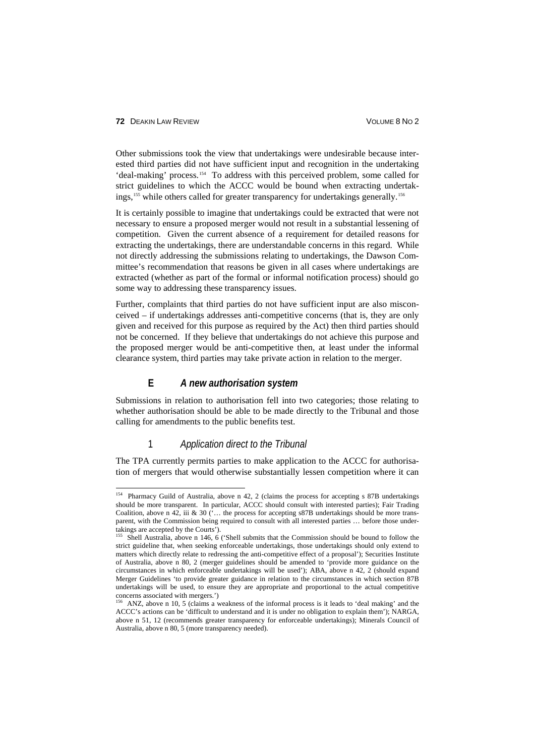Other submissions took the view that undertakings were undesirable because interested third parties did not have sufficient input and recognition in the undertaking 'deal-making' process.[154](#page-34-0) To address with this perceived problem, some called for strict guidelines to which the ACCC would be bound when extracting undertak-ings,<sup>[155](#page-34-1)</sup> while others called for greater transparency for undertakings generally.<sup>[156](#page-34-2)</sup>

It is certainly possible to imagine that undertakings could be extracted that were not necessary to ensure a proposed merger would not result in a substantial lessening of competition. Given the current absence of a requirement for detailed reasons for extracting the undertakings, there are understandable concerns in this regard. While not directly addressing the submissions relating to undertakings, the Dawson Committee's recommendation that reasons be given in all cases where undertakings are extracted (whether as part of the formal or informal notification process) should go some way to addressing these transparency issues.

Further, complaints that third parties do not have sufficient input are also misconceived – if undertakings addresses anti-competitive concerns (that is, they are only given and received for this purpose as required by the Act) then third parties should not be concerned. If they believe that undertakings do not achieve this purpose and the proposed merger would be anti-competitive then, at least under the informal clearance system, third parties may take private action in relation to the merger.

#### **E** *A new authorisation system*

Submissions in relation to authorisation fell into two categories; those relating to whether authorisation should be able to be made directly to the Tribunal and those calling for amendments to the public benefits test.

#### 1 *Application direct to the Tribunal*

The TPA currently permits parties to make application to the ACCC for authorisation of mergers that would otherwise substantially lessen competition where it can

<span id="page-34-0"></span><sup>&</sup>lt;sup>154</sup> Pharmacy Guild of Australia, above n 42, 2 (claims the process for accepting s 87B undertakings should be more transparent. In particular, ACCC should consult with interested parties); Fair Trading Coalition, above n 42, iii & 30 ('… the process for accepting s87B undertakings should be more transparent, with the Commission being required to consult with all interested parties … before those undertakings are accepted by the Courts').

<span id="page-34-1"></span><sup>155</sup> Shell Australia, above n 146, 6 ('Shell submits that the Commission should be bound to follow the strict guideline that, when seeking enforceable undertakings, those undertakings should only extend to matters which directly relate to redressing the anti-competitive effect of a proposal'); Securities Institute of Australia, above n 80, 2 (merger guidelines should be amended to 'provide more guidance on the circumstances in which enforceable undertakings will be used'); ABA, above n 42, 2 (should expand Merger Guidelines 'to provide greater guidance in relation to the circumstances in which section 87B undertakings will be used, to ensure they are appropriate and proportional to the actual competitive concerns associated with mergers.')

<span id="page-34-2"></span><sup>&</sup>lt;sup>156</sup> ANZ, above n 10, 5 (claims a weakness of the informal process is it leads to 'deal making' and the ACCC's actions can be 'difficult to understand and it is under no obligation to explain them'); NARGA, above n 51, 12 (recommends greater transparency for enforceable undertakings); Minerals Council of Australia, above n 80, 5 (more transparency needed).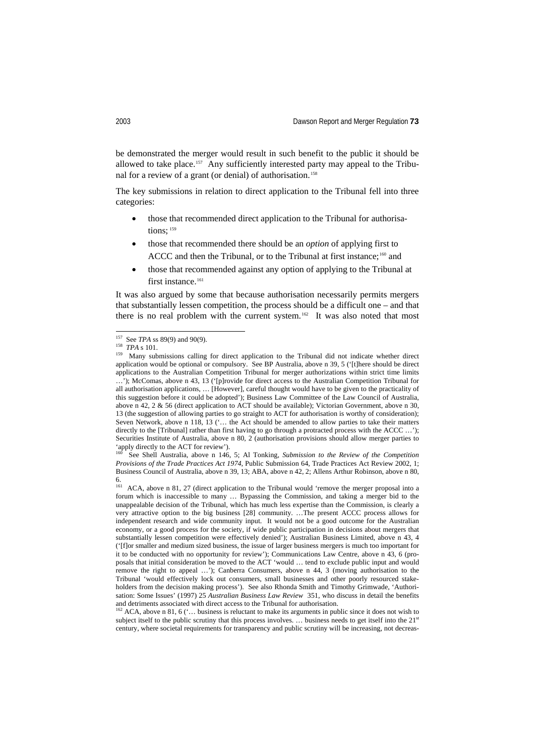be demonstrated the merger would result in such benefit to the public it should be allowed to take place.[157](#page-35-0) Any sufficiently interested party may appeal to the Tribunal for a review of a grant (or denial) of authorisation. [158](#page-35-1)

The key submissions in relation to direct application to the Tribunal fell into three categories:

- those that recommended direct application to the Tribunal for authorisa-tions; [159](#page-35-2)
- those that recommended there should be an *option* of applying first to ACCC and then the Tribunal, or to the Tribunal at first instance;<sup>[160](#page-35-3)</sup> and
- those that recommended against any option of applying to the Tribunal at first instance.<sup>[161](#page-35-4)</sup>

It was also argued by some that because authorisation necessarily permits mergers that substantially lessen competition, the process should be a difficult one – and that there is no real problem with the current system.<sup>[162](#page-35-5)</sup> It was also noted that most

<span id="page-35-3"></span>160 See Shell Australia, above n 146, 5; Al Tonking, *Submission to the Review of the Competition Provisions of the Trade Practices Act 1974*, Public Submission 64, Trade Practices Act Review 2002, 1; Business Council of Australia, above n 39, 13; ABA, above n 42, 2; Allens Arthur Robinson, above n 80,

<span id="page-35-0"></span> <sup>157</sup> See *TPA* ss 89(9) and 90(9).

<span id="page-35-1"></span><sup>158</sup> *TPA* s 101.

<span id="page-35-2"></span><sup>159</sup> Many submissions calling for direct application to the Tribunal did not indicate whether direct application would be optional or compulsory. See BP Australia, above n 39, 5 ('[t]here should be direct applications to the Australian Competition Tribunal for merger authorizations within strict time limits  $\ldots$ ); McComas, above n 43, 13 ('[p]rovide for direct access to the Australian Competition Tribunal for all authorisation applications, … [However], careful thought would have to be given to the practicality of this suggestion before it could be adopted'); Business Law Committee of the Law Council of Australia, above n 42, 2 & 56 (direct application to ACT should be available); Victorian Government, above n 30, 13 (the suggestion of allowing parties to go straight to ACT for authorisation is worthy of consideration); Seven Network, above n 118, 13 ('… the Act should be amended to allow parties to take their matters directly to the [Tribunal] rather than first having to go through a protracted process with the ACCC ...'); Securities Institute of Australia, above n 80, 2 (authorisation provisions should allow merger parties to 'apply directly to the ACT for review').

<span id="page-35-4"></span> $\frac{6}{161}$ ACA, above n 81, 27 (direct application to the Tribunal would 'remove the merger proposal into a forum which is inaccessible to many … Bypassing the Commission, and taking a merger bid to the unappealable decision of the Tribunal, which has much less expertise than the Commission, is clearly a very attractive option to the big business [28] community. …The present ACCC process allows for independent research and wide community input. It would not be a good outcome for the Australian economy, or a good process for the society, if wide public participation in decisions about mergers that substantially lessen competition were effectively denied'); Australian Business Limited, above n 43, 4 ('[f]or smaller and medium sized business, the issue of larger business mergers is much too important for it to be conducted with no opportunity for review'); Communications Law Centre, above n 43, 6 (proposals that initial consideration be moved to the ACT 'would … tend to exclude public input and would remove the right to appeal …'); Canberra Consumers, above n 44, 3 (moving authorisation to the Tribunal 'would effectively lock out consumers, small businesses and other poorly resourced stakeholders from the decision making process'). See also Rhonda Smith and Timothy Grimwade, 'Authorisation: Some Issues' (1997) 25 *Australian Business Law Review* 351, who discuss in detail the benefits and detriments associated with direct access to the Tribunal for authorisation.

<span id="page-35-5"></span><sup>&</sup>lt;sup>162</sup> ACA, above n 81, 6 ('... business is reluctant to make its arguments in public since it does not wish to subject itself to the public scrutiny that this process involves. ... business needs to get itself into the 21<sup>st</sup> century, where societal requirements for transparency and public scrutiny will be increasing, not decreas-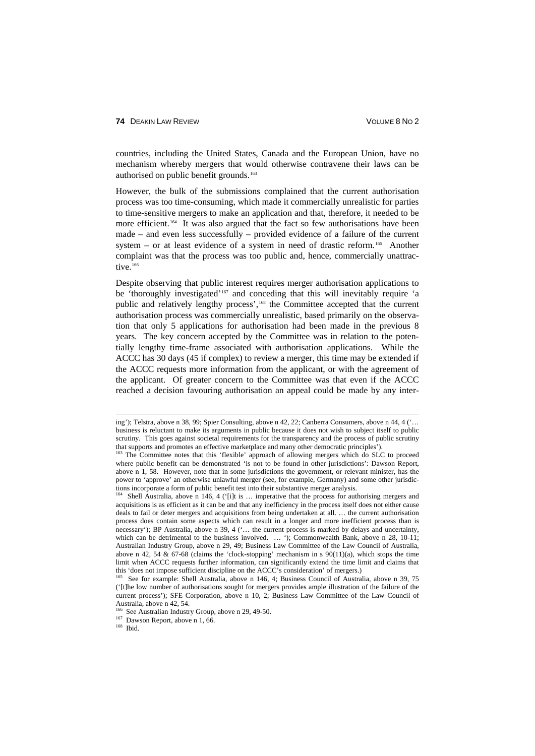countries, including the United States, Canada and the European Union, have no mechanism whereby mergers that would otherwise contravene their laws can be authorised on public benefit grounds.<sup>[163](#page-36-0)</sup>

However, the bulk of the submissions complained that the current authorisation process was too time-consuming, which made it commercially unrealistic for parties to time-sensitive mergers to make an application and that, therefore, it needed to be more efficient.<sup>164</sup> It was also argued that the fact so few authorisations have been made – and even less successfully – provided evidence of a failure of the current system – or at least evidence of a system in need of drastic reform.<sup>[165](#page-36-2)</sup> Another complaint was that the process was too public and, hence, commercially unattrac-tive.<sup>[166](#page-36-3)</sup>

Despite observing that public interest requires merger authorisation applications to be 'thoroughly investigated'<sup>[167](#page-36-4)</sup> and conceding that this will inevitably require 'a public and relatively lengthy process',<sup>[168](#page-36-5)</sup> the Committee accepted that the current authorisation process was commercially unrealistic, based primarily on the observation that only 5 applications for authorisation had been made in the previous 8 years. The key concern accepted by the Committee was in relation to the potentially lengthy time-frame associated with authorisation applications. While the ACCC has 30 days (45 if complex) to review a merger, this time may be extended if the ACCC requests more information from the applicant, or with the agreement of the applicant. Of greater concern to the Committee was that even if the ACCC reached a decision favouring authorisation an appeal could be made by any inter-

<span id="page-36-5"></span><span id="page-36-4"></span> $168$  Ibid.

ing'); Telstra, above n 38, 99; Spier Consulting, above n 42, 22; Canberra Consumers, above n 44, 4 ('… business is reluctant to make its arguments in public because it does not wish to subject itself to public scrutiny. This goes against societal requirements for the transparency and the process of public scrutiny that supports and promotes an effective marketplace and many other democratic principles').

<span id="page-36-0"></span><sup>&</sup>lt;sup>163</sup> The Committee notes that this 'flexible' approach of allowing mergers which do SLC to proceed where public benefit can be demonstrated 'is not to be found in other jurisdictions': Dawson Report, above n 1, 58. However, note that in some jurisdictions the government, or relevant minister, has the power to 'approve' an otherwise unlawful merger (see, for example, Germany) and some other jurisdictions incorporate a form of public benefit test into their substantive merger analysis.

<span id="page-36-1"></span>Shell Australia, above n 146, 4 ('[i]t is ... imperative that the process for authorising mergers and acquisitions is as efficient as it can be and that any inefficiency in the process itself does not either cause deals to fail or deter mergers and acquisitions from being undertaken at all. … the current authorisation process does contain some aspects which can result in a longer and more inefficient process than is necessary'); BP Australia, above n 39, 4 ('… the current process is marked by delays and uncertainty, which can be detrimental to the business involved. … '); Commonwealth Bank, above n 28, 10-11; Australian Industry Group, above n 29, 49; Business Law Committee of the Law Council of Australia, above n 42, 54  $\&$  67-68 (claims the 'clock-stopping' mechanism in s 90(11)(a), which stops the time limit when ACCC requests further information, can significantly extend the time limit and claims that this 'does not impose sufficient discipline on the ACCC's consideration' of mergers.)

<span id="page-36-2"></span><sup>&</sup>lt;sup>165</sup> See for example: Shell Australia, above n 146, 4; Business Council of Australia, above n 39, 75 ('[t]he low number of authorisations sought for mergers provides ample illustration of the failure of the current process'); SFE Corporation, above n 10, 2; Business Law Committee of the Law Council of

<span id="page-36-3"></span>Australia, above n 42, 54.<br><sup>166</sup> See Australian Industry Group, above n 29, 49-50.

<sup>&</sup>lt;sup>167</sup> Dawson Report, above n 1, 66.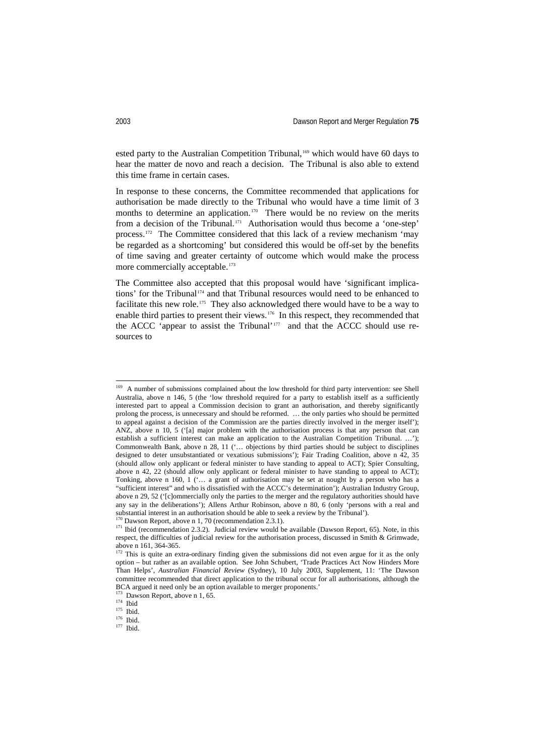ested party to the Australian Competition Tribunal,<sup>[169](#page-37-0)</sup> which would have 60 days to hear the matter de novo and reach a decision. The Tribunal is also able to extend this time frame in certain cases.

In response to these concerns, the Committee recommended that applications for authorisation be made directly to the Tribunal who would have a time limit of 3 months to determine an application.<sup>[170](#page-37-1)</sup> There would be no review on the merits from a decision of the Tribunal.<sup>[171](#page-37-2)</sup> Authorisation would thus become a 'one-step' process.[172](#page-37-3) The Committee considered that this lack of a review mechanism 'may be regarded as a shortcoming' but considered this would be off-set by the benefits of time saving and greater certainty of outcome which would make the process more commercially acceptable.<sup>[173](#page-37-4)</sup>

The Committee also accepted that this proposal would have 'significant implications' for the Tribunal [174](#page-37-5) and that Tribunal resources would need to be enhanced to facilitate this new role.<sup>[175](#page-37-6)</sup> They also acknowledged there would have to be a way to enable third parties to present their views.[176](#page-37-7) In this respect, they recommended that the ACCC 'appear to assist the Tribunal'<sup>[177](#page-37-8)</sup> and that the ACCC should use resources to

<span id="page-37-0"></span><sup>&</sup>lt;sup>169</sup> A number of submissions complained about the low threshold for third party intervention: see Shell Australia, above n 146, 5 (the 'low threshold required for a party to establish itself as a sufficiently interested part to appeal a Commission decision to grant an authorisation, and thereby significantly prolong the process, is unnecessary and should be reformed. … the only parties who should be permitted to appeal against a decision of the Commission are the parties directly involved in the merger itself'); ANZ, above n 10, 5 ('[a] major problem with the authorisation process is that any person that can establish a sufficient interest can make an application to the Australian Competition Tribunal. …'); Commonwealth Bank, above n 28, 11 ('… objections by third parties should be subject to disciplines designed to deter unsubstantiated or vexatious submissions'); Fair Trading Coalition, above n 42, 35 (should allow only applicant or federal minister to have standing to appeal to ACT); Spier Consulting, above n 42, 22 (should allow only applicant or federal minister to have standing to appeal to ACT); Tonking, above n 160, 1 ('… a grant of authorisation may be set at nought by a person who has a "sufficient interest" and who is dissatisfied with the ACCC's determination'); Australian Industry Group, above n 29, 52 ('[c]ommercially only the parties to the merger and the regulatory authorities should have any say in the deliberations'); Allens Arthur Robinson, above n 80, 6 (only 'persons with a real and substantial interest in an authorisation should be able to seek a review by the Tribunal').

 $70$  Dawson Report, above n 1, 70 (recommendation 2.3.1).

<span id="page-37-2"></span><span id="page-37-1"></span><sup>&</sup>lt;sup>171</sup> Ibid (recommendation 2.3.2). Judicial review would be available (Dawson Report, 65). Note, in this respect, the difficulties of judicial review for the authorisation process, discussed in Smith & Grimwade, above n 161, 364-365.

<span id="page-37-3"></span><sup>&</sup>lt;sup>172</sup> This is quite an extra-ordinary finding given the submissions did not even argue for it as the only option – but rather as an available option. See John Schubert, 'Trade Practices Act Now Hinders More Than Helps', *Australian Financial Review* (Sydney), 10 July 2003, Supplement, 11: 'The Dawson committee recommended that direct application to the tribunal occur for all authorisations, although the BCA argued it need only be an option available to merger proponents.'

Dawson Report, above n 1, 65.

<span id="page-37-4"></span> $174$  Ibid

<span id="page-37-7"></span><span id="page-37-6"></span><span id="page-37-5"></span><sup>&</sup>lt;sup>175</sup> Ibid.

<span id="page-37-8"></span><sup>&</sup>lt;sup>176</sup> Ibid.  $177$  Ibid.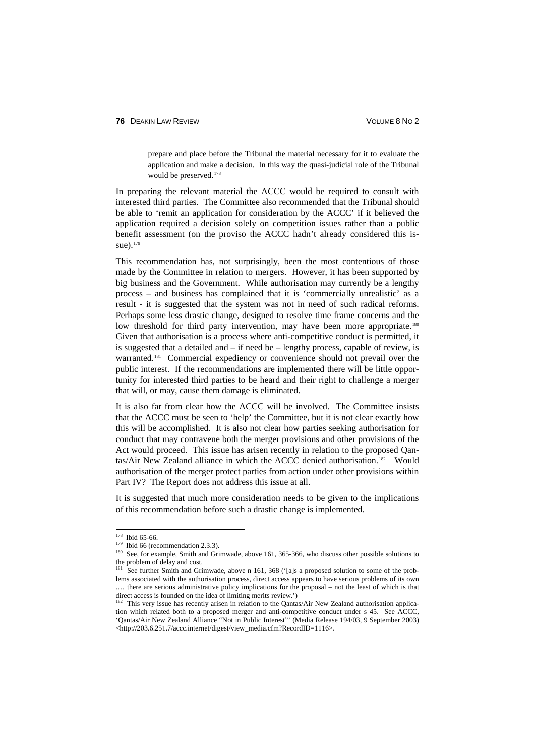#### **76 DEAKIN LAW REVIEW CONTROL CONTROL CONTROLLY AND SERVICE SINC 2**

prepare and place before the Tribunal the material necessary for it to evaluate the application and make a decision. In this way the quasi-judicial role of the Tribunal would be preserved. [178](#page-38-0)

In preparing the relevant material the ACCC would be required to consult with interested third parties. The Committee also recommended that the Tribunal should be able to 'remit an application for consideration by the ACCC' if it believed the application required a decision solely on competition issues rather than a public benefit assessment (on the proviso the ACCC hadn't already considered this is-sue).<sup>[179](#page-38-1)</sup>

This recommendation has, not surprisingly, been the most contentious of those made by the Committee in relation to mergers. However, it has been supported by big business and the Government. While authorisation may currently be a lengthy process – and business has complained that it is 'commercially unrealistic' as a result - it is suggested that the system was not in need of such radical reforms. Perhaps some less drastic change, designed to resolve time frame concerns and the low threshold for third party intervention, may have been more appropriate.<sup>[180](#page-38-2)</sup> Given that authorisation is a process where anti-competitive conduct is permitted, it is suggested that a detailed and – if need be – lengthy process, capable of review, is warranted.<sup>[181](#page-38-3)</sup> Commercial expediency or convenience should not prevail over the public interest. If the recommendations are implemented there will be little opportunity for interested third parties to be heard and their right to challenge a merger that will, or may, cause them damage is eliminated.

It is also far from clear how the ACCC will be involved. The Committee insists that the ACCC must be seen to 'help' the Committee, but it is not clear exactly how this will be accomplished. It is also not clear how parties seeking authorisation for conduct that may contravene both the merger provisions and other provisions of the Act would proceed. This issue has arisen recently in relation to the proposed Qan-tas/Air New Zealand alliance in which the ACCC denied authorisation.<sup>[182](#page-38-4)</sup> Would authorisation of the merger protect parties from action under other provisions within Part IV? The Report does not address this issue at all.

It is suggested that much more consideration needs to be given to the implications of this recommendation before such a drastic change is implemented.

<span id="page-38-1"></span><span id="page-38-0"></span><sup>&</sup>lt;sup>178</sup> Ibid 65-66.

 $179$  Ibid 66 (recommendation 2.3.3).

<sup>&</sup>lt;sup>180</sup> See, for example, Smith and Grimwade, above 161, 365-366, who discuss other possible solutions to the problem of delay and cost.

<span id="page-38-3"></span><span id="page-38-2"></span>See further Smith and Grimwade, above n 161, 368 ('[a]s a proposed solution to some of the problems associated with the authorisation process, direct access appears to have serious problems of its own .… there are serious administrative policy implications for the proposal – not the least of which is that direct access is founded on the idea of limiting merits review.')

<span id="page-38-4"></span><sup>&</sup>lt;sup>182</sup> This very issue has recently arisen in relation to the Qantas/Air New Zealand authorisation application which related both to a proposed merger and anti-competitive conduct under s 45. See ACCC, 'Qantas/Air New Zealand Alliance "Not in Public Interest"' (Media Release 194/03, 9 September 2003) <http://203.6.251.7/accc.internet/digest/view\_media.cfm?RecordID=1116>.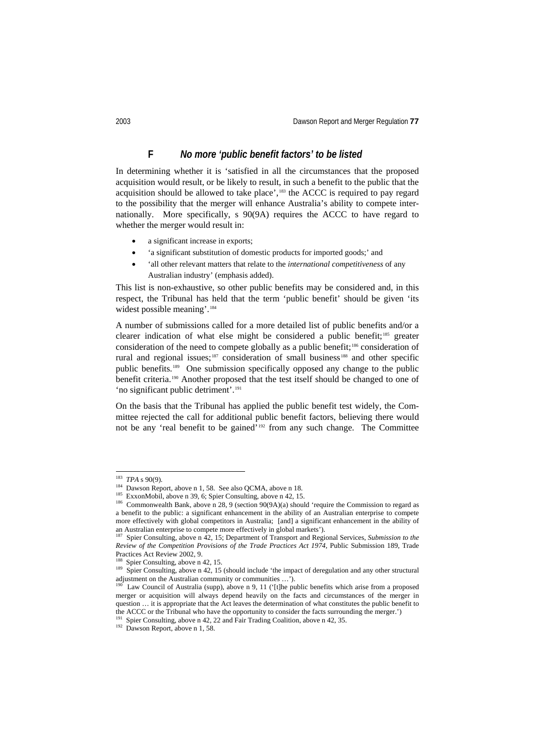# **F** *No more 'public benefit factors' to be listed*

In determining whether it is 'satisfied in all the circumstances that the proposed acquisition would result, or be likely to result, in such a benefit to the public that the acquisition should be allowed to take place',<sup>[183](#page-39-0)</sup> the ACCC is required to pay regard to the possibility that the merger will enhance Australia's ability to compete internationally. More specifically, s 90(9A) requires the ACCC to have regard to whether the merger would result in:

- a significant increase in exports;
- 'a significant substitution of domestic products for imported goods;' and
- 'all other relevant matters that relate to the *international competitiveness* of any Australian industry' (emphasis added).

This list is non-exhaustive, so other public benefits may be considered and, in this respect, the Tribunal has held that the term 'public benefit' should be given 'its widest possible meaning'.<sup>[184](#page-39-1)</sup>

A number of submissions called for a more detailed list of public benefits and/or a clearer indication of what else might be considered a public benefit; [185](#page-39-2) greater consideration of the need to compete globally as a public benefit;<sup>[186](#page-39-3)</sup> consideration of rural and regional issues;<sup>[187](#page-39-4)</sup> consideration of small business<sup>[188](#page-39-5)</sup> and other specific public benefits.[189](#page-39-6) One submission specifically opposed any change to the public benefit criteria.<sup>[190](#page-39-7)</sup> Another proposed that the test itself should be changed to one of 'no significant public detriment'.<sup>[191](#page-39-8)</sup>

On the basis that the Tribunal has applied the public benefit test widely, the Committee rejected the call for additional public benefit factors, believing there would not be any 'real benefit to be gained'[192](#page-39-9) from any such change. The Committee

<span id="page-39-1"></span><span id="page-39-0"></span> <sup>183</sup> *TPA* s 90(9).

<sup>&</sup>lt;sup>184</sup> Dawson Report, above n 1, 58. See also QCMA, above n 18.

<sup>&</sup>lt;sup>185</sup> ExxonMobil, above n 39, 6; Spier Consulting, above n 42, 15.

<span id="page-39-3"></span><span id="page-39-2"></span><sup>&</sup>lt;sup>186</sup> Commonwealth Bank, above n 28, 9 (section 90(9A)(a) should 'require the Commission to regard as a benefit to the public: a significant enhancement in the ability of an Australian enterprise to compete more effectively with global competitors in Australia; [and] a significant enhancement in the ability of an Australian enterprise to compete more effectively in global markets').

<span id="page-39-4"></span><sup>187</sup> Spier Consulting, above n 42, 15; Department of Transport and Regional Services, *Submission to the Review of the Competition Provisions of the Trade Practices Act 1974*, Public Submission 189, Trade Practices Act Review 2002, 9.

Spier Consulting, above n 42, 15.

<span id="page-39-6"></span><span id="page-39-5"></span><sup>&</sup>lt;sup>189</sup> Spier Consulting, above n 42, 15 (should include 'the impact of deregulation and any other structural adjustment on the Australian community or communities …').

<span id="page-39-7"></span><sup>&</sup>lt;sup>190</sup> Law Council of Australia (supp), above n 9, 11 ('[t]he public benefits which arise from a proposed merger or acquisition will always depend heavily on the facts and circumstances of the merger in question … it is appropriate that the Act leaves the determination of what constitutes the public benefit to the ACCC or the Tribunal who have the opportunity to consider the facts surrounding the merger.')

Spier Consulting, above n 42, 22 and Fair Trading Coalition, above n 42, 35.

<span id="page-39-9"></span><span id="page-39-8"></span> $192$  Dawson Report, above n 1, 58.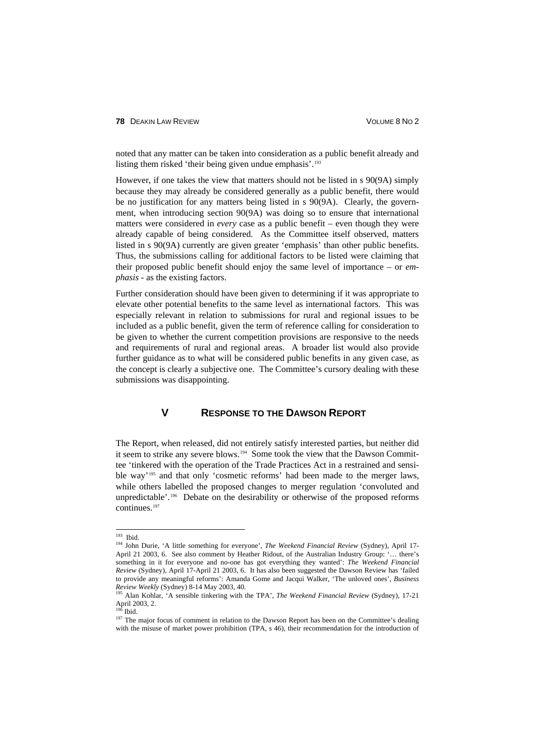noted that any matter can be taken into consideration as a public benefit already and listing them risked 'their being given undue emphasis'. [193](#page-40-0)

However, if one takes the view that matters should not be listed in s 90(9A) simply because they may already be considered generally as a public benefit, there would be no justification for any matters being listed in s 90(9A). Clearly, the government, when introducing section 90(9A) was doing so to ensure that international matters were considered in *every* case as a public benefit – even though they were already capable of being considered. As the Committee itself observed, matters listed in s 90(9A) currently are given greater 'emphasis' than other public benefits. Thus, the submissions calling for additional factors to be listed were claiming that their proposed public benefit should enjoy the same level of importance – or *emphasis* - as the existing factors.

Further consideration should have been given to determining if it was appropriate to elevate other potential benefits to the same level as international factors. This was especially relevant in relation to submissions for rural and regional issues to be included as a public benefit, given the term of reference calling for consideration to be given to whether the current competition provisions are responsive to the needs and requirements of rural and regional areas. A broader list would also provide further guidance as to what will be considered public benefits in any given case, as the concept is clearly a subjective one. The Committee's cursory dealing with these submissions was disappointing.

### **V RESPONSE TO THE DAWSON REPORT**

The Report, when released, did not entirely satisfy interested parties, but neither did it seem to strike any severe blows.<sup>194</sup> Some took the view that the Dawson Committee 'tinkered with the operation of the Trade Practices Act in a restrained and sensible way'[195](#page-40-2) and that only 'cosmetic reforms' had been made to the merger laws, while others labelled the proposed changes to merger regulation 'convoluted and unpredictable'.<sup>[196](#page-40-3)</sup> Debate on the desirability or otherwise of the proposed reforms continues.[197](#page-40-4)

<span id="page-40-1"></span><span id="page-40-0"></span> <sup>193</sup> Ibid. 194 John Durie, 'A little something for everyone', *The Weekend Financial Review* (Sydney), April 17- April 21 2003, 6. See also comment by Heather Ridout, of the Australian Industry Group: '… there's something in it for everyone and no-one has got everything they wanted': *The Weekend Financial Review* (Sydney), April 17-April 21 2003, 6. It has also been suggested the Dawson Review has 'failed to provide any meaningful reforms': Amanda Gome and Jacqui Walker, 'The unloved ones', *Business Review Weekly* (Sydney) 8-14 May 2003, 40.

<span id="page-40-2"></span><sup>195</sup> Alan Kohlar, 'A sensible tinkering with the TPA', *The Weekend Financial Review* (Sydney), 17-21 April 2003, 2.

 $19\bar{6}$  Ibid.

<span id="page-40-4"></span><span id="page-40-3"></span><sup>&</sup>lt;sup>197</sup> The major focus of comment in relation to the Dawson Report has been on the Committee's dealing with the misuse of market power prohibition (TPA, s 46), their recommendation for the introduction of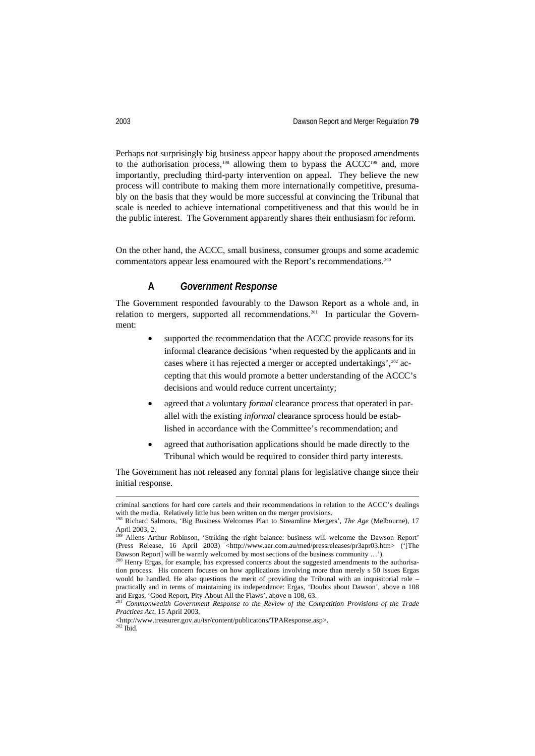Perhaps not surprisingly big business appear happy about the proposed amendments to the authorisation process,<sup>[198](#page-41-0)</sup> allowing them to bypass the ACCC<sup>[199](#page-41-1)</sup> and, more importantly, precluding third-party intervention on appeal. They believe the new process will contribute to making them more internationally competitive, presumably on the basis that they would be more successful at convincing the Tribunal that scale is needed to achieve international competitiveness and that this would be in the public interest. The Government apparently shares their enthusiasm for reform.

On the other hand, the ACCC, small business, consumer groups and some academic commentators appear less enamoured with the Report's recommendations. [200](#page-41-2)

# **A** *Government Response*

The Government responded favourably to the Dawson Report as a whole and, in relation to mergers, supported all recommendations.<sup>[201](#page-41-3)</sup> In particular the Government:

- supported the recommendation that the ACCC provide reasons for its informal clearance decisions 'when requested by the applicants and in cases where it has rejected a merger or accepted undertakings', <sup>[202](#page-41-4)</sup> accepting that this would promote a better understanding of the ACCC's decisions and would reduce current uncertainty;
- agreed that a voluntary *formal* clearance process that operated in parallel with the existing *informal* clearance sprocess hould be established in accordance with the Committee's recommendation; and
- agreed that authorisation applications should be made directly to the Tribunal which would be required to consider third party interests.

The Government has not released any formal plans for legislative change since their initial response.

criminal sanctions for hard core cartels and their recommendations in relation to the ACCC's dealings with the media. Relatively little has been written on the merger provisions.

<span id="page-41-0"></span><sup>198</sup> Richard Salmons, 'Big Business Welcomes Plan to Streamline Mergers', *The Age* (Melbourne), 17 April 2003, 2.

<span id="page-41-1"></span>Allens Arthur Robinson, 'Striking the right balance: business will welcome the Dawson Report' (Press Release, 16 April 2003) <http://www.aar.com.au/med/pressreleases/pr3apr03.htm> ('[The Dawson Report] will be warmly welcomed by most sections of the business community …').

<span id="page-41-2"></span><sup>&</sup>lt;sup>200</sup> Henry Ergas, for example, has expressed concerns about the suggested amendments to the authorisation process. His concern focuses on how applications involving more than merely s 50 issues Ergas would be handled. He also questions the merit of providing the Tribunal with an inquisitorial role – practically and in terms of maintaining its independence: Ergas, 'Doubts about Dawson', above n 108 and Ergas, 'Good Report, Pity About All the Flaws', above n 108, 63.

<span id="page-41-3"></span><sup>201</sup> *Commonwealth Government Response to the Review of the Competition Provisions of the Trade Practices Act*, 15 April 2003,

<span id="page-41-4"></span><sup>&</sup>lt;http://www.treasurer.gov.au/tsr/content/publicatons/TPAResponse.asp>.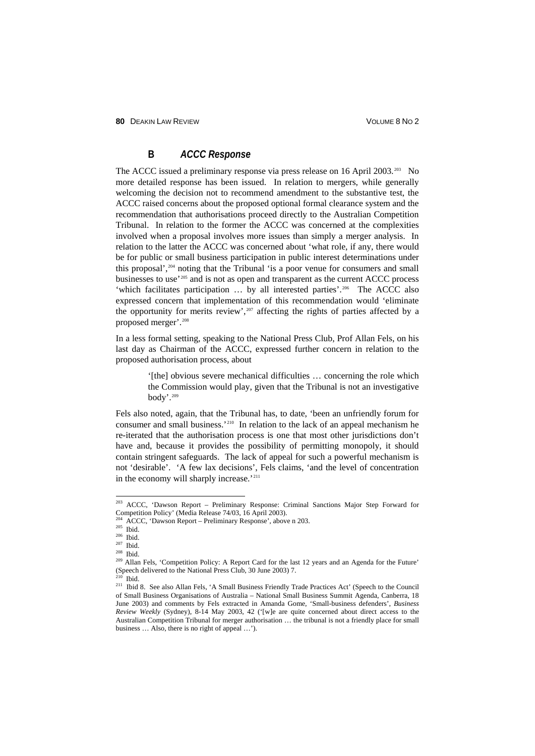**80 DEAKIN LAW REVIEW CONTROL CONTROL CONTROLLY AND SOLUME 8 NO 2** 

# **B** *ACCC Response*

The ACCC issued a preliminary response via press release on 16 April 2003.<sup>[203](#page-42-0)</sup> No more detailed response has been issued. In relation to mergers, while generally welcoming the decision not to recommend amendment to the substantive test, the ACCC raised concerns about the proposed optional formal clearance system and the recommendation that authorisations proceed directly to the Australian Competition Tribunal. In relation to the former the ACCC was concerned at the complexities involved when a proposal involves more issues than simply a merger analysis. In relation to the latter the ACCC was concerned about 'what role, if any, there would be for public or small business participation in public interest determinations under this proposal',[204](#page-42-1) noting that the Tribunal 'is a poor venue for consumers and small businesses to use'[205](#page-42-2) and is not as open and transparent as the current ACCC process 'which facilitates participation ... by all interested parties'.<sup>206</sup> The ACCC also expressed concern that implementation of this recommendation would 'eliminate the opportunity for merits review',  $207$  affecting the rights of parties affected by a proposed merger'.[208](#page-42-5)

In a less formal setting, speaking to the National Press Club, Prof Allan Fels, on his last day as Chairman of the ACCC, expressed further concern in relation to the proposed authorisation process, about

> '[the] obvious severe mechanical difficulties … concerning the role which the Commission would play, given that the Tribunal is not an investigative body'. [209](#page-42-6)

Fels also noted, again, that the Tribunal has, to date, 'been an unfriendly forum for consumer and small business.'[210](#page-42-7) In relation to the lack of an appeal mechanism he re-iterated that the authorisation process is one that most other jurisdictions don't have and, because it provides the possibility of permitting monopoly, it should contain stringent safeguards. The lack of appeal for such a powerful mechanism is not 'desirable'. 'A few lax decisions', Fels claims, 'and the level of concentration in the economy will sharply increase.'<sup>[211](#page-42-8)</sup>

<span id="page-42-0"></span> <sup>203</sup> ACCC, 'Dawson Report – Preliminary Response: Criminal Sanctions Major Step Forward for Competition Policy' (Media Release 74/03, 16 April 2003).

<sup>&</sup>lt;sup>204</sup> ACCC, 'Dawson Report – Preliminary Response', above n 203.

 $205$  Ibid.

<span id="page-42-3"></span><span id="page-42-2"></span><span id="page-42-1"></span> $206$  Ibid.

<span id="page-42-4"></span><sup>207</sup> Ibid.

<sup>208</sup> Ibid.

<span id="page-42-6"></span><span id="page-42-5"></span><sup>209</sup> Allan Fels, 'Competition Policy: A Report Card for the last 12 years and an Agenda for the Future' (Speech delivered to the National Press Club, 30 June 2003) 7.<br> $210$  Thia

<sup>210</sup> Ibid.

<span id="page-42-8"></span><span id="page-42-7"></span><sup>211</sup> Ibid 8. See also Allan Fels, 'A Small Business Friendly Trade Practices Act' (Speech to the Council of Small Business Organisations of Australia – National Small Business Summit Agenda, Canberra, 18 June 2003) and comments by Fels extracted in Amanda Gome, 'Small-business defenders', *Business Review Weekly* (Sydney), 8-14 May 2003, 42 ('[w]e are quite concerned about direct access to the Australian Competition Tribunal for merger authorisation … the tribunal is not a friendly place for small business … Also, there is no right of appeal …').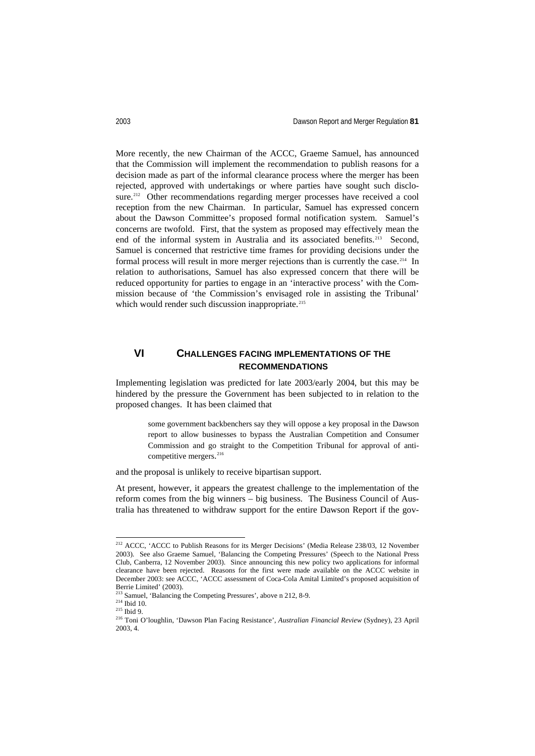More recently, the new Chairman of the ACCC, Graeme Samuel, has announced that the Commission will implement the recommendation to publish reasons for a decision made as part of the informal clearance process where the merger has been rejected, approved with undertakings or where parties have sought such disclo-sure.<sup>[212](#page-43-0)</sup> Other recommendations regarding merger processes have received a cool reception from the new Chairman. In particular, Samuel has expressed concern about the Dawson Committee's proposed formal notification system. Samuel's concerns are twofold. First, that the system as proposed may effectively mean the end of the informal system in Australia and its associated benefits.<sup>[213](#page-43-1)</sup> Second, Samuel is concerned that restrictive time frames for providing decisions under the formal process will result in more merger rejections than is currently the case.<sup>214</sup> In relation to authorisations, Samuel has also expressed concern that there will be reduced opportunity for parties to engage in an 'interactive process' with the Commission because of 'the Commission's envisaged role in assisting the Tribunal' which would render such discussion inappropriate.<sup>[215](#page-43-3)</sup>

# **VI CHALLENGES FACING IMPLEMENTATIONS OF THE RECOMMENDATIONS**

Implementing legislation was predicted for late 2003/early 2004, but this may be hindered by the pressure the Government has been subjected to in relation to the proposed changes. It has been claimed that

> some government backbenchers say they will oppose a key proposal in the Dawson report to allow businesses to bypass the Australian Competition and Consumer Commission and go straight to the Competition Tribunal for approval of anticompetitive mergers. [216](#page-43-4)

and the proposal is unlikely to receive bipartisan support.

At present, however, it appears the greatest challenge to the implementation of the reform comes from the big winners – big business. The Business Council of Australia has threatened to withdraw support for the entire Dawson Report if the gov-

<span id="page-43-0"></span><sup>&</sup>lt;sup>212</sup> ACCC, 'ACCC to Publish Reasons for its Merger Decisions' (Media Release 238/03, 12 November 2003). See also Graeme Samuel, 'Balancing the Competing Pressures' (Speech to the National Press Club, Canberra, 12 November 2003). Since announcing this new policy two applications for informal clearance have been rejected. Reasons for the first were made available on the ACCC website in December 2003: see ACCC, 'ACCC assessment of Coca-Cola Amital Limited's proposed acquisition of Berrie Limited' (2003).

Samuel, 'Balancing the Competing Pressures', above n 212, 8-9.

<span id="page-43-2"></span><span id="page-43-1"></span> $214$  Ibid 10.

<span id="page-43-3"></span> $\rm ^{215}$  Ibid 9.

<span id="page-43-4"></span><sup>216</sup> Toni O'loughlin, 'Dawson Plan Facing Resistance', *Australian Financial Review* (Sydney), 23 April 2003, 4.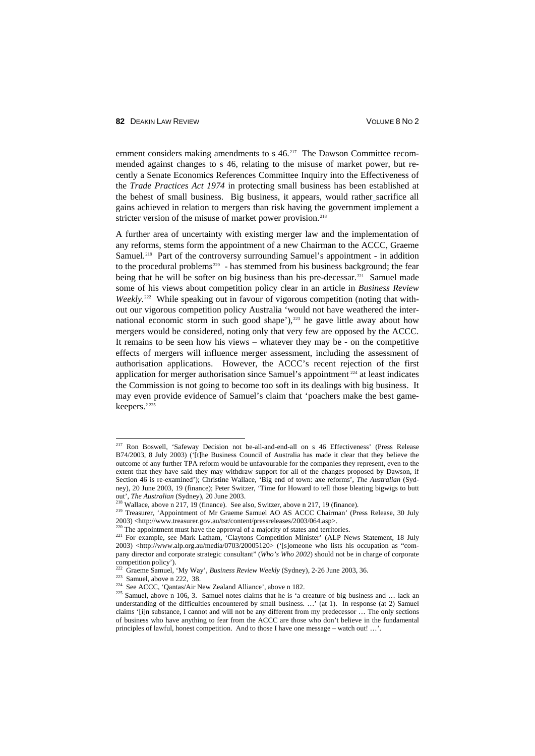ernment considers making amendments to s 46.<sup>[217](#page-44-0)</sup> The Dawson Committee recommended against changes to s 46, relating to the misuse of market power, but recently a Senate Economics References Committee Inquiry into the Effectiveness of the *Trade Practices Act 1974* in protecting small business has been established at the behest of small business. Big business, it appears, would rather sacrifice all gains achieved in relation to mergers than risk having the government implement a stricter version of the misuse of market power provision.<sup>[218](#page-44-1)</sup>

A further area of uncertainty with existing merger law and the implementation of any reforms, stems form the appointment of a new Chairman to the ACCC, Graeme Samuel.<sup>[219](#page-44-2)</sup> Part of the controversy surrounding Samuel's appointment - in addition to the procedural problems<sup>220</sup> - has stemmed from his business background; the fear being that he will be softer on big business than his pre-decessar.<sup>[221](#page-44-4)</sup> Samuel made some of his views about competition policy clear in an article in *Business Review Weekly.*<sup>[222](#page-44-5)</sup> While speaking out in favour of vigorous competition (noting that without our vigorous competition policy Australia 'would not have weathered the international economic storm in such good shape'), $223$  he gave little away about how mergers would be considered, noting only that very few are opposed by the ACCC. It remains to be seen how his views – whatever they may be - on the competitive effects of mergers will influence merger assessment, including the assessment of authorisation applications. However, the ACCC's recent rejection of the first application for merger authorisation since Samuel's appointment [224](#page-44-7) at least indicates the Commission is not going to become too soft in its dealings with big business. It may even provide evidence of Samuel's claim that 'poachers make the best gamekeepers.'[225](#page-44-8)

<span id="page-44-0"></span><sup>&</sup>lt;sup>217</sup> Ron Boswell, 'Safeway Decision not be-all-and-end-all on s 46 Effectiveness' (Press Release B74/2003, 8 July 2003) ('[t]he Business Council of Australia has made it clear that they believe the outcome of any further TPA reform would be unfavourable for the companies they represent, even to the extent that they have said they may withdraw support for all of the changes proposed by Dawson, if Section 46 is re-examined'); Christine Wallace, 'Big end of town: axe reforms', *The Australian* (Sydney), 20 June 2003, 19 (finance); Peter Switzer, 'Time for Howard to tell those bleating bigwigs to butt out', *The Australian* (Sydney), 20 June 2003.

 $218$  Wallace, above n 217, 19 (finance). See also, Switzer, above n 217, 19 (finance).

<span id="page-44-2"></span><span id="page-44-1"></span><sup>&</sup>lt;sup>219</sup> Treasurer, 'Appointment of Mr Graeme Samuel AO AS ACCC Chairman' (Press Release, 30 July 2003) <http://www.treasurer.gov.au/tsr/content/pressreleases/2003/064.asp>.

The appointment must have the approval of a majority of states and territories.

<span id="page-44-4"></span><span id="page-44-3"></span><sup>&</sup>lt;sup>221</sup> For example, see Mark Latham, 'Claytons Competition Minister' (ALP News Statement, 18 July 2003) <http://www.alp.org.au/media/0703/20005120> ('[s]omeone who lists his occupation as "company director and corporate strategic consultant" (*Who's Who 2002*) should not be in charge of corporate competition policy').

<sup>222</sup> Graeme Samuel, 'My Way', *Business Review Weekly* (Sydney), 2-26 June 2003, 36.

<span id="page-44-6"></span><span id="page-44-5"></span> $223$  Samuel, above n 222, 38.

<sup>&</sup>lt;sup>224</sup> See ACCC, 'Qantas/Air New Zealand Alliance', above n 182.

<span id="page-44-8"></span><span id="page-44-7"></span><sup>&</sup>lt;sup>225</sup> Samuel, above n 106, 3. Samuel notes claims that he is 'a creature of big business and ... lack an understanding of the difficulties encountered by small business. ...' (at 1). In response (at 2) Samuel claims '[i]n substance, I cannot and will not be any different from my predecessor … The only sections of business who have anything to fear from the ACCC are those who don't believe in the fundamental principles of lawful, honest competition. And to those I have one message – watch out! …'.